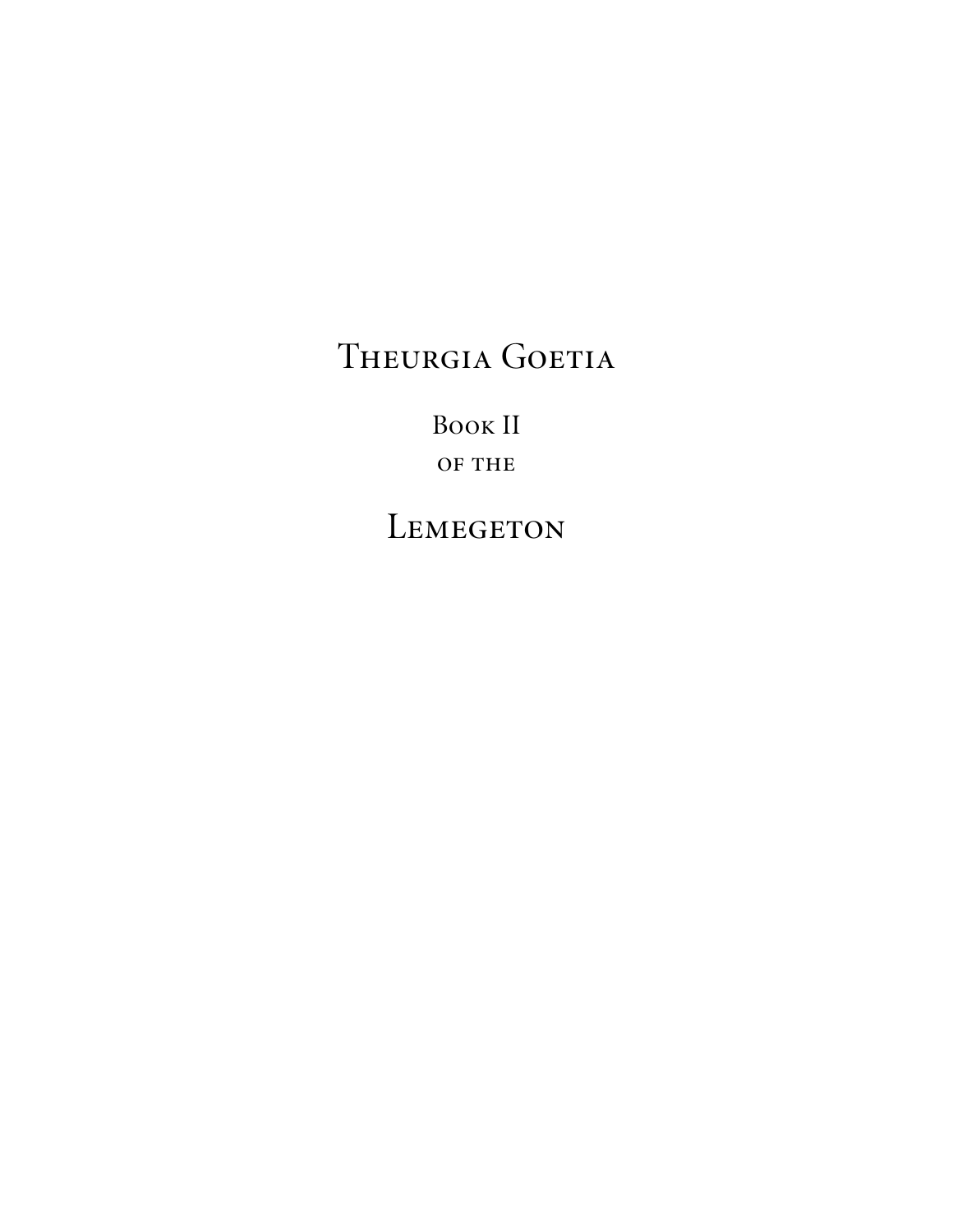Book II OF THE

LEMEGETON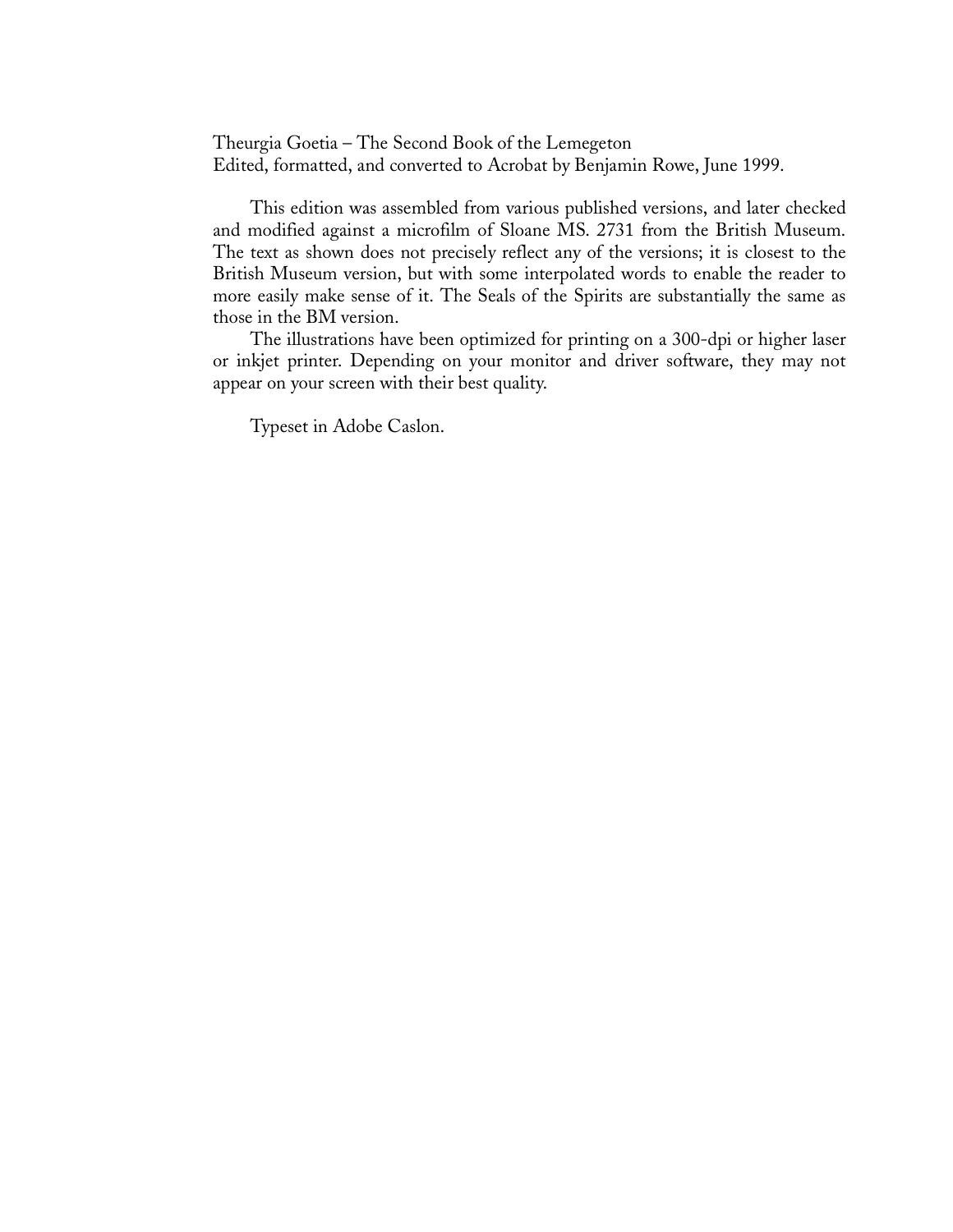Theurgia Goetia – The Second Book of the Lemegeton Edited, formatted, and converted to Acrobat by Benjamin Rowe, June 1999.

This edition was assembled from various published versions, and later checked and modified against a microfilm of Sloane MS. 2731 from the British Museum. The text as shown does not precisely reflect any of the versions; it is closest to the British Museum version, but with some interpolated words to enable the reader to more easily make sense of it. The Seals of the Spirits are substantially the same as those in the BM version.

The illustrations have been optimized for printing on a 300-dpi or higher laser or inkjet printer. Depending on your monitor and driver software, they may not appear on your screen with their best quality.

Typeset in Adobe Caslon.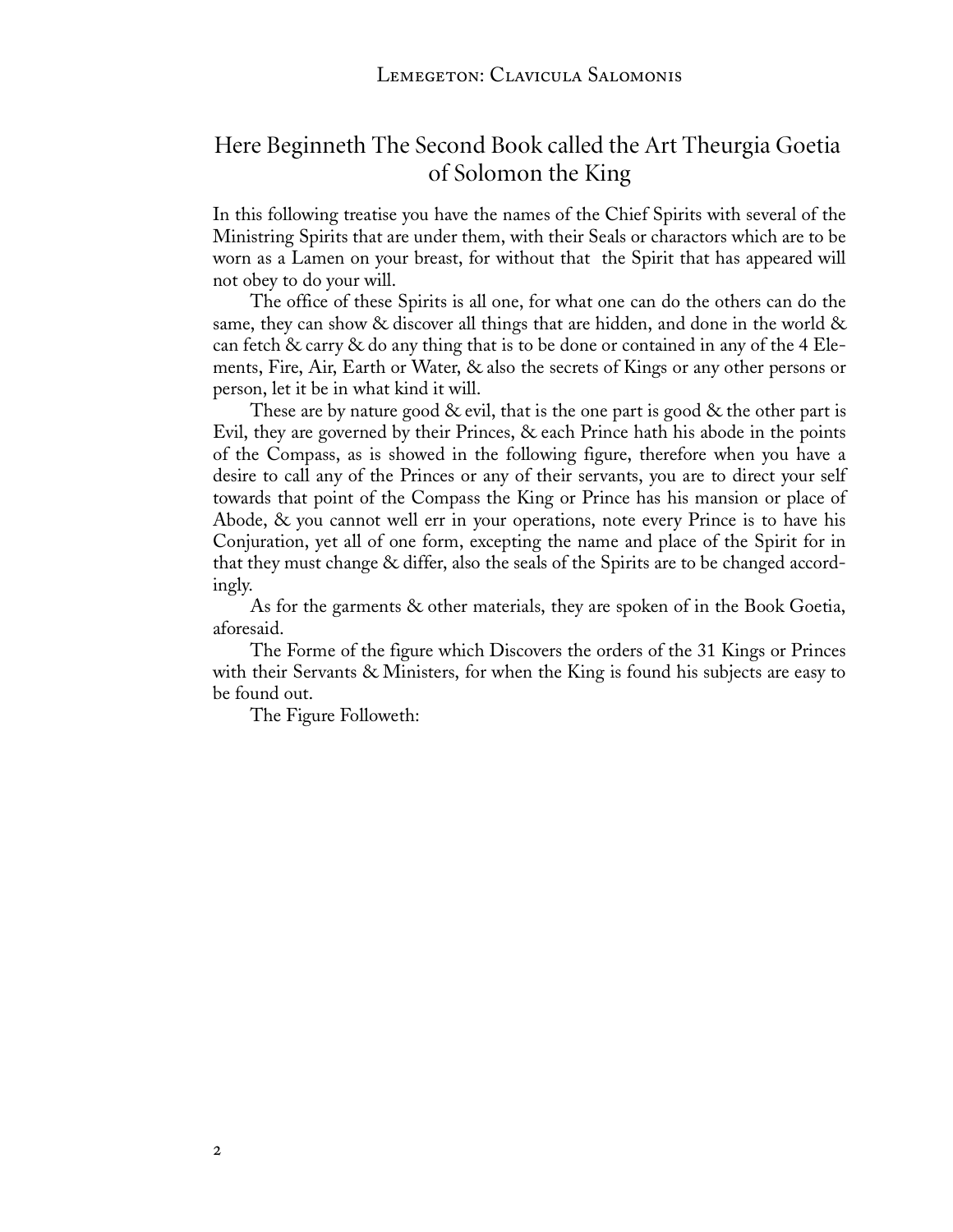### Here Beginneth The Second Book called the Art Theurgia Goetia of Solomon the King

In this following treatise you have the names of the Chief Spirits with several of the Ministring Spirits that are under them, with their Seals or charactors which are to be worn as a Lamen on your breast, for without that the Spirit that has appeared will not obey to do your will.

The office of these Spirits is all one, for what one can do the others can do the same, they can show & discover all things that are hidden, and done in the world  $\&$ can fetch & carry & do any thing that is to be done or contained in any of the 4 Elements, Fire, Air, Earth or Water, & also the secrets of Kings or any other persons or person, let it be in what kind it will.

These are by nature good  $\&$  evil, that is the one part is good  $\&$  the other part is Evil, they are governed by their Princes, & each Prince hath his abode in the points of the Compass, as is showed in the following figure, therefore when you have a desire to call any of the Princes or any of their servants, you are to direct your self towards that point of the Compass the King or Prince has his mansion or place of Abode, & you cannot well err in your operations, note every Prince is to have his Conjuration, yet all of one form, excepting the name and place of the Spirit for in that they must change & differ, also the seals of the Spirits are to be changed accordingly.

As for the garments & other materials, they are spoken of in the Book Goetia, aforesaid.

The Forme of the figure which Discovers the orders of the 31 Kings or Princes with their Servants & Ministers, for when the King is found his subjects are easy to be found out.

The Figure Followeth: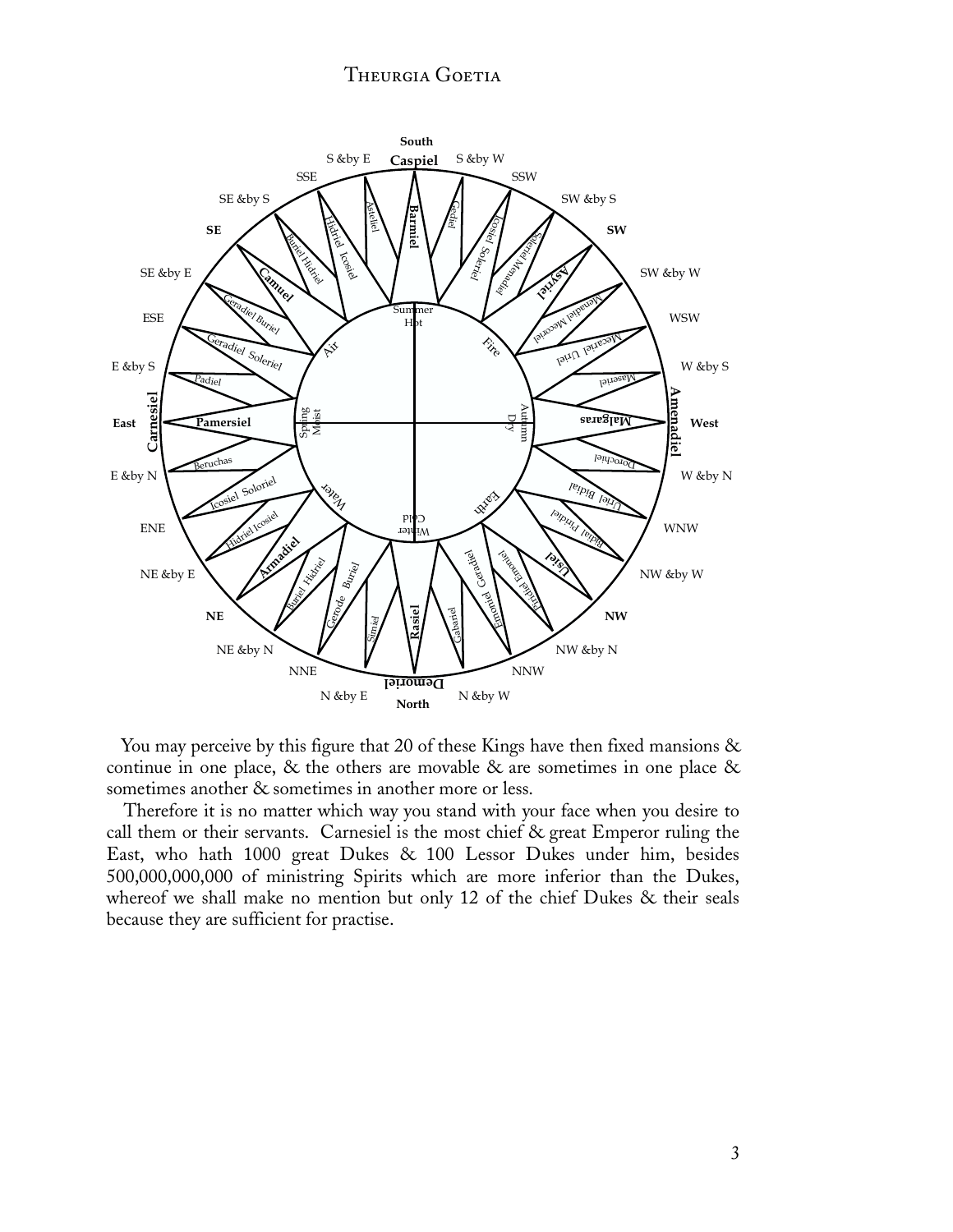

You may perceive by this figure that 20 of these Kings have then fixed mansions & continue in one place, & the others are movable & are sometimes in one place & sometimes another  $\&$  sometimes in another more or less.

 Therefore it is no matter which way you stand with your face when you desire to call them or their servants. Carnesiel is the most chief & great Emperor ruling the East, who hath 1000 great Dukes & 100 Lessor Dukes under him, besides 500,000,000,000 of ministring Spirits which are more inferior than the Dukes, whereof we shall make no mention but only 12 of the chief Dukes & their seals because they are sufficient for practise.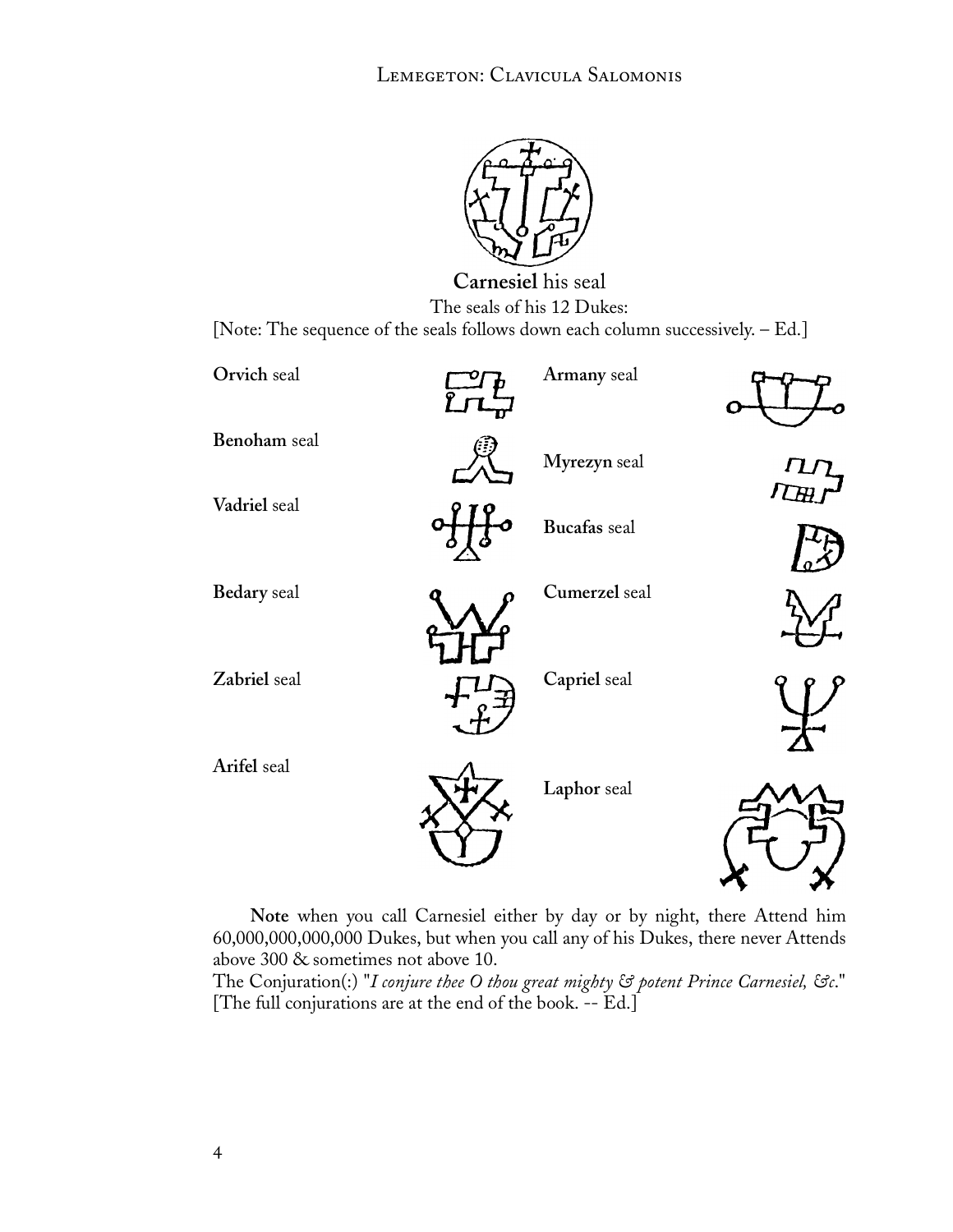

**Carnesiel** his seal The seals of his 12 Dukes: [Note: The sequence of the seals follows down each column successively. – Ed.]



**Note** when you call Carnesiel either by day or by night, there Attend him 60,000,000,000,000 Dukes, but when you call any of his Dukes, there never Attends above 300 & sometimes not above 10.

The Conjuration(:) "*I conjure thee O thou great mighty & potent Prince Carnesiel, &c*." [The full conjurations are at the end of the book. -- Ed.]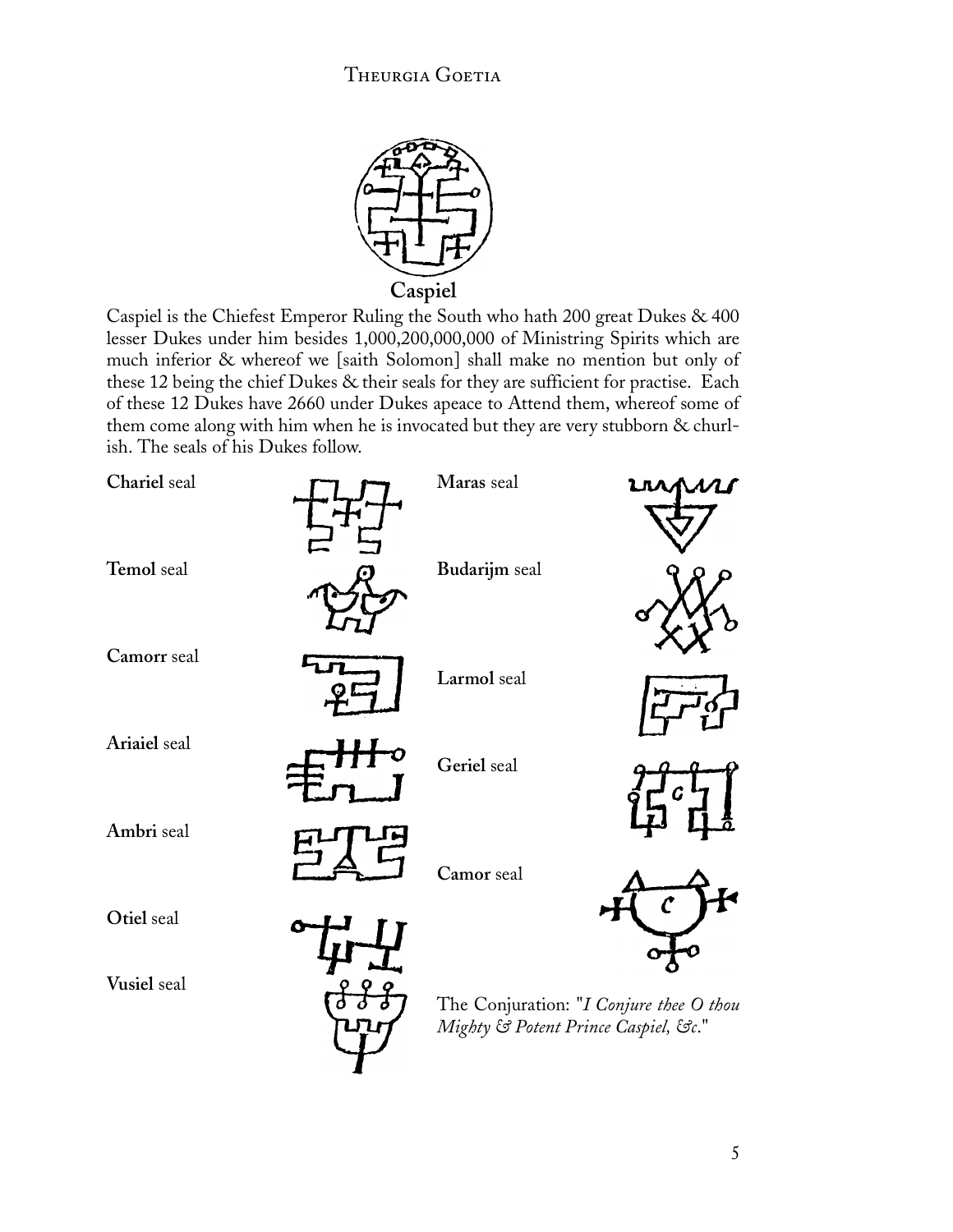

Caspiel is the Chiefest Emperor Ruling the South who hath 200 great Dukes & 400 lesser Dukes under him besides 1,000,200,000,000 of Ministring Spirits which are much inferior & whereof we [saith Solomon] shall make no mention but only of these 12 being the chief Dukes & their seals for they are sufficient for practise. Each of these 12 Dukes have 2660 under Dukes apeace to Attend them, whereof some of them come along with him when he is invocated but they are very stubborn & churlish. The seals of his Dukes follow.

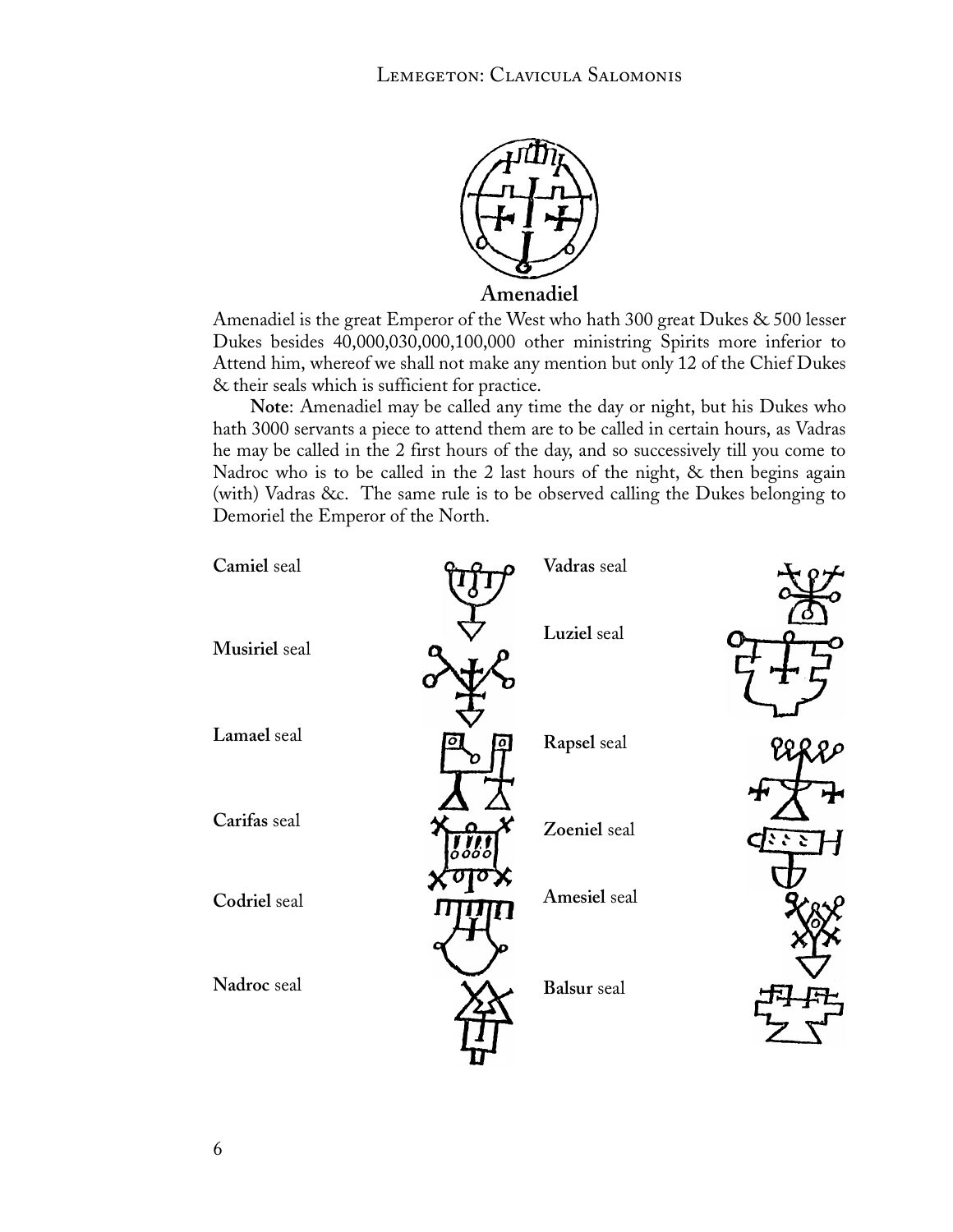

Amenadiel is the great Emperor of the West who hath 300 great Dukes & 500 lesser Dukes besides 40,000,030,000,100,000 other ministring Spirits more inferior to Attend him, whereof we shall not make any mention but only 12 of the Chief Dukes & their seals which is sufficient for practice.

**Note**: Amenadiel may be called any time the day or night, but his Dukes who hath 3000 servants a piece to attend them are to be called in certain hours, as Vadras he may be called in the 2 first hours of the day, and so successively till you come to Nadroc who is to be called in the 2 last hours of the night, & then begins again (with) Vadras &c. The same rule is to be observed calling the Dukes belonging to Demoriel the Emperor of the North.

| Camiel seal   |                            | Vadras seal        |     |
|---------------|----------------------------|--------------------|-----|
| Musiriel seal |                            | Luziel seal        |     |
| Lamael seal   | $\sigma$                   | Rapsel seal        | Ωρ  |
| Carifas seal  | $ \delta\delta\delta\phi $ | Zoeniel seal       | ていご |
| Codriel seal  |                            | Amesiel seal       |     |
| Nadroc seal   |                            | <b>Balsur</b> seal |     |
|               |                            |                    |     |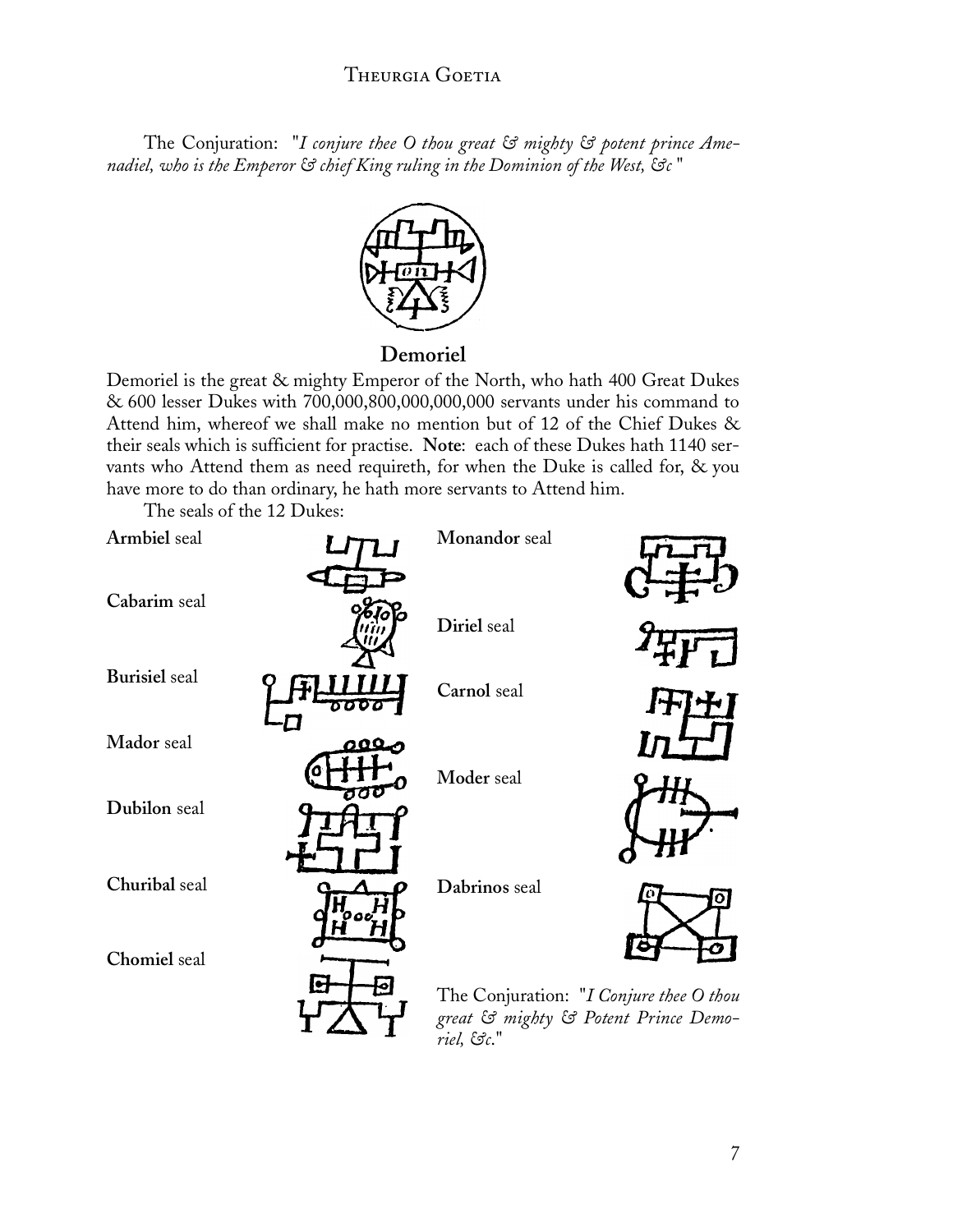The Conjuration: "*I conjure thee O thou great & mighty & potent prince Amenadiel, who is the Emperor & chief King ruling in the Dominion of the West, &c* "



#### **Demoriel**

Demoriel is the great & mighty Emperor of the North, who hath 400 Great Dukes & 600 lesser Dukes with 700,000,800,000,000,000 servants under his command to Attend him, whereof we shall make no mention but of 12 of the Chief Dukes & their seals which is sufficient for practise. **Note**: each of these Dukes hath 1140 servants who Attend them as need requireth, for when the Duke is called for, & you have more to do than ordinary, he hath more servants to Attend him.

The seals of the 12 Dukes:

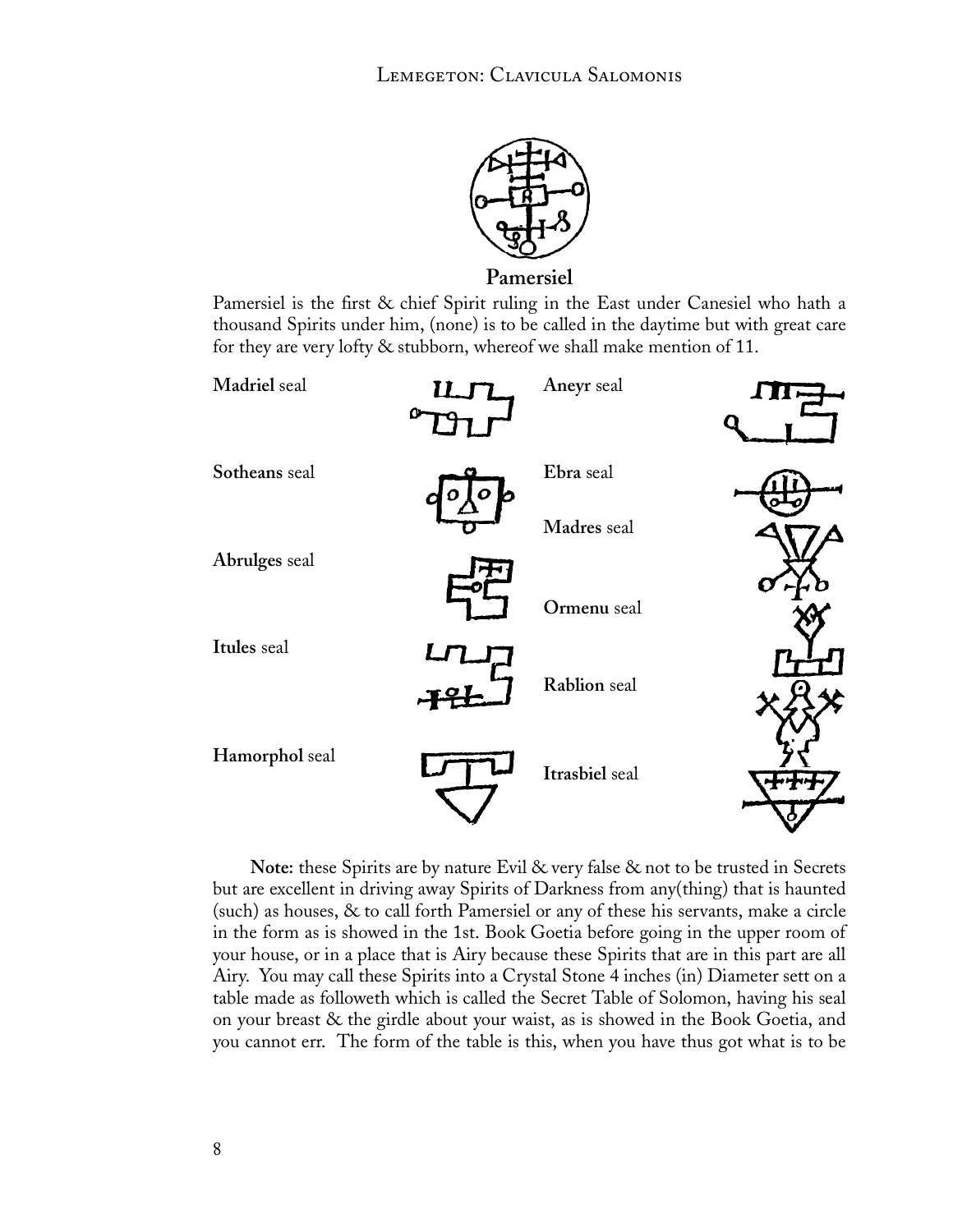

**Pamersiel**

Pamersiel is the first & chief Spirit ruling in the East under Canesiel who hath a thousand Spirits under him, (none) is to be called in the daytime but with great care for they are very lofty & stubborn, whereof we shall make mention of 11.



**Note:** these Spirits are by nature Evil & very false & not to be trusted in Secrets but are excellent in driving away Spirits of Darkness from any(thing) that is haunted (such) as houses, & to call forth Pamersiel or any of these his servants, make a circle in the form as is showed in the 1st. Book Goetia before going in the upper room of your house, or in a place that is Airy because these Spirits that are in this part are all Airy. You may call these Spirits into a Crystal Stone 4 inches (in) Diameter sett on a table made as followeth which is called the Secret Table of Solomon, having his seal on your breast & the girdle about your waist, as is showed in the Book Goetia, and you cannot err. The form of the table is this, when you have thus got what is to be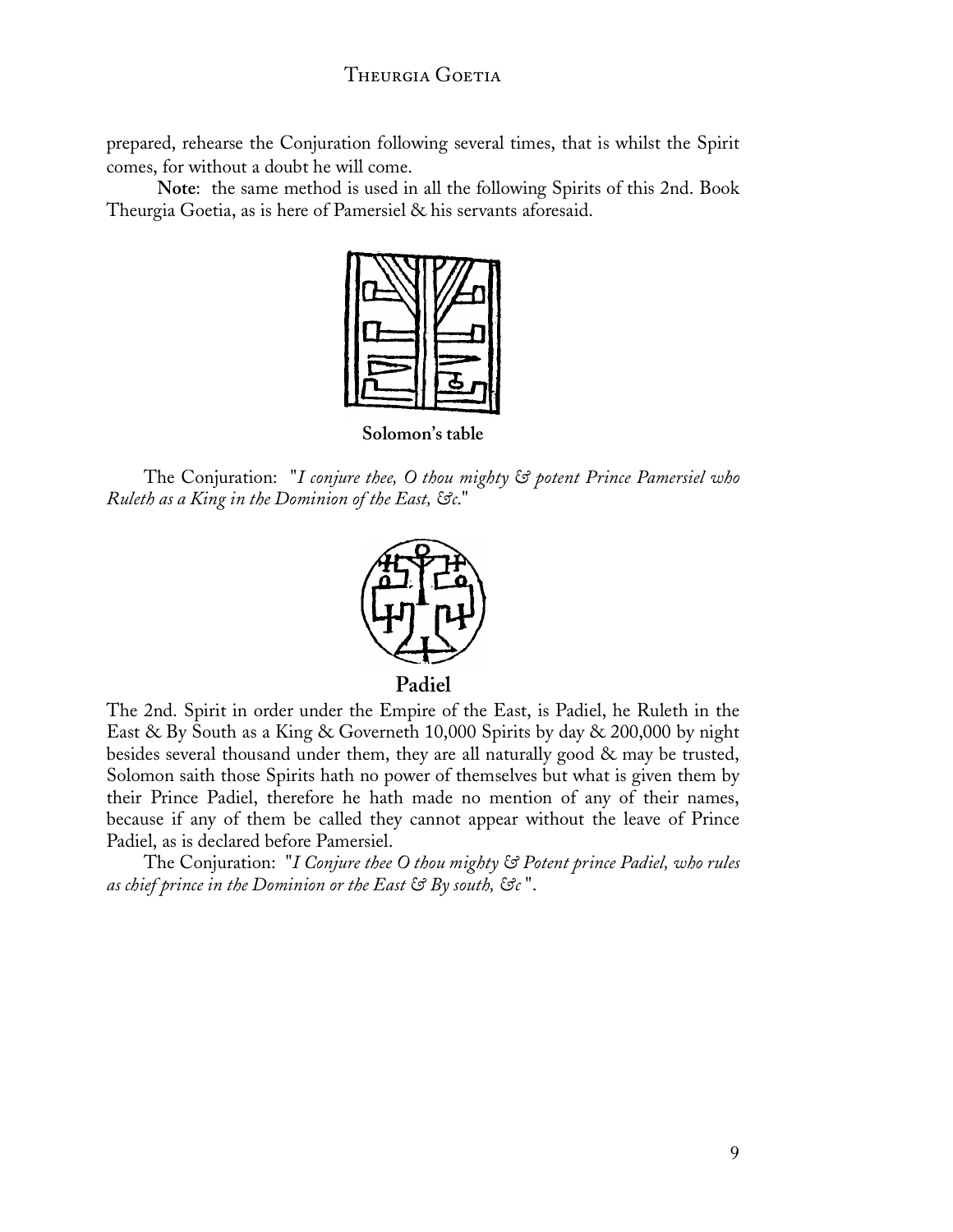prepared, rehearse the Conjuration following several times, that is whilst the Spirit comes, for without a doubt he will come.

 **Note**: the same method is used in all the following Spirits of this 2nd. Book Theurgia Goetia, as is here of Pamersiel & his servants aforesaid.



**Solomon's table**

The Conjuration: "*I conjure thee, O thou mighty & potent Prince Pamersiel who Ruleth as a King in the Dominion of the East, &c*."



The 2nd. Spirit in order under the Empire of the East, is Padiel, he Ruleth in the East & By South as a King & Governeth 10,000 Spirits by day & 200,000 by night besides several thousand under them, they are all naturally good & may be trusted, Solomon saith those Spirits hath no power of themselves but what is given them by their Prince Padiel, therefore he hath made no mention of any of their names, because if any of them be called they cannot appear without the leave of Prince

Padiel, as is declared before Pamersiel.

The Conjuration: "*I Conjure thee O thou mighty & Potent prince Padiel, who rules as chief prince in the Dominion or the East & By south, &c* ".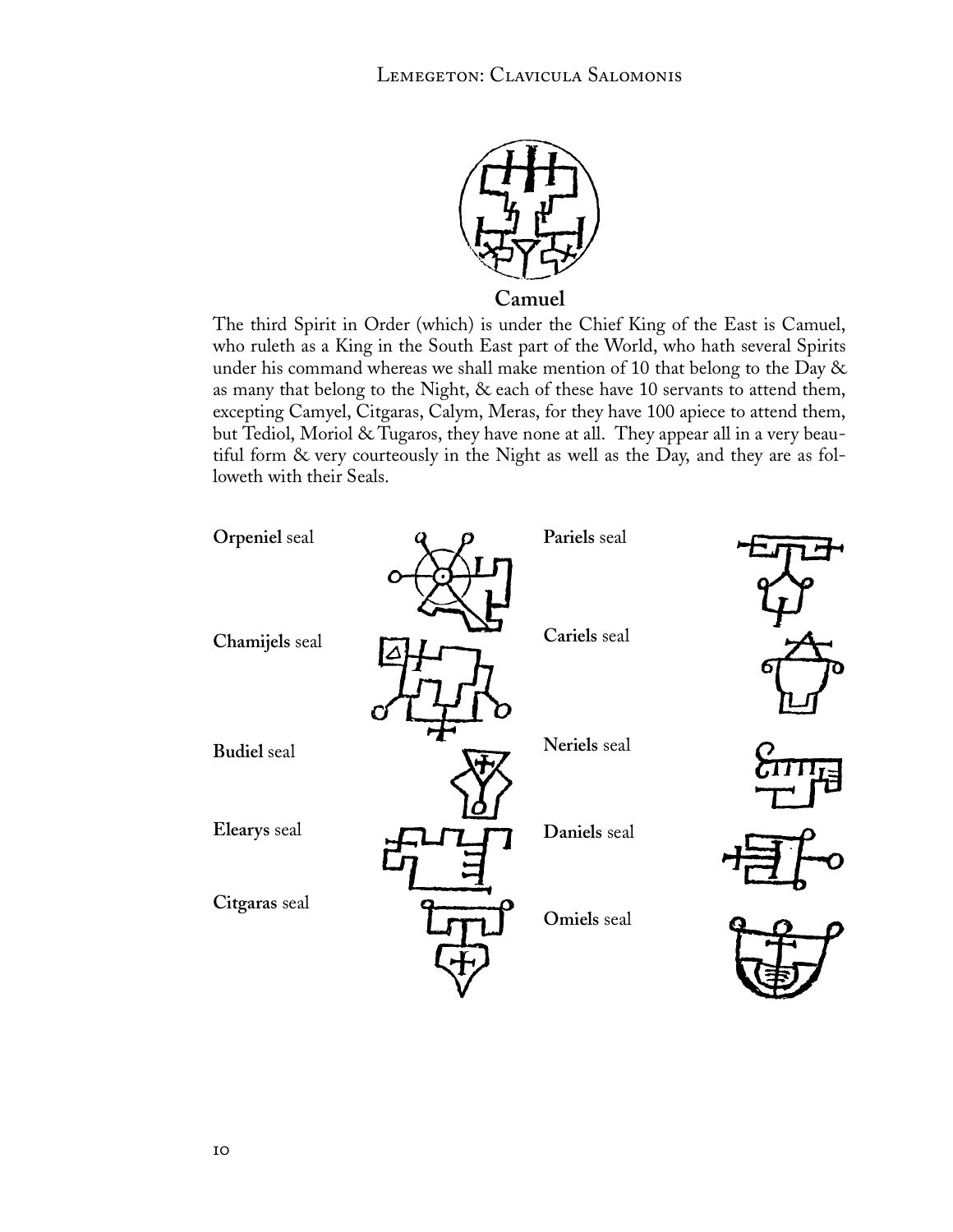

**Camuel**

The third Spirit in Order (which) is under the Chief King of the East is Camuel, who ruleth as a King in the South East part of the World, who hath several Spirits under his command whereas we shall make mention of 10 that belong to the Day & as many that belong to the Night, & each of these have 10 servants to attend them, excepting Camyel, Citgaras, Calym, Meras, for they have 100 apiece to attend them, but Tediol, Moriol & Tugaros, they have none at all. They appear all in a very beautiful form & very courteously in the Night as well as the Day, and they are as followeth with their Seals.

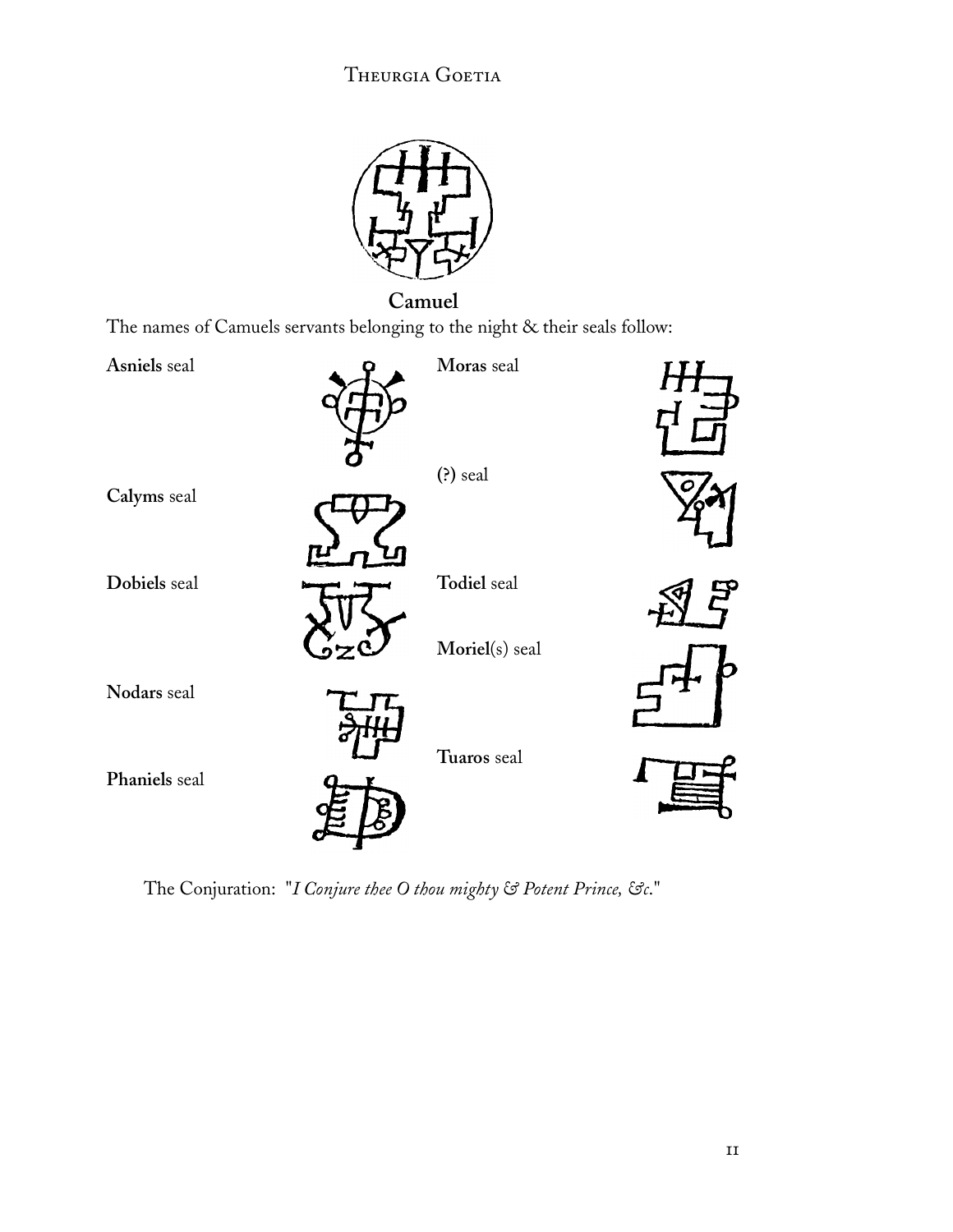

The names of Camuels servants belonging to the night & their seals follow:



The Conjuration: "*I Conjure thee O thou mighty & Potent Prince, &c*."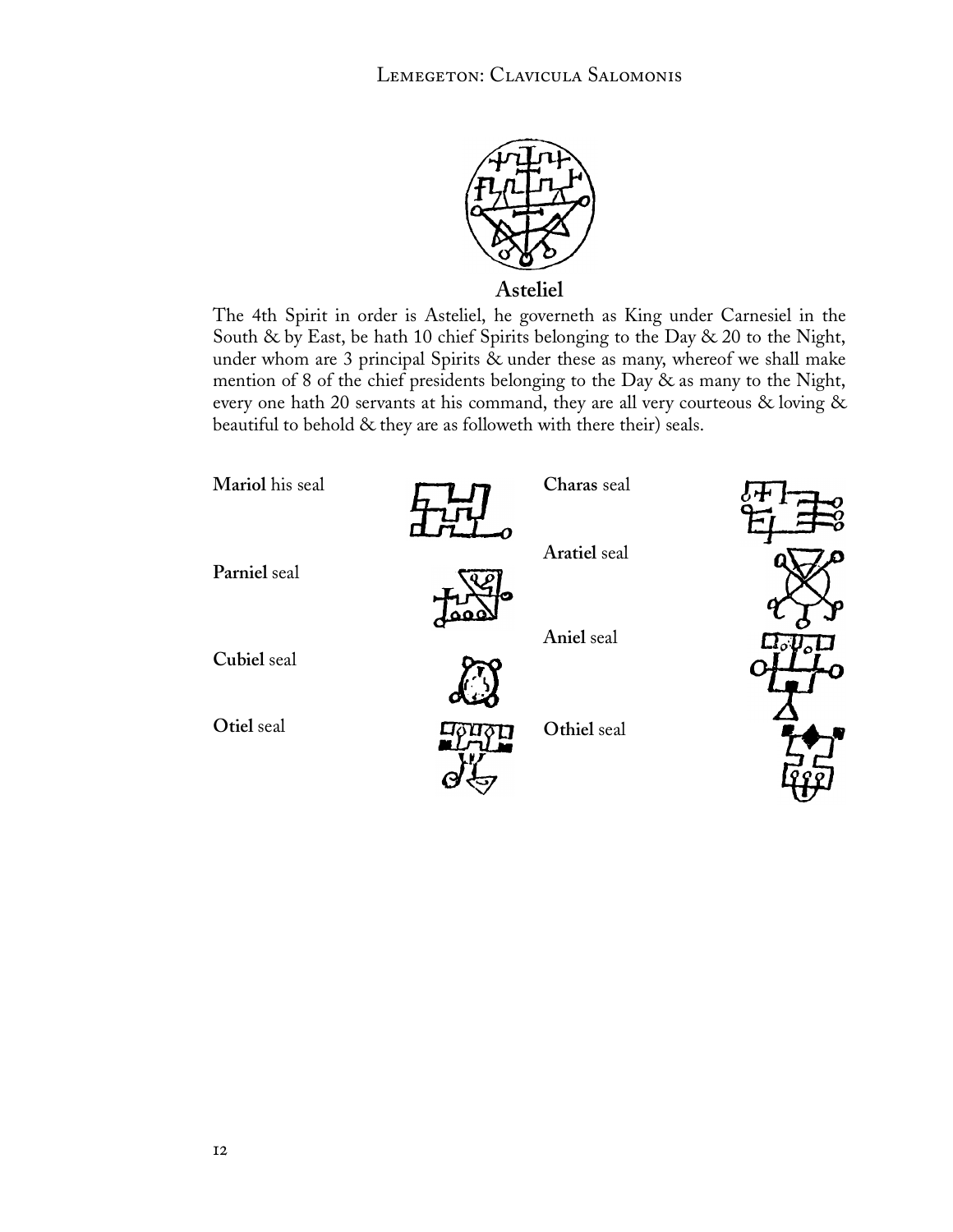

**Asteliel**

The 4th Spirit in order is Asteliel, he governeth as King under Carnesiel in the South & by East, be hath 10 chief Spirits belonging to the Day & 20 to the Night, under whom are 3 principal Spirits & under these as many, whereof we shall make mention of 8 of the chief presidents belonging to the Day & as many to the Night, every one hath 20 servants at his command, they are all very courteous & loving & beautiful to behold & they are as followeth with there their) seals.

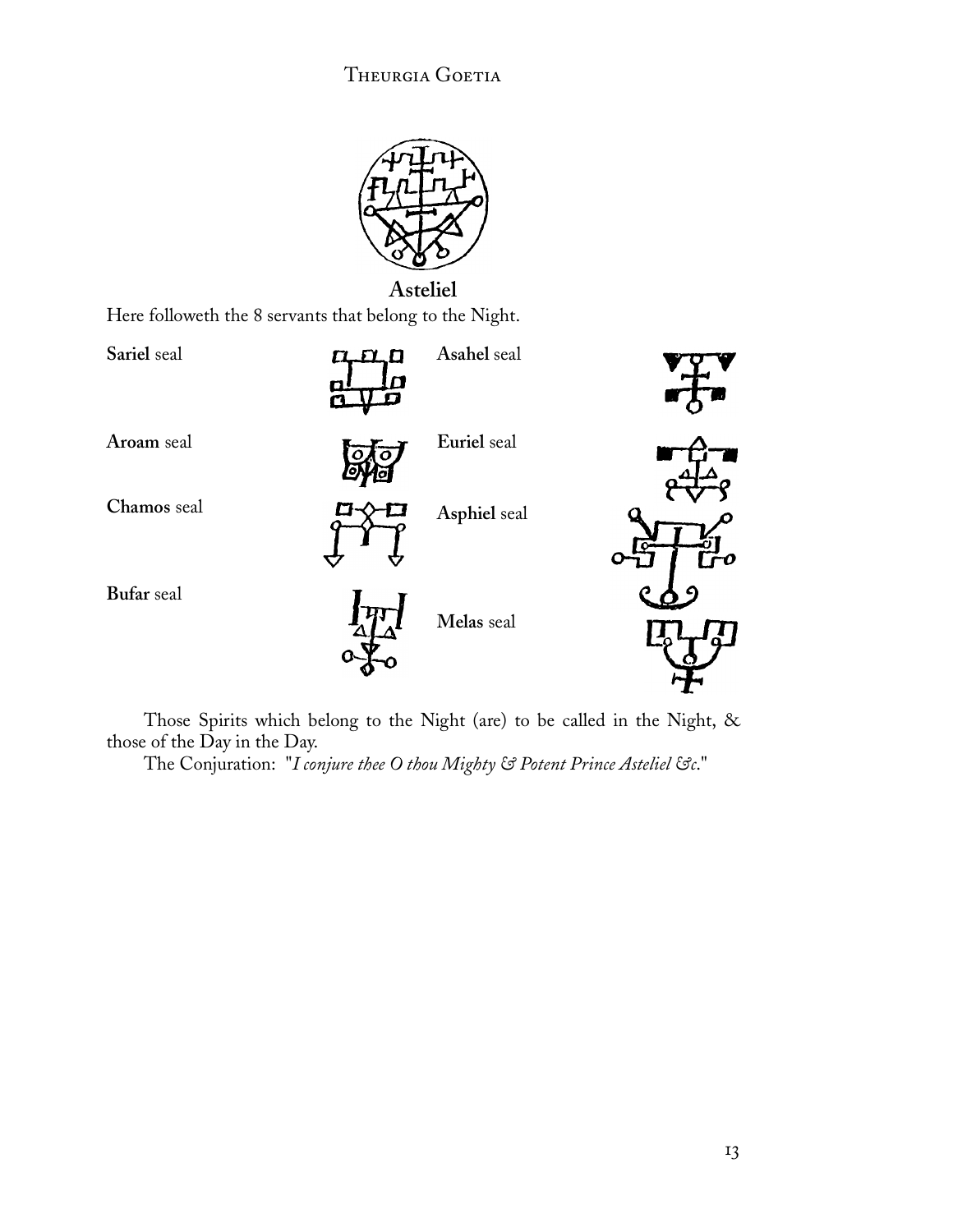![](_page_14_Picture_1.jpeg)

Here followeth the 8 servants that belong to the Night.

![](_page_14_Figure_3.jpeg)

Those Spirits which belong to the Night (are) to be called in the Night, & those of the Day in the Day.

The Conjuration: "*I conjure thee O thou Mighty & Potent Prince Asteliel &c*."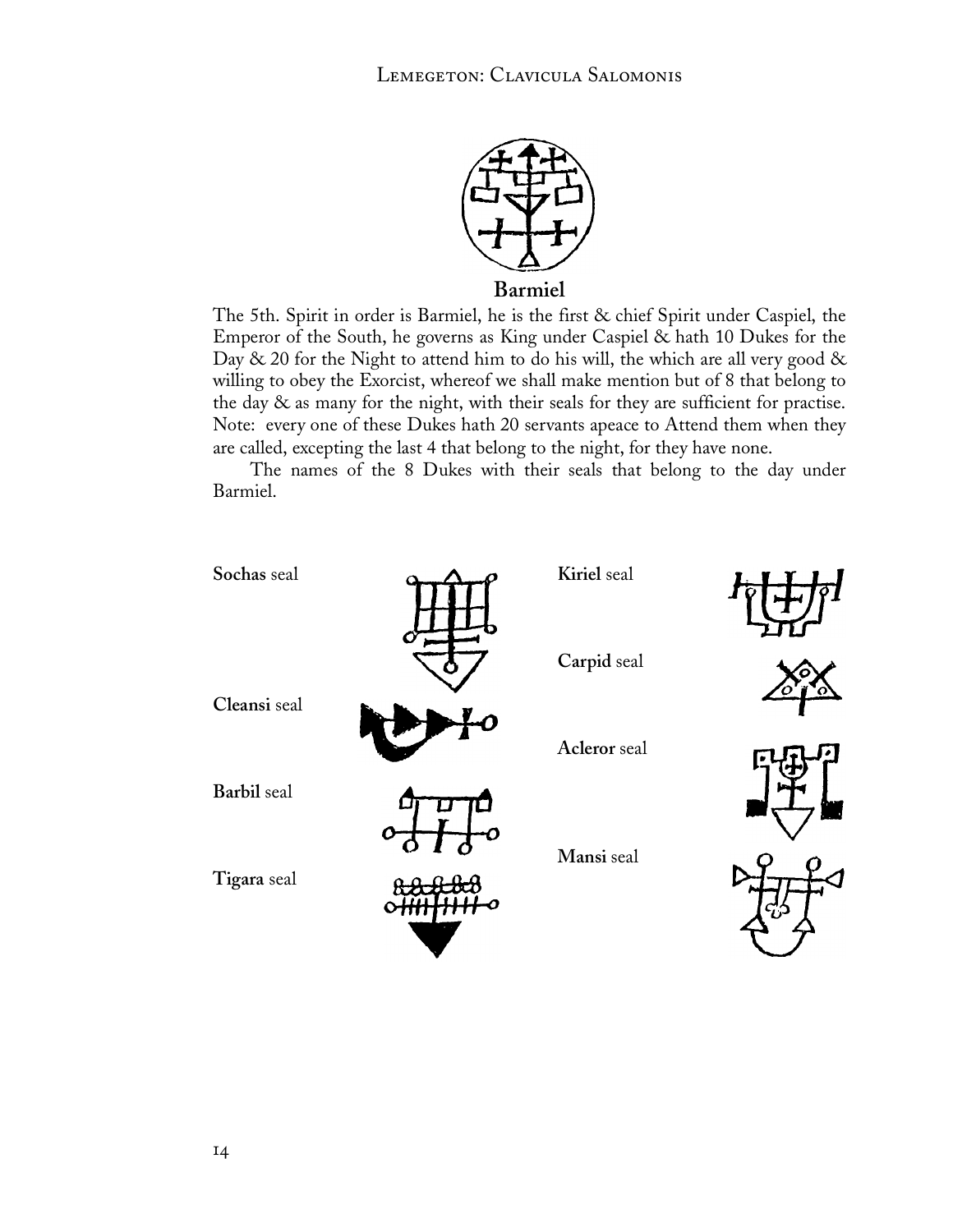![](_page_15_Picture_1.jpeg)

The 5th. Spirit in order is Barmiel, he is the first & chief Spirit under Caspiel, the Emperor of the South, he governs as King under Caspiel & hath 10 Dukes for the Day  $\&$  20 for the Night to attend him to do his will, the which are all very good  $\&$ willing to obey the Exorcist, whereof we shall make mention but of 8 that belong to the day & as many for the night, with their seals for they are sufficient for practise. Note: every one of these Dukes hath 20 servants apeace to Attend them when they are called, excepting the last 4 that belong to the night, for they have none.

The names of the 8 Dukes with their seals that belong to the day under Barmiel.

![](_page_15_Figure_4.jpeg)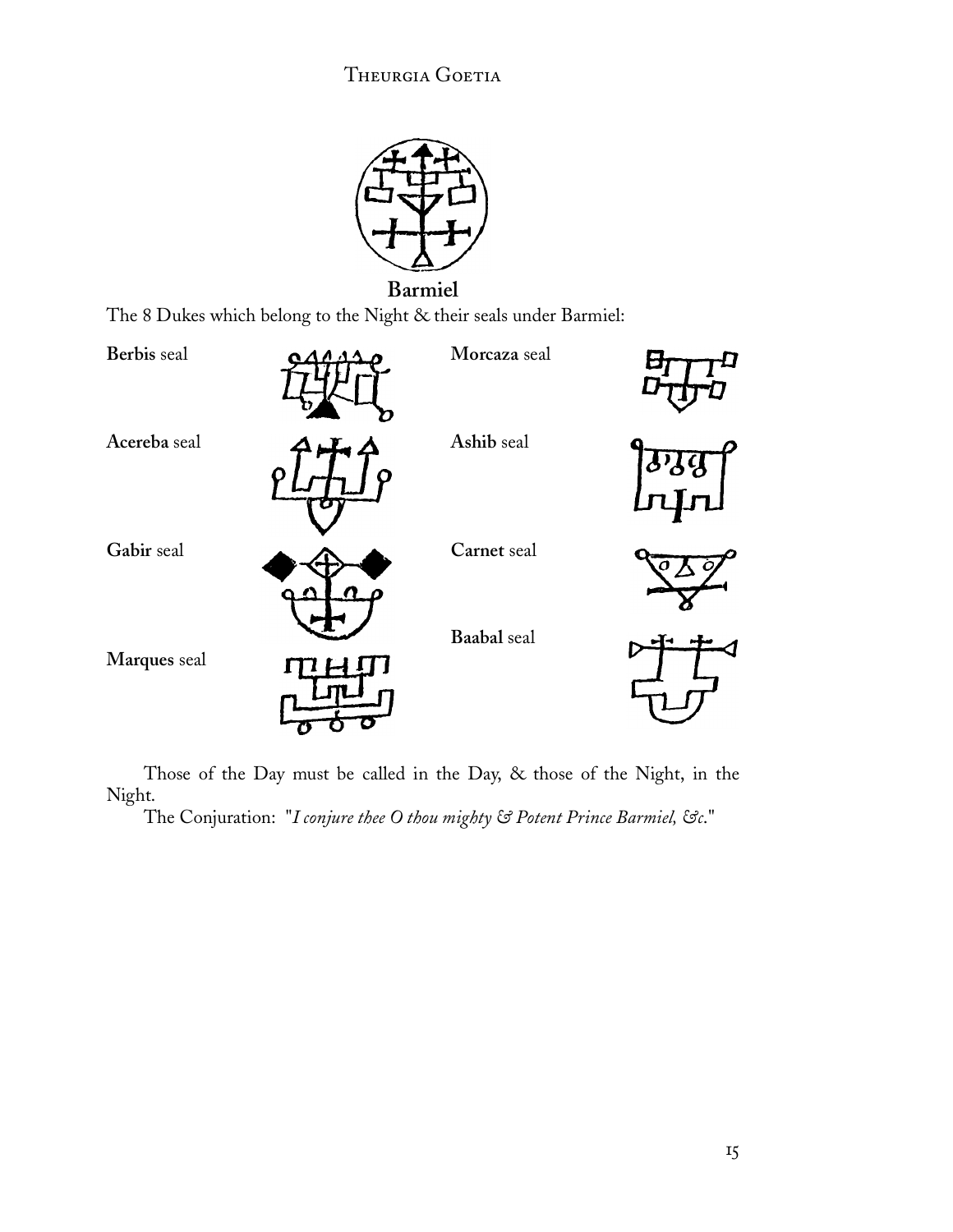![](_page_16_Figure_1.jpeg)

The 8 Dukes which belong to the Night & their seals under Barmiel:

![](_page_16_Figure_3.jpeg)

Those of the Day must be called in the Day, & those of the Night, in the Night.

The Conjuration: "*I conjure thee O thou mighty & Potent Prince Barmiel, &c*."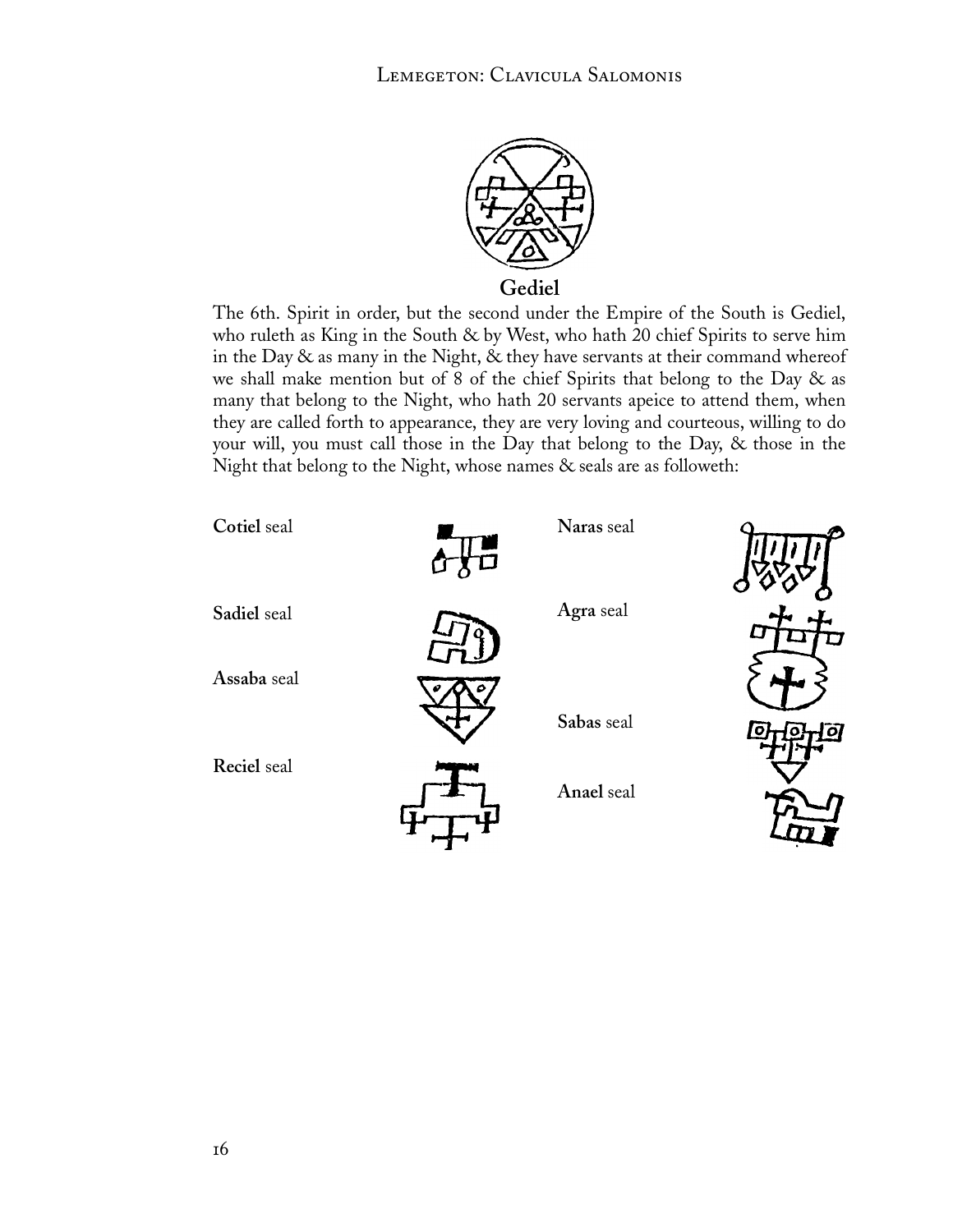![](_page_17_Picture_1.jpeg)

**Gediel**

The 6th. Spirit in order, but the second under the Empire of the South is Gediel, who ruleth as King in the South & by West, who hath 20 chief Spirits to serve him in the Day & as many in the Night, & they have servants at their command whereof we shall make mention but of 8 of the chief Spirits that belong to the Day & as many that belong to the Night, who hath 20 servants apeice to attend them, when they are called forth to appearance, they are very loving and courteous, willing to do your will, you must call those in the Day that belong to the Day, & those in the Night that belong to the Night, whose names & seals are as followeth:

![](_page_17_Figure_4.jpeg)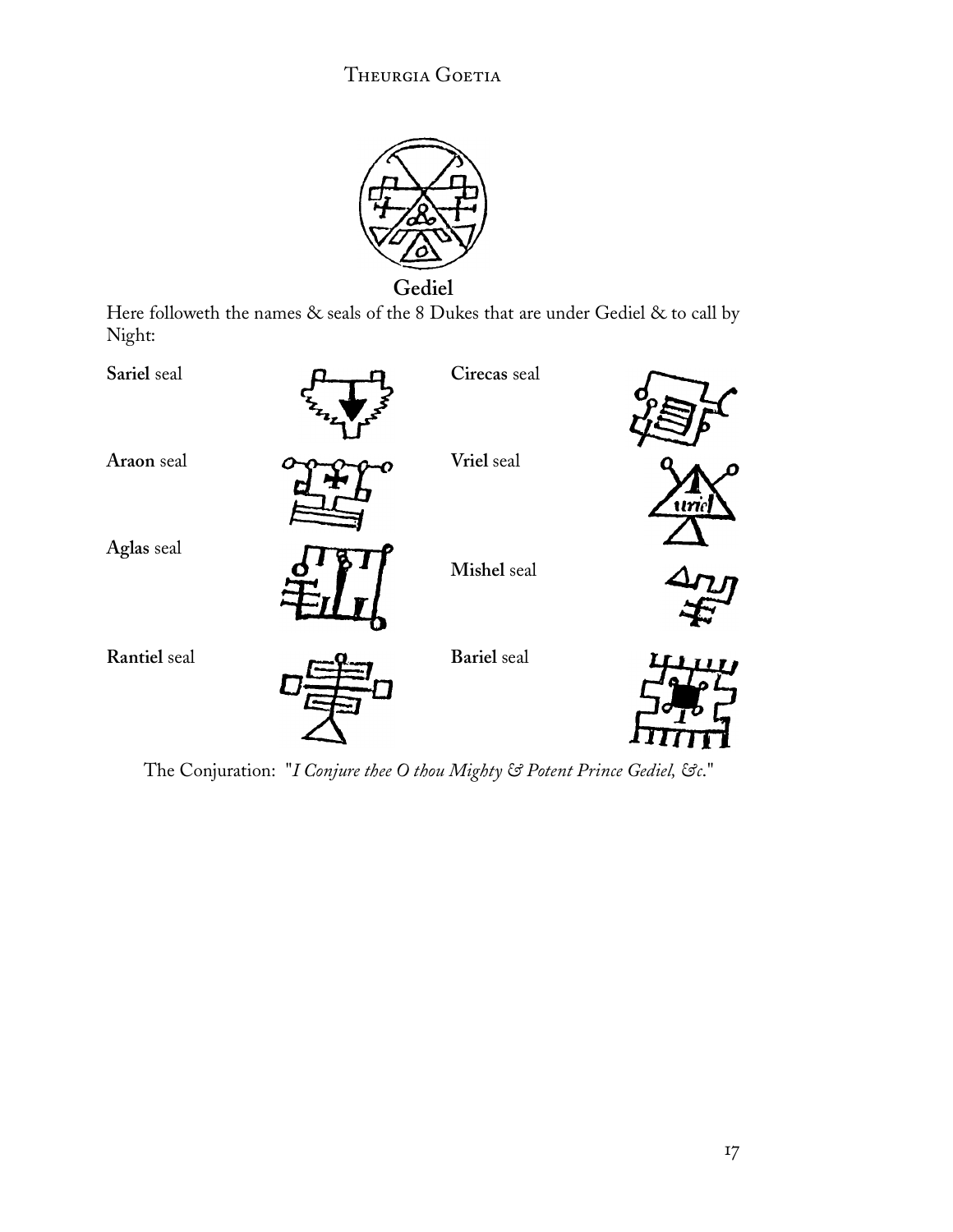![](_page_18_Picture_1.jpeg)

**Gediel**

Here followeth the names & seals of the 8 Dukes that are under Gediel & to call by Night:

![](_page_18_Figure_4.jpeg)

The Conjuration: "*I Conjure thee O thou Mighty & Potent Prince Gediel, &c*."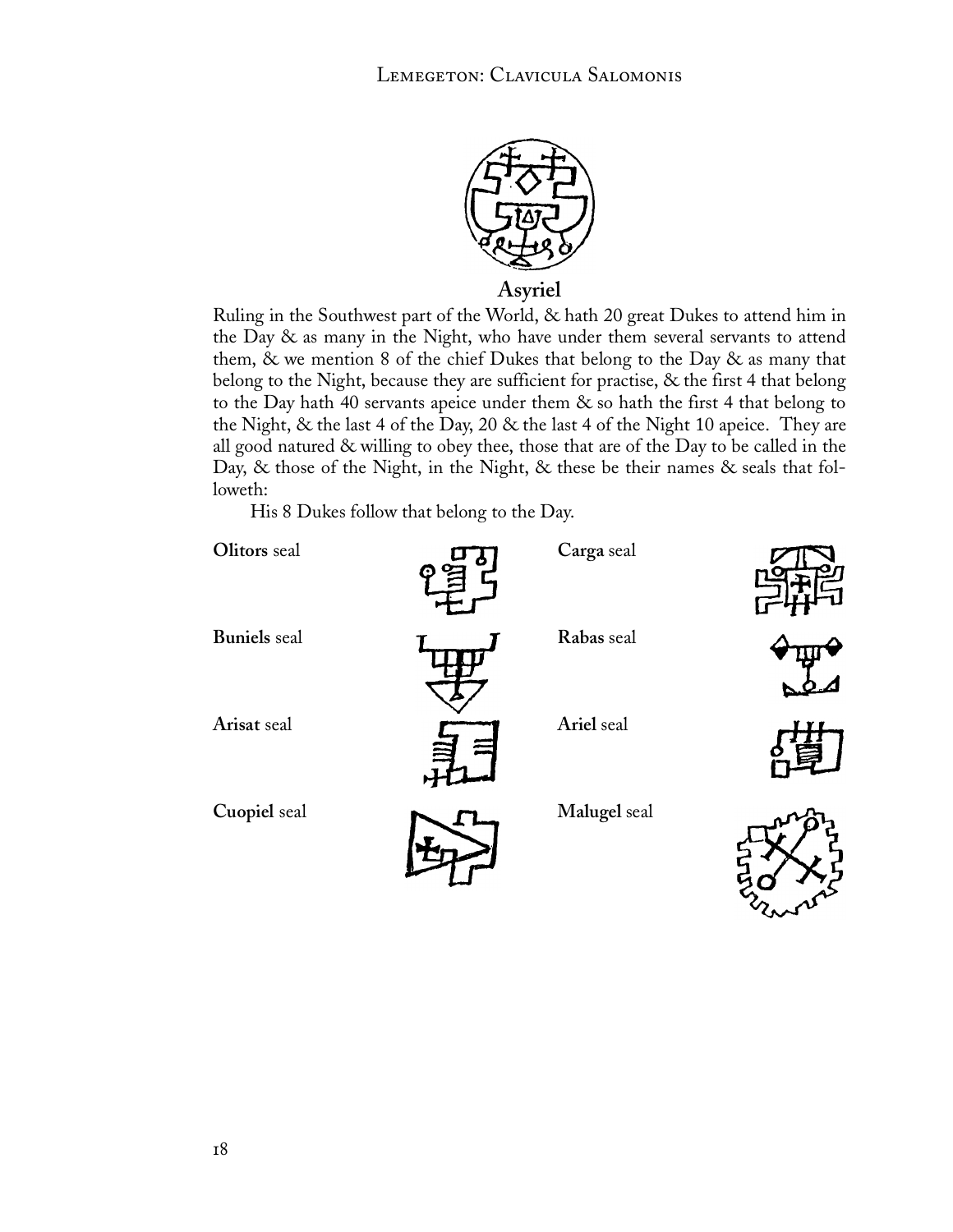![](_page_19_Picture_1.jpeg)

**Asyriel**

Ruling in the Southwest part of the World, & hath 20 great Dukes to attend him in the Day & as many in the Night, who have under them several servants to attend them,  $\&$  we mention 8 of the chief Dukes that belong to the Day  $\&$  as many that belong to the Night, because they are sufficient for practise, & the first 4 that belong to the Day hath 40 servants apeice under them & so hath the first 4 that belong to the Night, & the last 4 of the Day, 20 & the last 4 of the Night 10 apeice. They are all good natured & willing to obey thee, those that are of the Day to be called in the Day, & those of the Night, in the Night, & these be their names & seals that followeth:

His 8 Dukes follow that belong to the Day.

| Olitors seal        | Ç | Carga seal   |  |
|---------------------|---|--------------|--|
| <b>Buniels</b> seal |   | Rabas seal   |  |
| Arisat seal         |   | Ariel seal   |  |
| Cuopiel seal        |   | Malugel seal |  |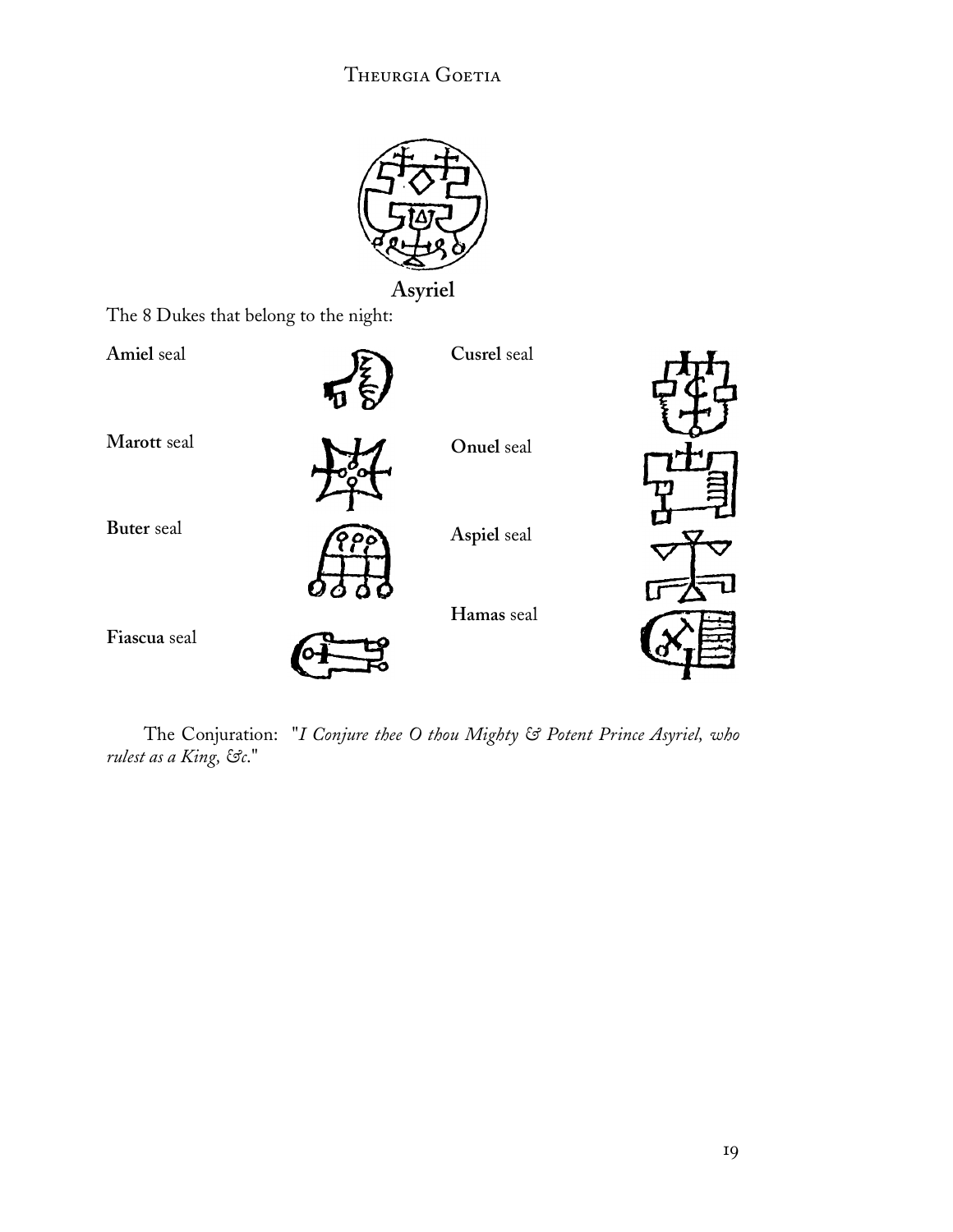![](_page_20_Picture_1.jpeg)

**Asyriel**

The 8 Dukes that belong to the night:

![](_page_20_Figure_4.jpeg)

The Conjuration: "*I Conjure thee O thou Mighty & Potent Prince Asyriel, who rulest as a King, &c*."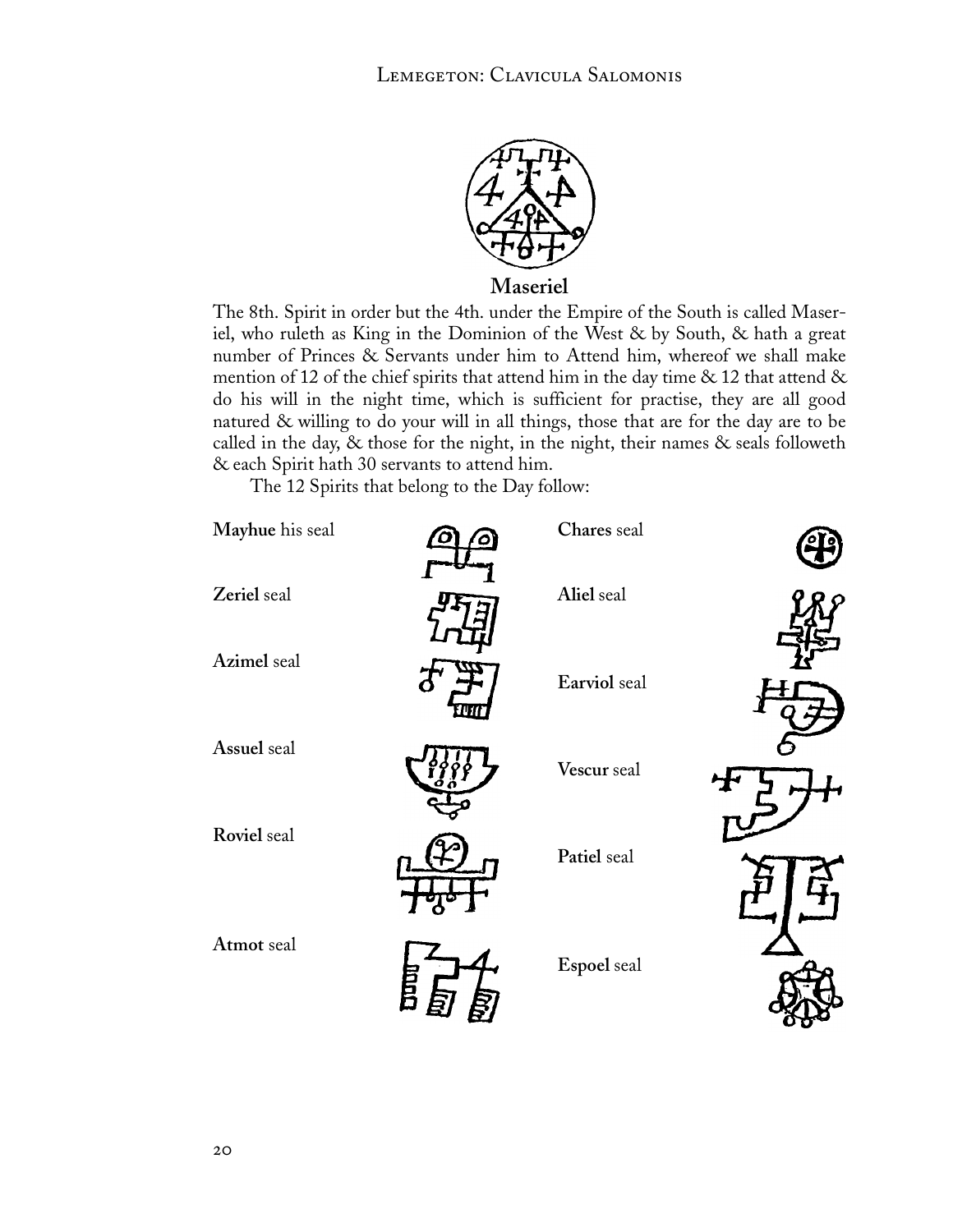![](_page_21_Picture_1.jpeg)

**Maseriel**

The 8th. Spirit in order but the 4th. under the Empire of the South is called Maseriel, who ruleth as King in the Dominion of the West & by South, & hath a great number of Princes & Servants under him to Attend him, whereof we shall make mention of 12 of the chief spirits that attend him in the day time  $\&$  12 that attend  $\&$ do his will in the night time, which is sufficient for practise, they are all good natured & willing to do your will in all things, those that are for the day are to be called in the day, & those for the night, in the night, their names & seals followeth & each Spirit hath 30 servants to attend him.

The 12 Spirits that belong to the Day follow:

![](_page_21_Figure_5.jpeg)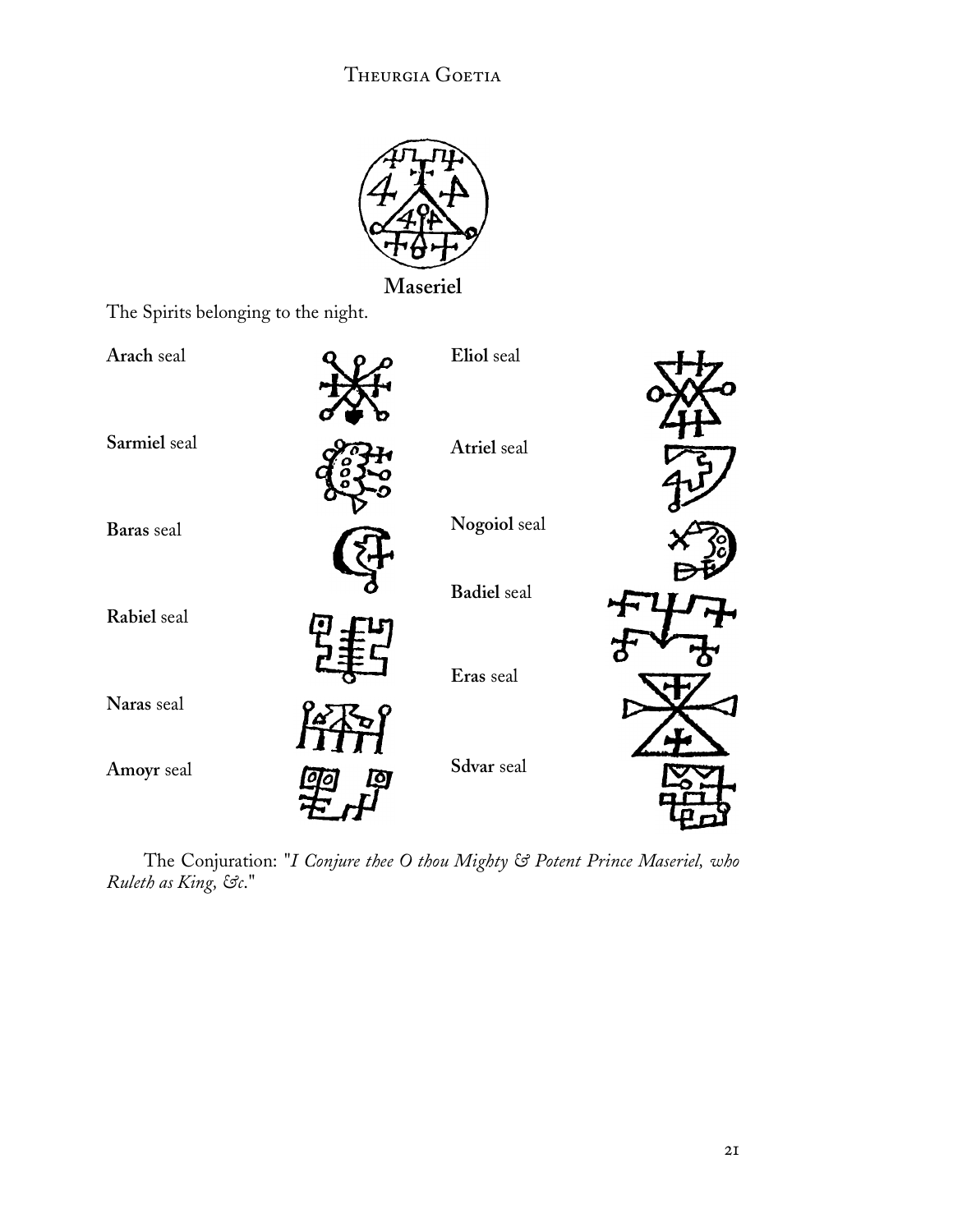![](_page_22_Picture_1.jpeg)

**Maseriel**

The Spirits belonging to the night.

| Arach seal   | Eliol seal         |  |
|--------------|--------------------|--|
| Sarmiel seal | Atriel seal        |  |
| Baras seal   | Nogoiol seal       |  |
| Rabiel seal  | <b>Badiel</b> seal |  |
| Naras seal   | Eras seal          |  |
| Amoyr seal   | Sdvar seal         |  |
|              |                    |  |

The Conjuration: "*I Conjure thee O thou Mighty & Potent Prince Maseriel, who Ruleth as King, &c*."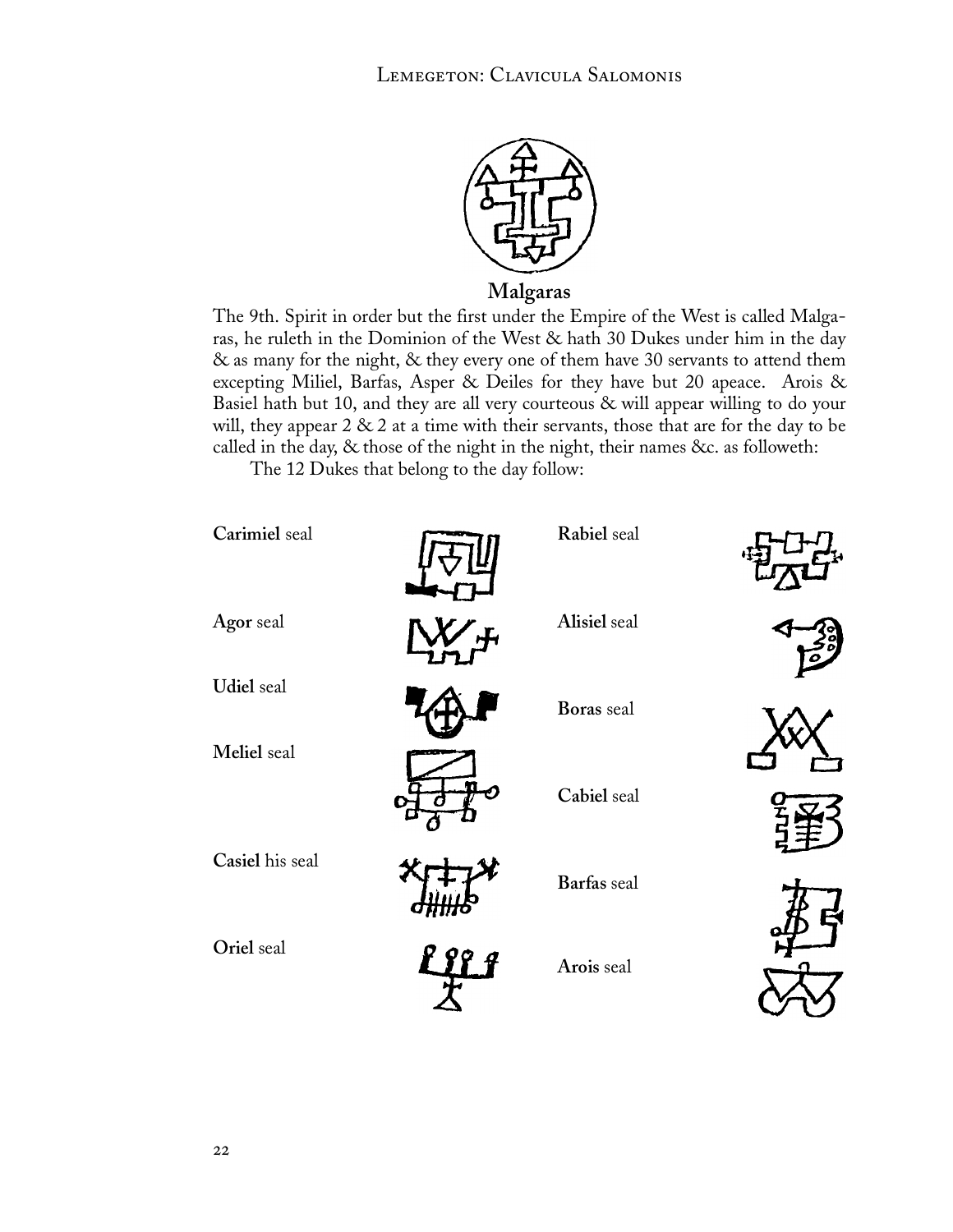![](_page_23_Picture_1.jpeg)

**Malgaras**

The 9th. Spirit in order but the first under the Empire of the West is called Malgaras, he ruleth in the Dominion of the West & hath 30 Dukes under him in the day & as many for the night, & they every one of them have 30 servants to attend them excepting Miliel, Barfas, Asper & Deiles for they have but 20 apeace. Arois & Basiel hath but 10, and they are all very courteous & will appear willing to do your will, they appear  $2 \& 2$  at a time with their servants, those that are for the day to be called in the day, & those of the night in the night, their names &c. as followeth:

The 12 Dukes that belong to the day follow:

![](_page_23_Figure_5.jpeg)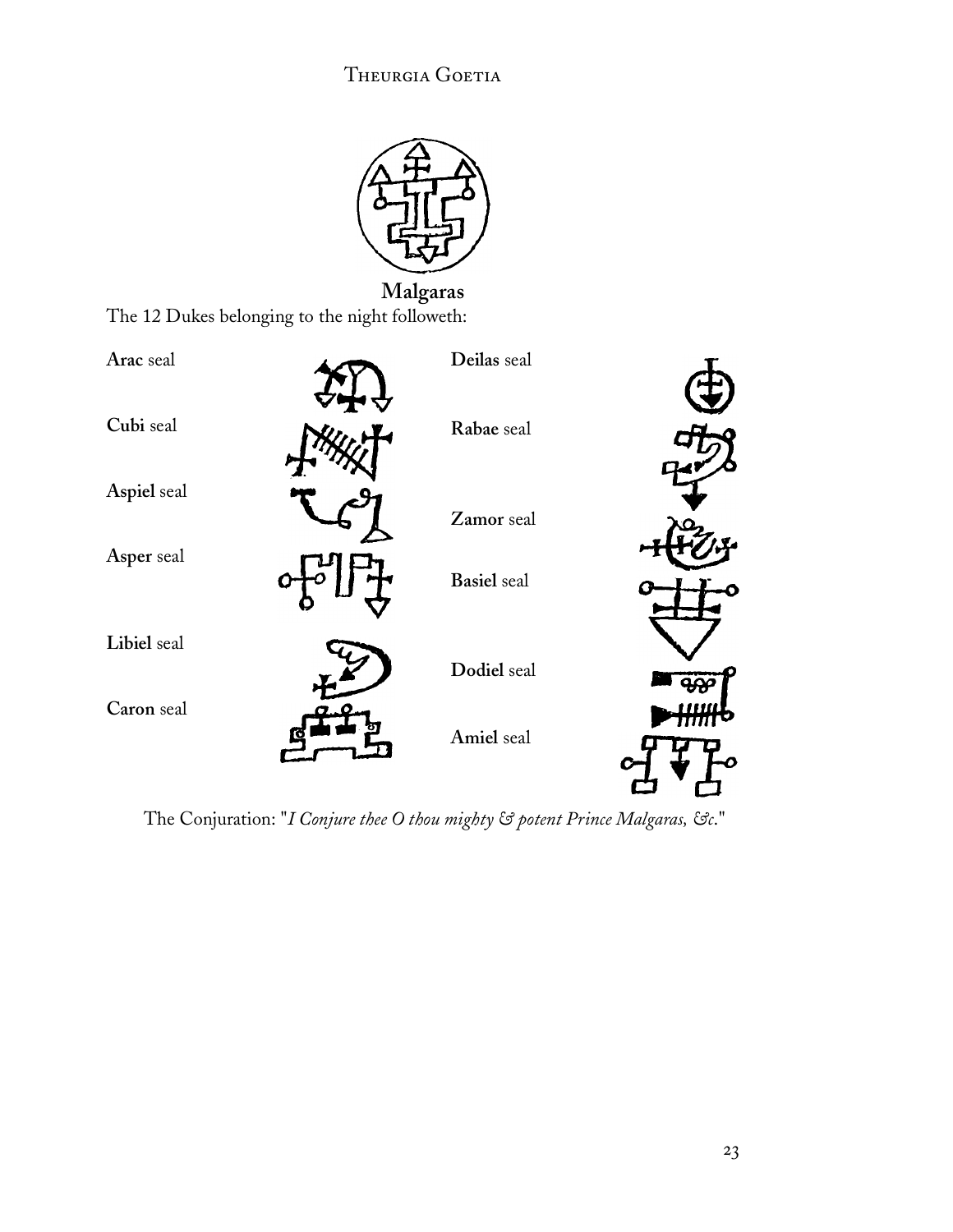![](_page_24_Picture_1.jpeg)

**Malgaras** The 12 Dukes belonging to the night followeth:

![](_page_24_Figure_3.jpeg)

The Conjuration: "*I Conjure thee O thou mighty & potent Prince Malgaras, &c*."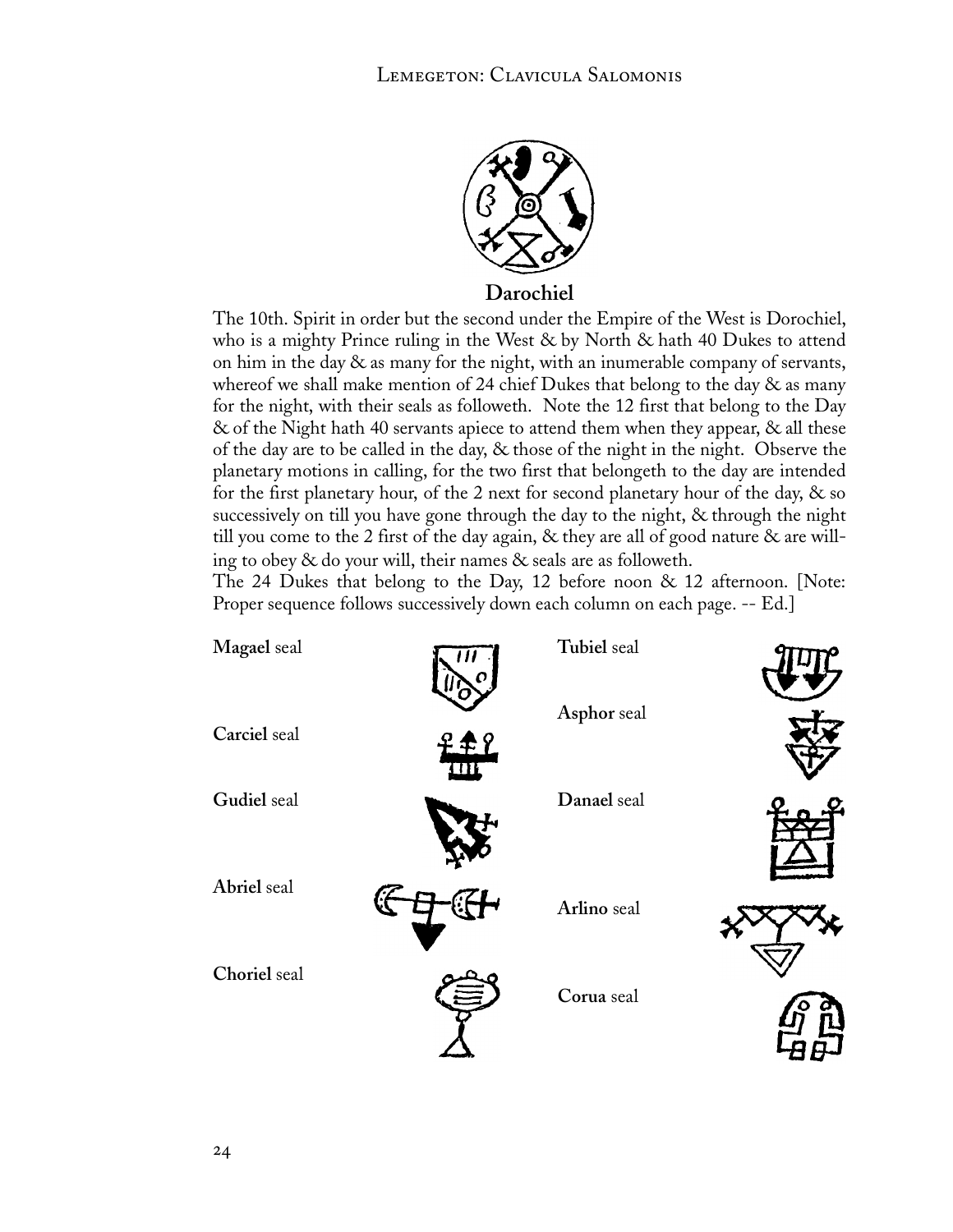![](_page_25_Picture_1.jpeg)

**Darochiel**

The 10th. Spirit in order but the second under the Empire of the West is Dorochiel, who is a mighty Prince ruling in the West & by North & hath 40 Dukes to attend on him in the day  $\&$  as many for the night, with an inumerable company of servants, whereof we shall make mention of 24 chief Dukes that belong to the day & as many for the night, with their seals as followeth. Note the 12 first that belong to the Day & of the Night hath 40 servants apiece to attend them when they appear, & all these of the day are to be called in the day, & those of the night in the night. Observe the planetary motions in calling, for the two first that belongeth to the day are intended for the first planetary hour, of the 2 next for second planetary hour of the day, & so successively on till you have gone through the day to the night, & through the night till you come to the 2 first of the day again, & they are all of good nature & are willing to obey & do your will, their names & seals are as followeth.

The 24 Dukes that belong to the Day, 12 before noon & 12 afternoon. [Note: Proper sequence follows successively down each column on each page. -- Ed.]

| Magael seal  | Tubiel seal |  |
|--------------|-------------|--|
| Carciel seal | Asphor seal |  |
| Gudiel seal  | Danael seal |  |
| Abriel seal  | Arlino seal |  |
| Choriel seal | Corua seal  |  |
|              |             |  |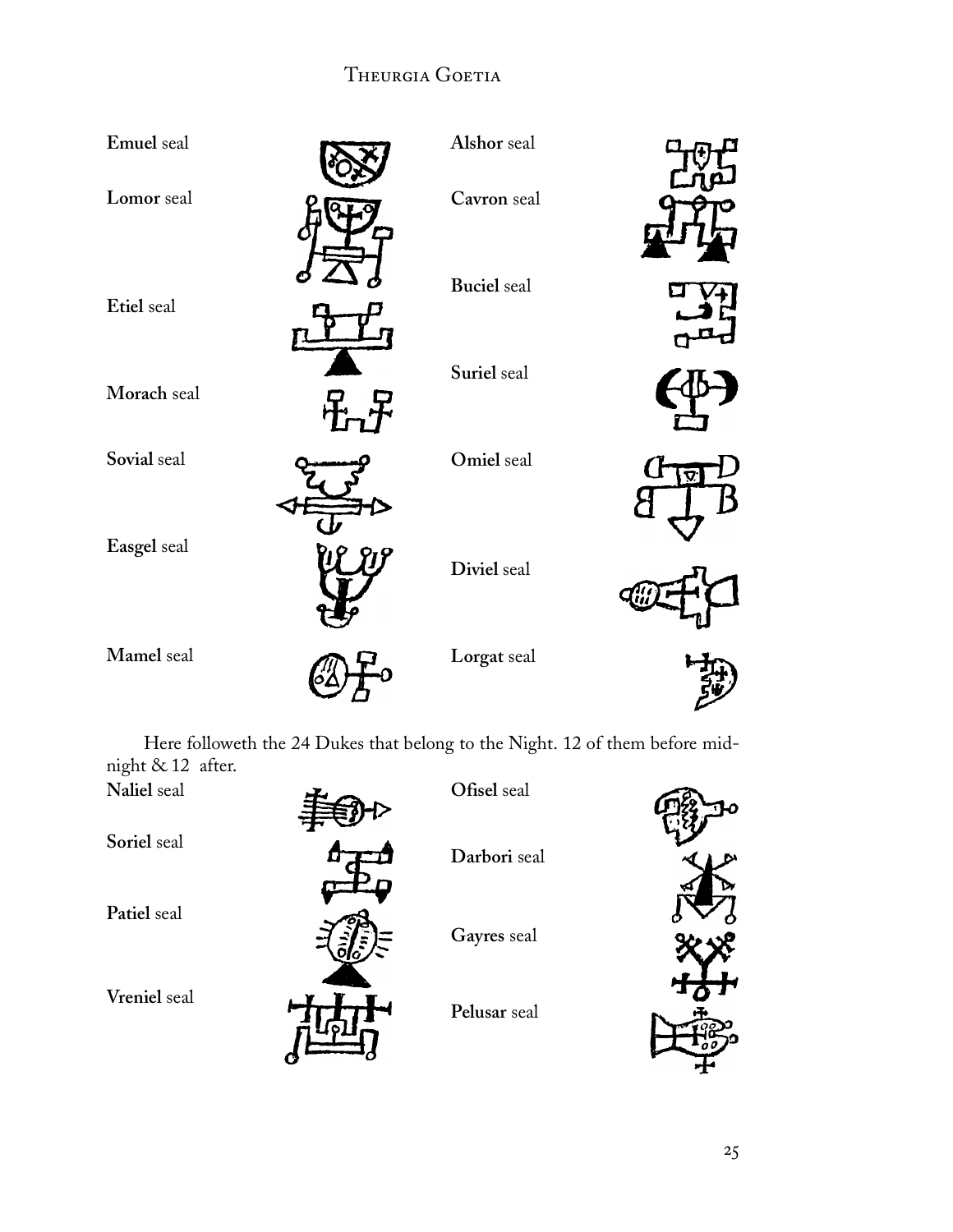| Emuel seal  | Alshor seal        |  |
|-------------|--------------------|--|
| Lomor seal  | Cavron seal        |  |
| Etiel seal  | <b>Buciel</b> seal |  |
| Morach seal | Suriel seal        |  |
| Sovial seal | Omiel seal         |  |
| Easgel seal | Diviel seal        |  |
| Mamel seal  | Lorgat seal        |  |

Here followeth the 24 Dukes that belong to the Night. 12 of them before midnight & 12 after.

| Naliel seal  | Ofisel seal  |  |
|--------------|--------------|--|
| Soriel seal  | Darbori seal |  |
| Patiel seal  | Gayres seal  |  |
| Vreniel seal | Pelusar seal |  |
|              |              |  |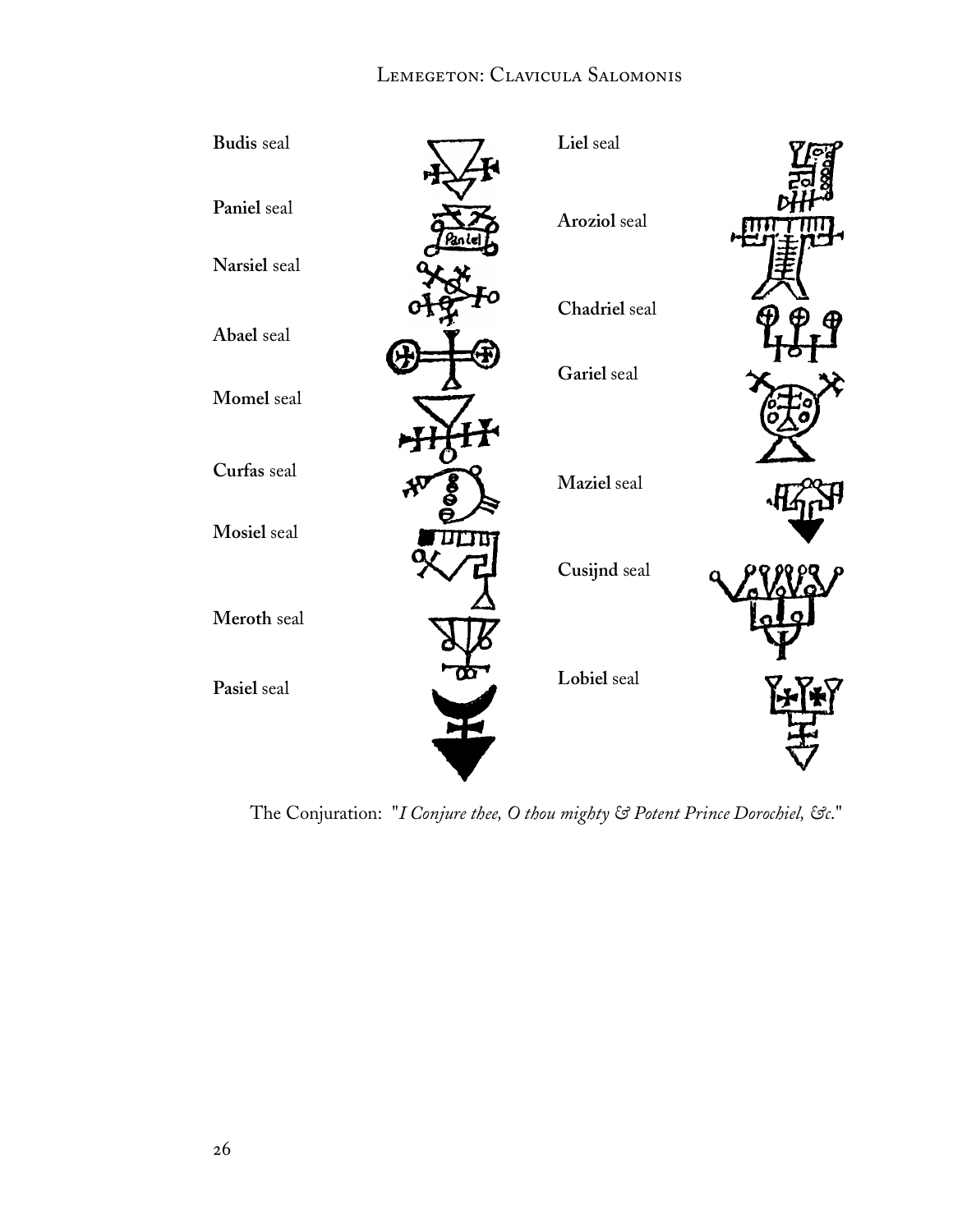### LEMEGETON: CLAVICULA SALOMONIS

![](_page_27_Figure_1.jpeg)

The Conjuration: "*I Conjure thee, O thou mighty & Potent Prince Dorochiel, &c*."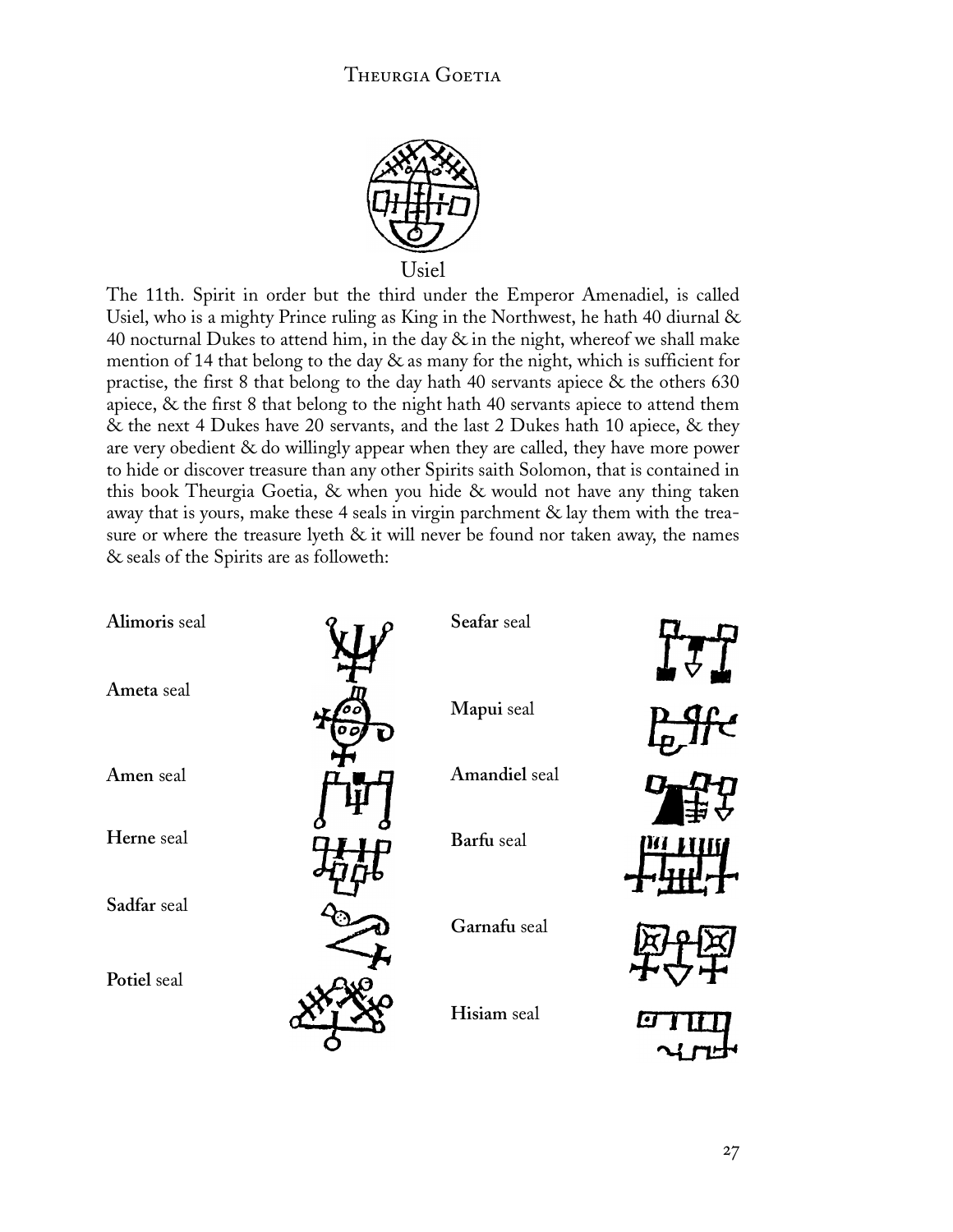![](_page_28_Picture_1.jpeg)

The 11th. Spirit in order but the third under the Emperor Amenadiel, is called Usiel, who is a mighty Prince ruling as King in the Northwest, he hath 40 diurnal & 40 nocturnal Dukes to attend him, in the day  $\&$  in the night, whereof we shall make mention of 14 that belong to the day & as many for the night, which is sufficient for practise, the first 8 that belong to the day hath 40 servants apiece & the others 630 apiece, & the first 8 that belong to the night hath 40 servants apiece to attend them & the next 4 Dukes have 20 servants, and the last 2 Dukes hath 10 apiece, & they are very obedient & do willingly appear when they are called, they have more power to hide or discover treasure than any other Spirits saith Solomon, that is contained in this book Theurgia Goetia, & when you hide & would not have any thing taken away that is yours, make these 4 seals in virgin parchment & lay them with the treasure or where the treasure lyeth & it will never be found nor taken away, the names & seals of the Spirits are as followeth:

| Alimoris seal | Seafar seal   |  |
|---------------|---------------|--|
| Ameta seal    | Mapui seal    |  |
| Amen seal     | Amandiel seal |  |
| Herne seal    | Barfu seal    |  |
| Sadfar seal   | Garnafu seal  |  |
| Potiel seal   | Hisiam seal   |  |
|               |               |  |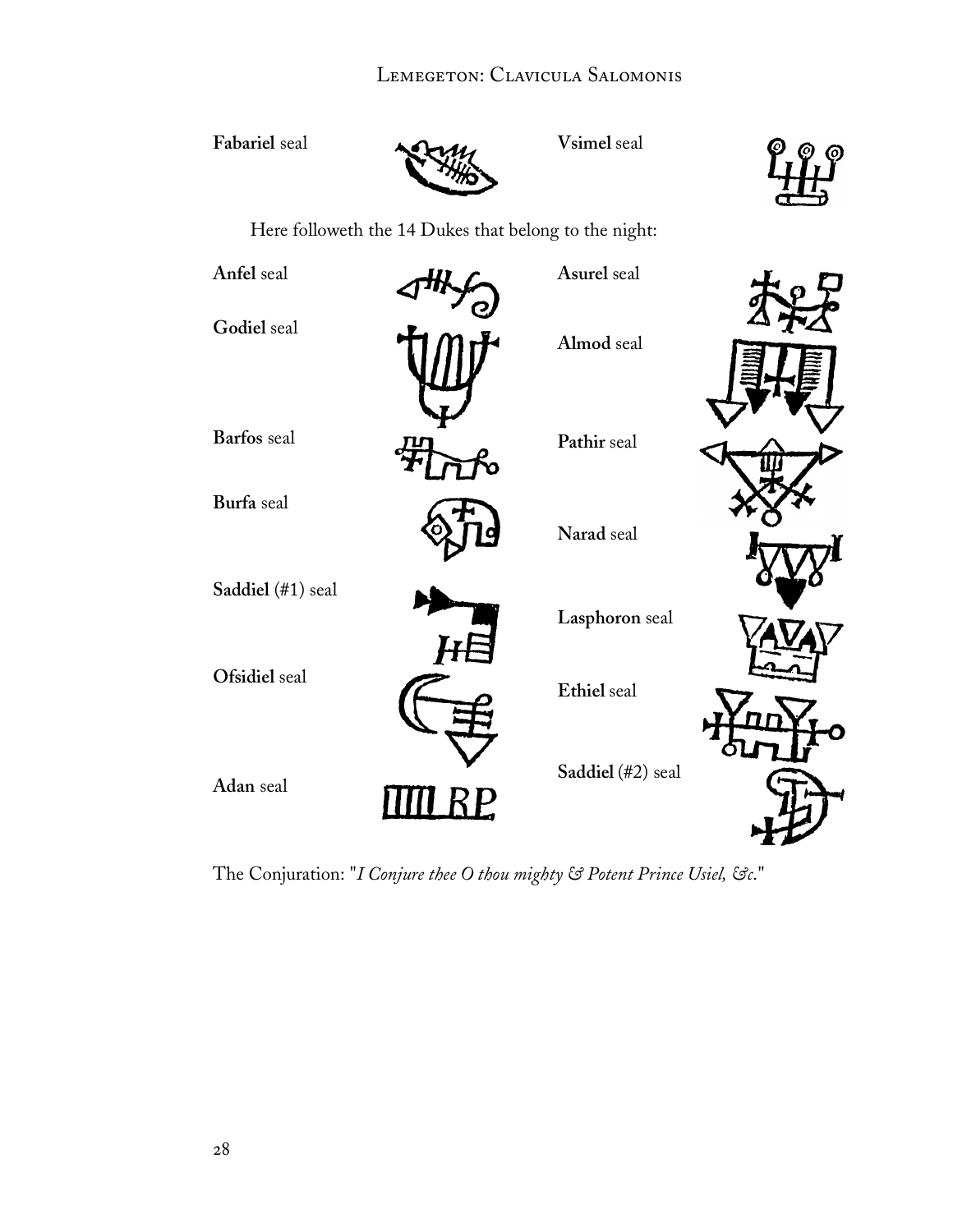### LEMEGETON: CLAVICULA SALOMONIS

Fabariel seal **Alternative Seal** Vsimel seal

![](_page_29_Picture_3.jpeg)

Here followeth the 14 Dukes that belong to the night:

| Anfel seal        |   | Asurel seal       |  |
|-------------------|---|-------------------|--|
| Godiel seal       |   | Almod seal        |  |
| Barfos seal       |   | Pathir seal       |  |
| Burfa seal        |   | Narad seal        |  |
| Saddiel (#1) seal |   | Lasphoron seal    |  |
| Ofsidiel seal     |   | Ethiel seal       |  |
| Adan seal         | Р | Saddiel (#2) seal |  |

The Conjuration: "*I Conjure thee O thou mighty & Potent Prince Usiel, &c*."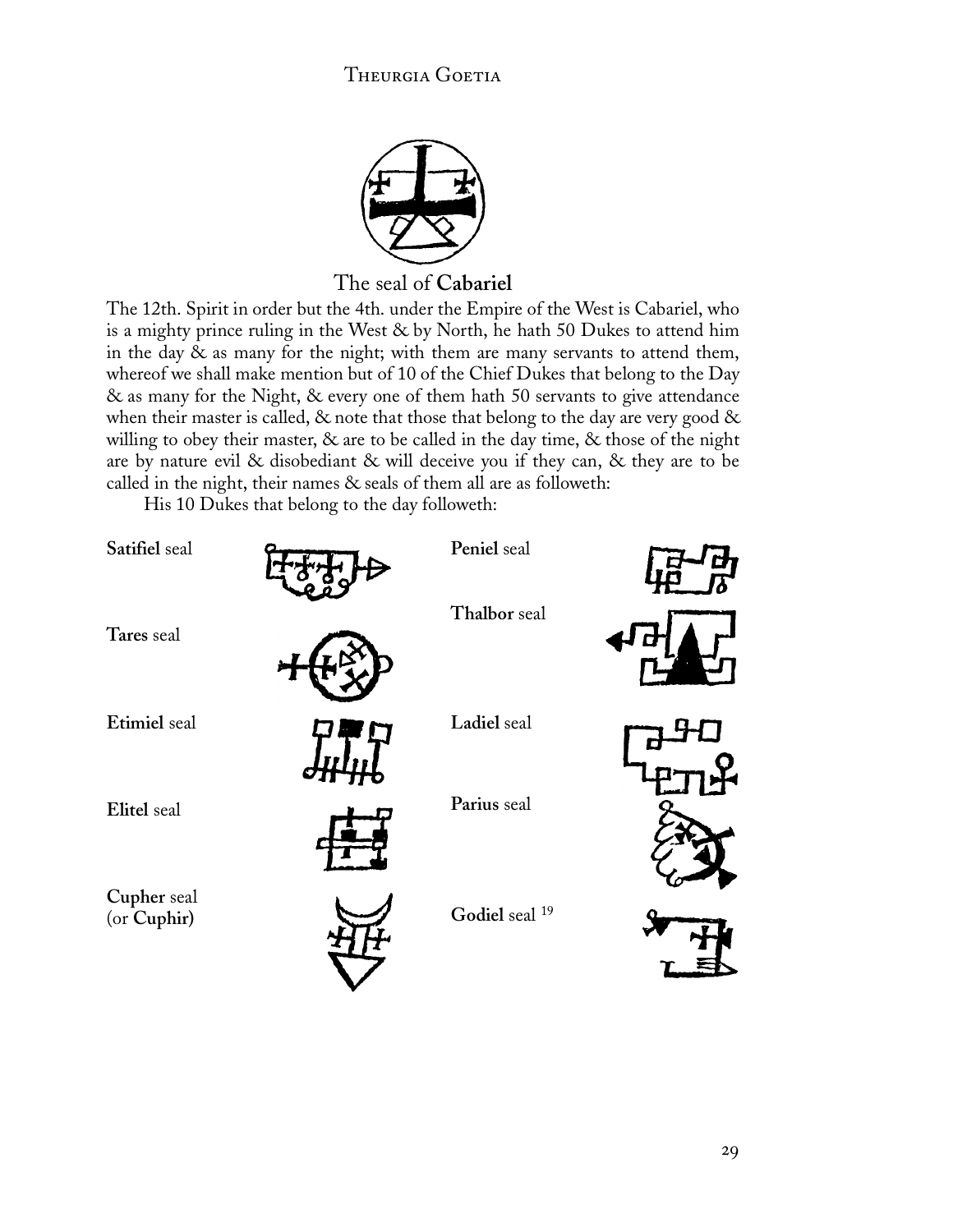![](_page_30_Picture_1.jpeg)

The seal of **Cabariel**

The 12th. Spirit in order but the 4th. under the Empire of the West is Cabariel, who is a mighty prince ruling in the West & by North, he hath 50 Dukes to attend him in the day & as many for the night; with them are many servants to attend them, whereof we shall make mention but of 10 of the Chief Dukes that belong to the Day & as many for the Night, & every one of them hath 50 servants to give attendance when their master is called,  $\&$  note that those that belong to the day are very good  $\&$ willing to obey their master, & are to be called in the day time, & those of the night are by nature evil & disobediant & will deceive you if they can, & they are to be called in the night, their names & seals of them all are as followeth:

His 10 Dukes that belong to the day followeth:

| Satifiel seal              | Peniel seal               |  |
|----------------------------|---------------------------|--|
| Tares seal                 | Thalbor seal              |  |
| Etimiel seal               | Ladiel seal               |  |
| Elitel seal                | Parius seal               |  |
| Cupher seal<br>(or Cuphir) | Godiel seal <sup>19</sup> |  |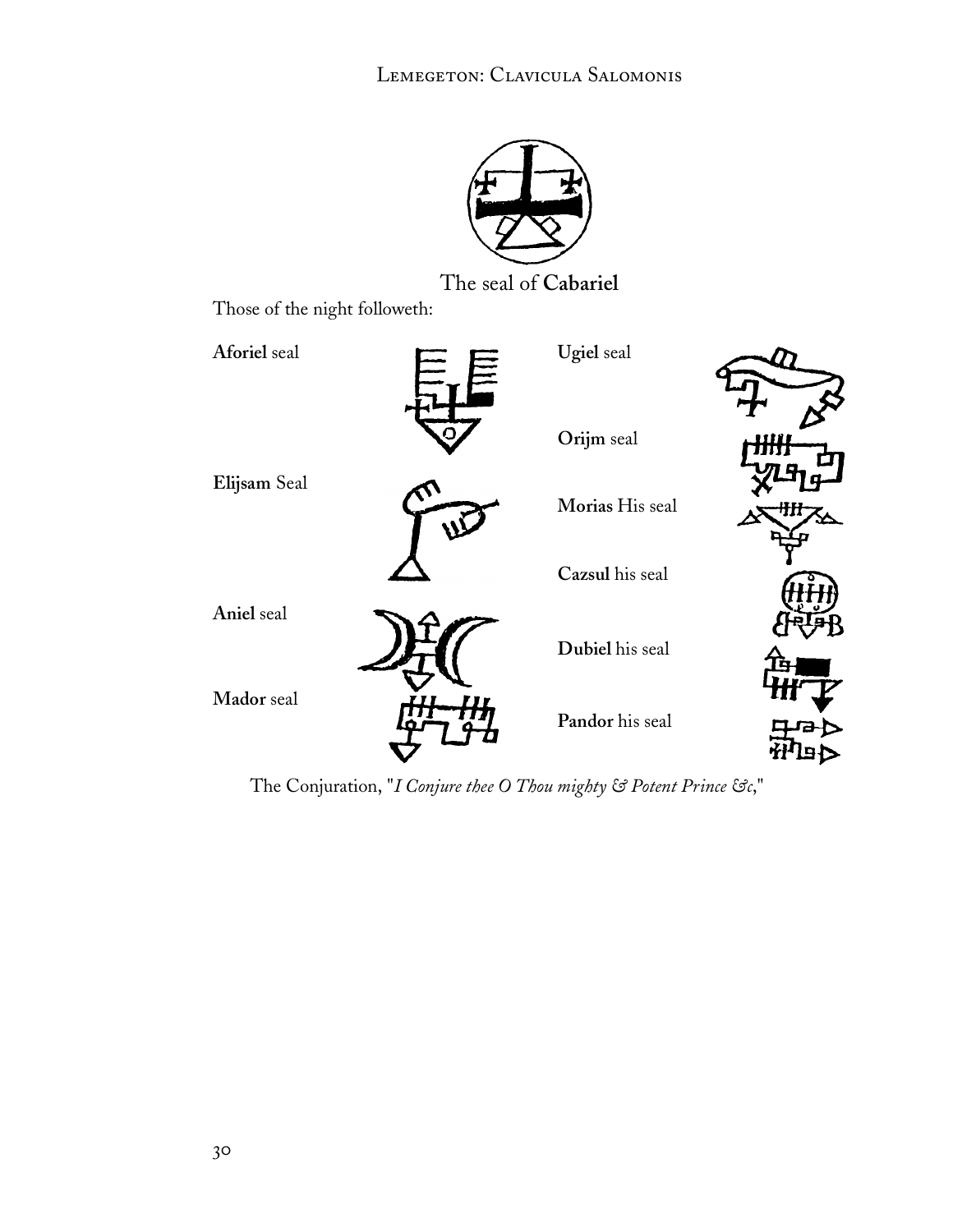![](_page_31_Picture_1.jpeg)

The seal of **Cabariel**

Those of the night followeth:

![](_page_31_Figure_4.jpeg)

The Conjuration, "*I Conjure thee O Thou mighty & Potent Prince &c*,"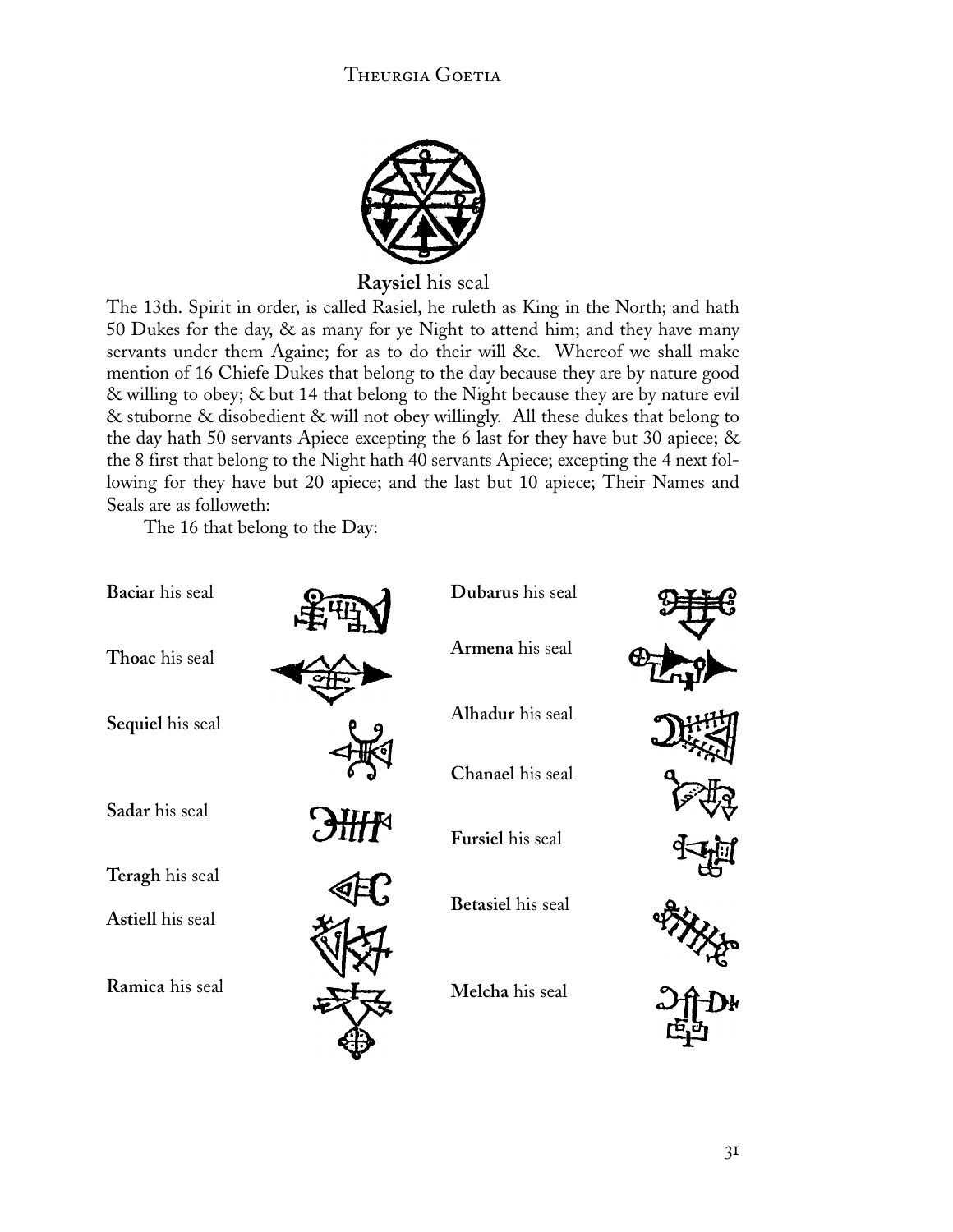![](_page_32_Picture_1.jpeg)

**Raysiel** his seal

The 13th. Spirit in order, is called Rasiel, he ruleth as King in the North; and hath 50 Dukes for the day, & as many for ye Night to attend him; and they have many servants under them Againe; for as to do their will &c. Whereof we shall make mention of 16 Chiefe Dukes that belong to the day because they are by nature good & willing to obey; & but 14 that belong to the Night because they are by nature evil & stuborne & disobedient & will not obey willingly. All these dukes that belong to the day hath 50 servants Apiece excepting the 6 last for they have but 30 apiece; & the 8 first that belong to the Night hath 40 servants Apiece; excepting the 4 next following for they have but 20 apiece; and the last but 10 apiece; Their Names and Seals are as followeth:

The 16 that belong to the Day:

| Baciar his seal  | Dubarus his seal  |  |
|------------------|-------------------|--|
| Thoac his seal   | Armena his seal   |  |
| Sequiel his seal | Alhadur his seal  |  |
|                  | Chanael his seal  |  |
| Sadar his seal   | Fursiel his seal  |  |
| Teragh his seal  |                   |  |
| Astiell his seal | Betasiel his seal |  |
| Ramica his seal  | Melcha his seal   |  |
|                  |                   |  |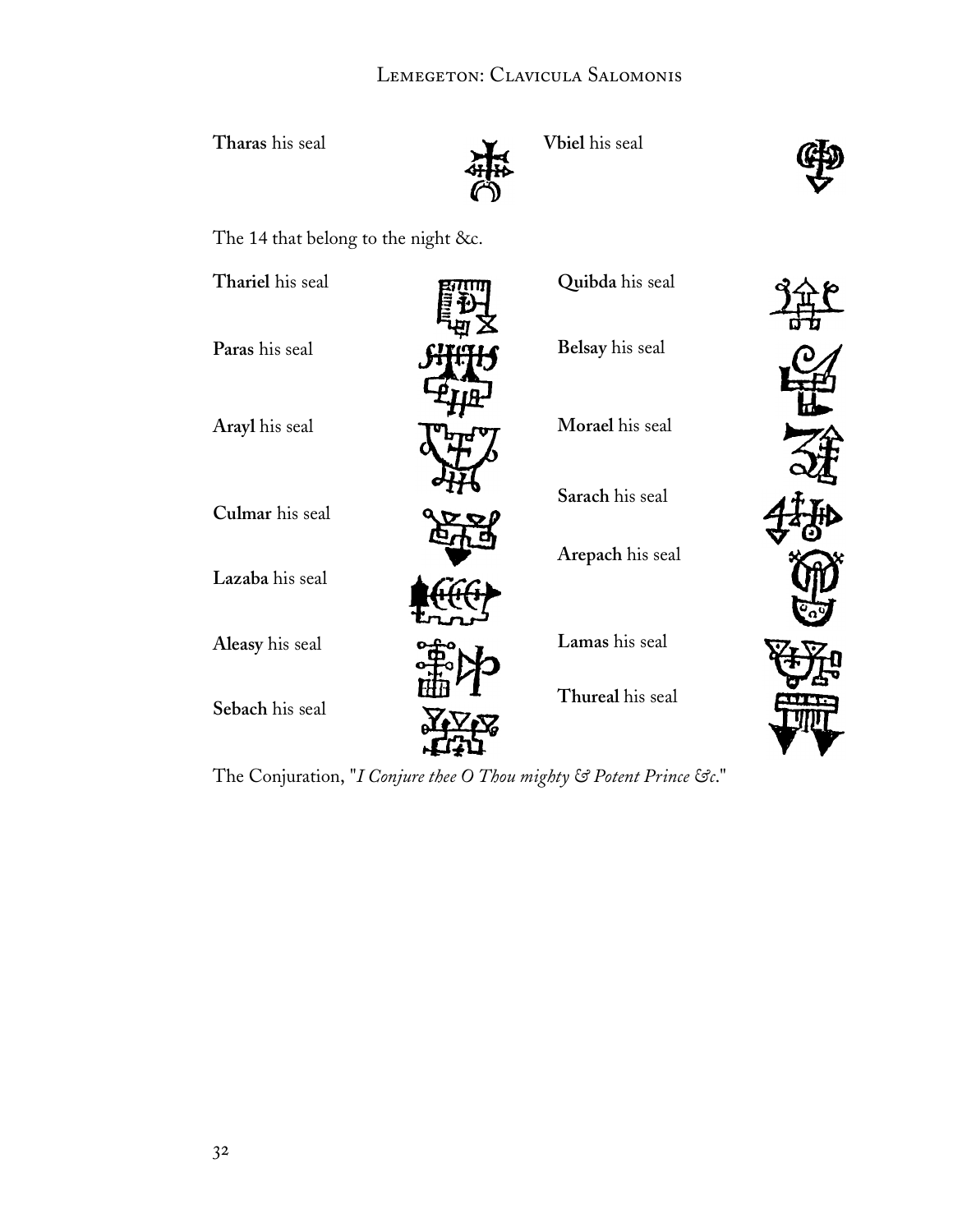### LEMEGETON: CLAVICULA SALOMONIS

Tharas his seal **Vbiel** his seal

![](_page_33_Picture_3.jpeg)

The 14 that belong to the night &c.

| Thariel his seal | Quibda his seal  |  |
|------------------|------------------|--|
| Paras his seal   | Belsay his seal  |  |
| Arayl his seal   | Morael his seal  |  |
| Culmar his seal  | Sarach his seal  |  |
| Lazaba his seal  | Arepach his seal |  |
| Aleasy his seal  | Lamas his seal   |  |
| Sebach his seal  | Thureal his seal |  |

The Conjuration, "*I Conjure thee O Thou mighty & Potent Prince &c*."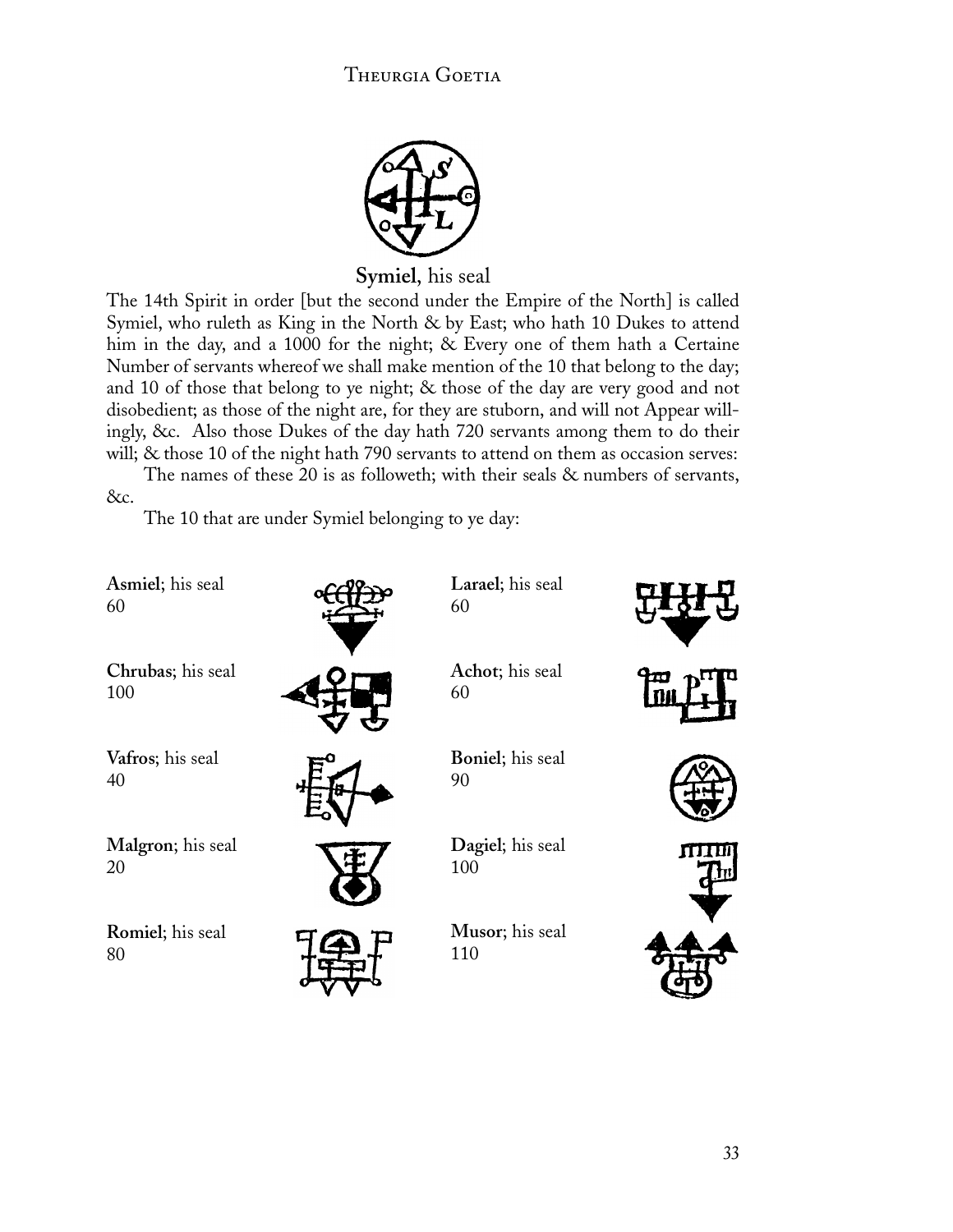![](_page_34_Picture_1.jpeg)

**Symiel**, his seal

The 14th Spirit in order [but the second under the Empire of the North] is called Symiel, who ruleth as King in the North & by East; who hath 10 Dukes to attend him in the day, and a 1000 for the night; & Every one of them hath a Certaine Number of servants whereof we shall make mention of the 10 that belong to the day; and 10 of those that belong to ye night; & those of the day are very good and not disobedient; as those of the night are, for they are stuborn, and will not Appear willingly, &c. Also those Dukes of the day hath 720 servants among them to do their will; & those 10 of the night hath 790 servants to attend on them as occasion serves:

The names of these 20 is as followeth; with their seals & numbers of servants, &c.

The 10 that are under Symiel belonging to ye day:

![](_page_34_Figure_6.jpeg)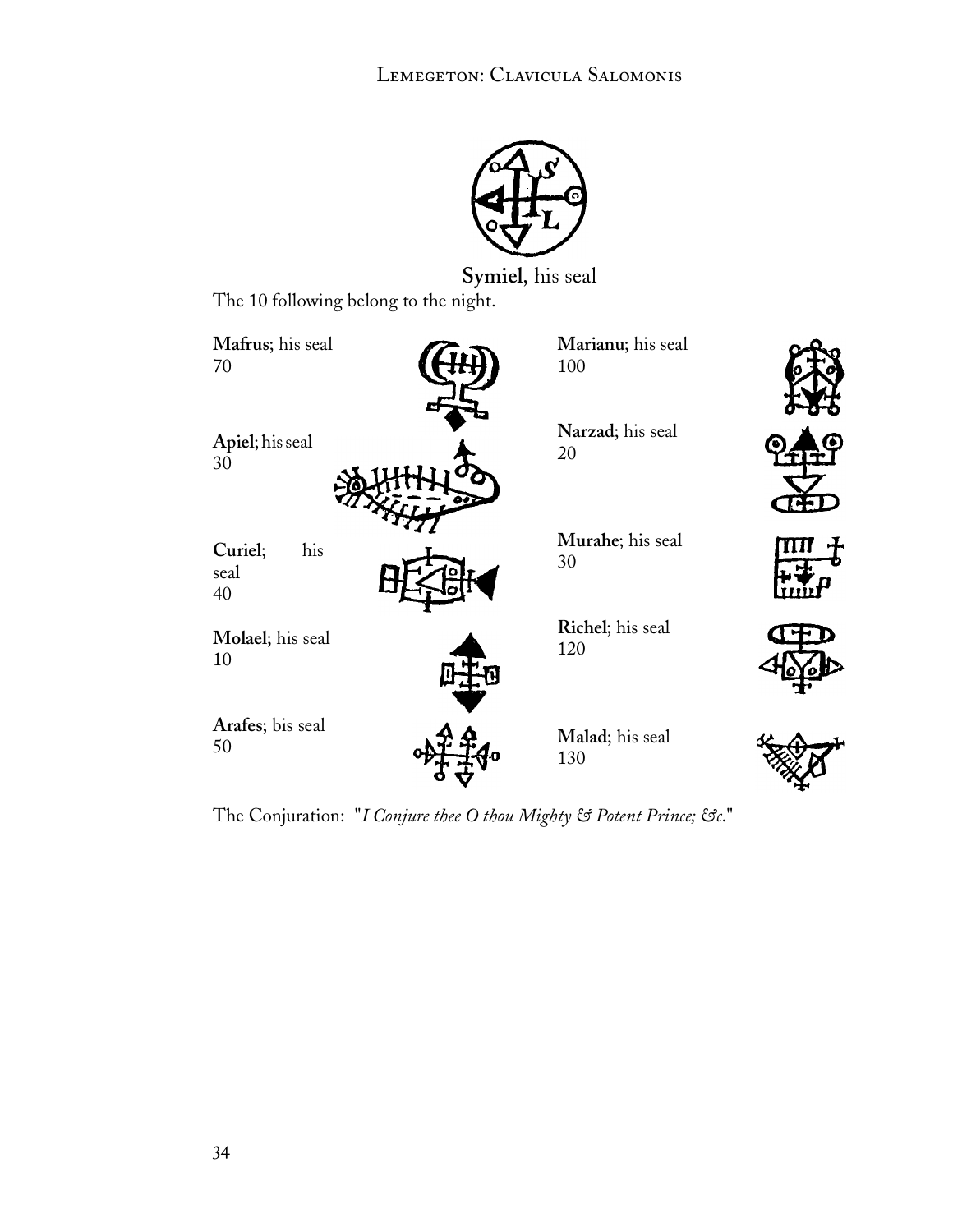![](_page_35_Picture_1.jpeg)

**Symiel**, his seal

The 10 following belong to the night.

| Mafrus; his seal             | Marianu; his seal      |
|------------------------------|------------------------|
| 70                           | 100                    |
| Apiel; his seal              | Narzad; his seal       |
| 30                           | 20                     |
| his<br>Curiel;<br>seal<br>40 | Murahe; his seal<br>30 |
| Molael; his seal             | Richel; his seal       |
| 10                           | 120                    |
| Arafes; bis seal             | Malad; his seal        |
| 50                           | 130                    |

The Conjuration: "*I Conjure thee O thou Mighty & Potent Prince; &c*."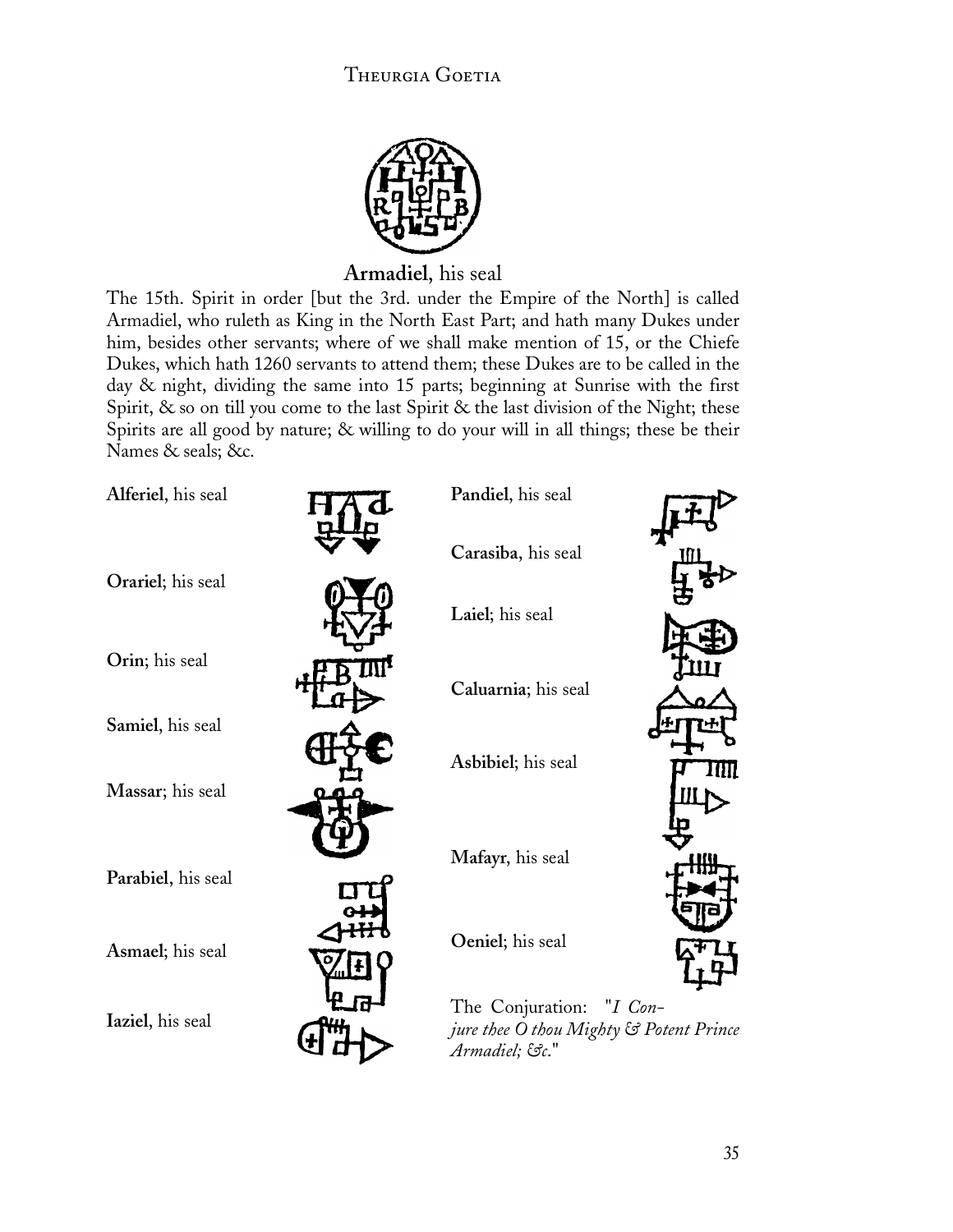![](_page_36_Picture_1.jpeg)

### **Armadiel**, his seal

The 15th. Spirit in order [but the 3rd. under the Empire of the North] is called Armadiel, who ruleth as King in the North East Part; and hath many Dukes under him, besides other servants; where of we shall make mention of 15, or the Chiefe Dukes, which hath 1260 servants to attend them; these Dukes are to be called in the day & night, dividing the same into 15 parts; beginning at Sunrise with the first Spirit, & so on till you come to the last Spirit & the last division of the Night; these Spirits are all good by nature; & willing to do your will in all things; these be their Names & seals; &c.

| Alferiel, his seal | Pandiel, his seal                                                                     |    |
|--------------------|---------------------------------------------------------------------------------------|----|
|                    | Carasiba, his seal                                                                    |    |
| Orariel; his seal  | Laiel; his seal                                                                       |    |
| Orin; his seal     | Caluarnia; his seal                                                                   |    |
| Samiel, his seal   |                                                                                       |    |
| Massar; his seal   | Asbibiel; his seal                                                                    | Ш. |
| Parabiel, his seal | Mafayr, his seal                                                                      |    |
| Asmael; his seal   | Oeniel; his seal                                                                      |    |
| Iaziel, his seal   | The Conjuration: "I Con-<br>jure thee O thou Mighty & Potent Prince<br>Armadiel; &c." |    |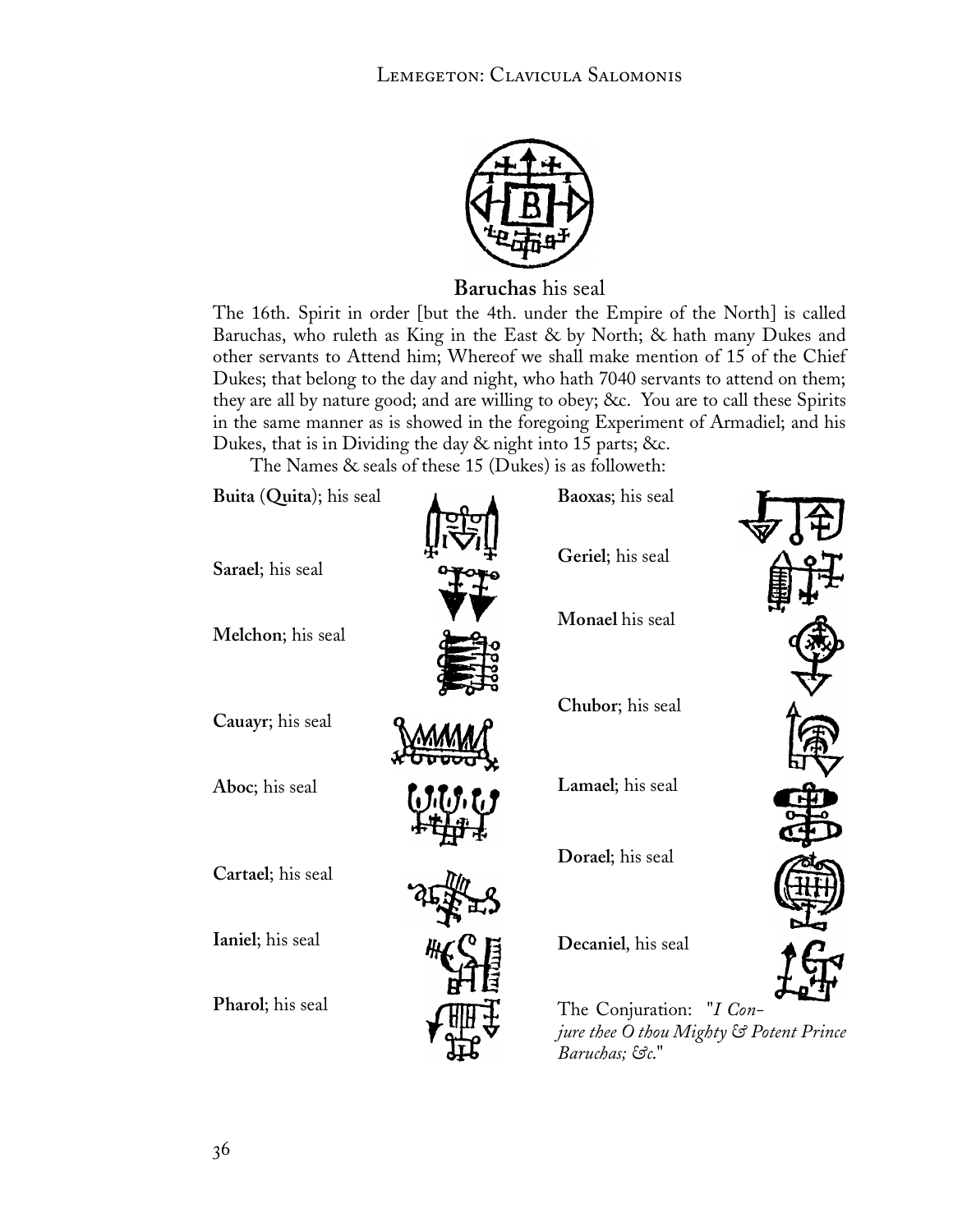![](_page_37_Picture_1.jpeg)

**Baruchas** his seal

The 16th. Spirit in order [but the 4th. under the Empire of the North] is called Baruchas, who ruleth as King in the East & by North; & hath many Dukes and other servants to Attend him; Whereof we shall make mention of 15 of the Chief Dukes; that belong to the day and night, who hath 7040 servants to attend on them; they are all by nature good; and are willing to obey; &c. You are to call these Spirits in the same manner as is showed in the foregoing Experiment of Armadiel; and his Dukes, that is in Dividing the day & night into 15 parts; &c.

The Names & seals of these 15 (Dukes) is as followeth:

![](_page_37_Picture_5.jpeg)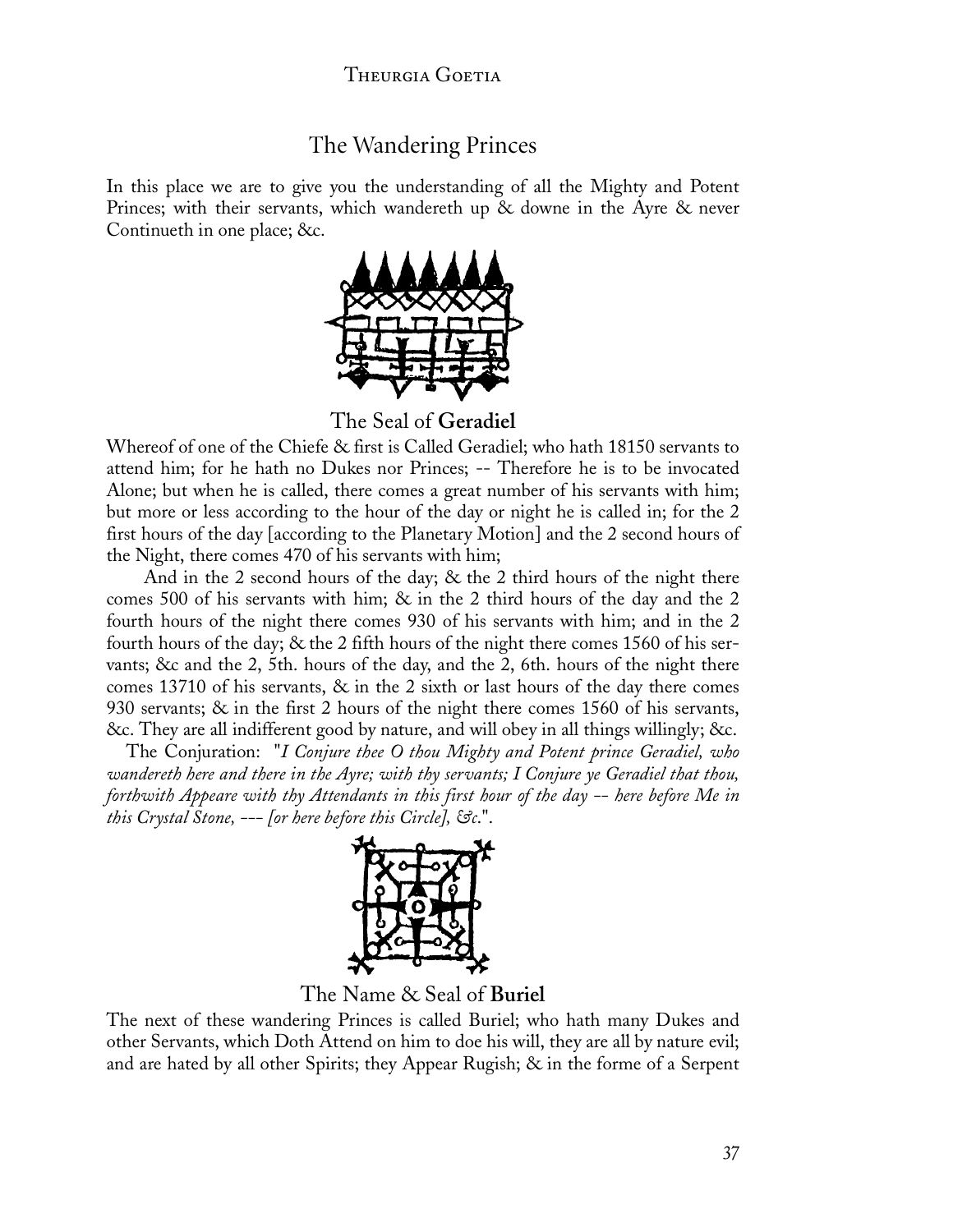### The Wandering Princes

In this place we are to give you the understanding of all the Mighty and Potent Princes; with their servants, which wandereth up & downe in the Ayre & never Continueth in one place; &c.

![](_page_38_Picture_3.jpeg)

The Seal of **Geradiel**

Whereof of one of the Chiefe & first is Called Geradiel; who hath 18150 servants to attend him; for he hath no Dukes nor Princes; -- Therefore he is to be invocated Alone; but when he is called, there comes a great number of his servants with him; but more or less according to the hour of the day or night he is called in; for the 2 first hours of the day [according to the Planetary Motion] and the 2 second hours of the Night, there comes 470 of his servants with him;

And in the 2 second hours of the day; & the 2 third hours of the night there comes 500 of his servants with him; & in the 2 third hours of the day and the 2 fourth hours of the night there comes 930 of his servants with him; and in the 2 fourth hours of the day; & the 2 fifth hours of the night there comes 1560 of his servants; &c and the 2, 5th. hours of the day, and the 2, 6th. hours of the night there comes 13710 of his servants,  $\&$  in the 2 sixth or last hours of the day there comes 930 servants; & in the first 2 hours of the night there comes 1560 of his servants, &c. They are all indifferent good by nature, and will obey in all things willingly; &c.

 The Conjuration: "*I Conjure thee O thou Mighty and Potent prince Geradiel, who wandereth here and there in the Ayre; with thy servants; I Conjure ye Geradiel that thou, forthwith Appeare with thy Attendants in this first hour of the day -- here before Me in this Crystal Stone, --- [or here before this Circle], &c*.".

![](_page_38_Picture_8.jpeg)

The Name & Seal of **Buriel**

The next of these wandering Princes is called Buriel; who hath many Dukes and other Servants, which Doth Attend on him to doe his will, they are all by nature evil; and are hated by all other Spirits; they Appear Rugish; & in the forme of a Serpent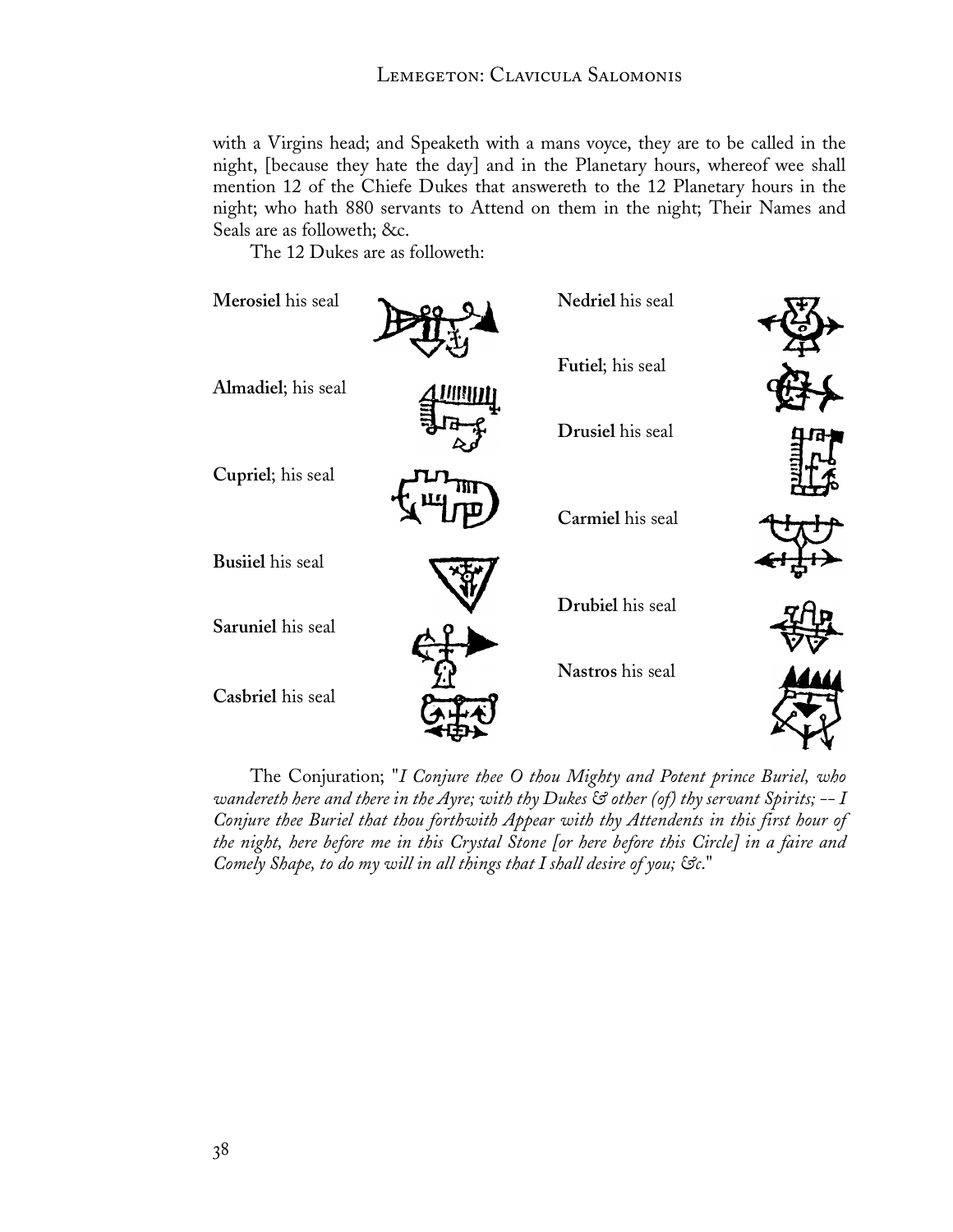with a Virgins head; and Speaketh with a mans voyce, they are to be called in the night, [because they hate the day] and in the Planetary hours, whereof wee shall mention 12 of the Chiefe Dukes that answereth to the 12 Planetary hours in the night; who hath 880 servants to Attend on them in the night; Their Names and Seals are as followeth; &c.

The 12 Dukes are as followeth:

![](_page_39_Figure_3.jpeg)

The Conjuration; "*I Conjure thee O thou Mighty and Potent prince Buriel, who wandereth here and there in the Ayre; with thy Dukes & other (of) thy servant Spirits; -- I Conjure thee Buriel that thou forthwith Appear with thy Attendents in this first hour of the night, here before me in this Crystal Stone [or here before this Circle] in a faire and Comely Shape, to do my will in all things that I shall desire of you; &c*."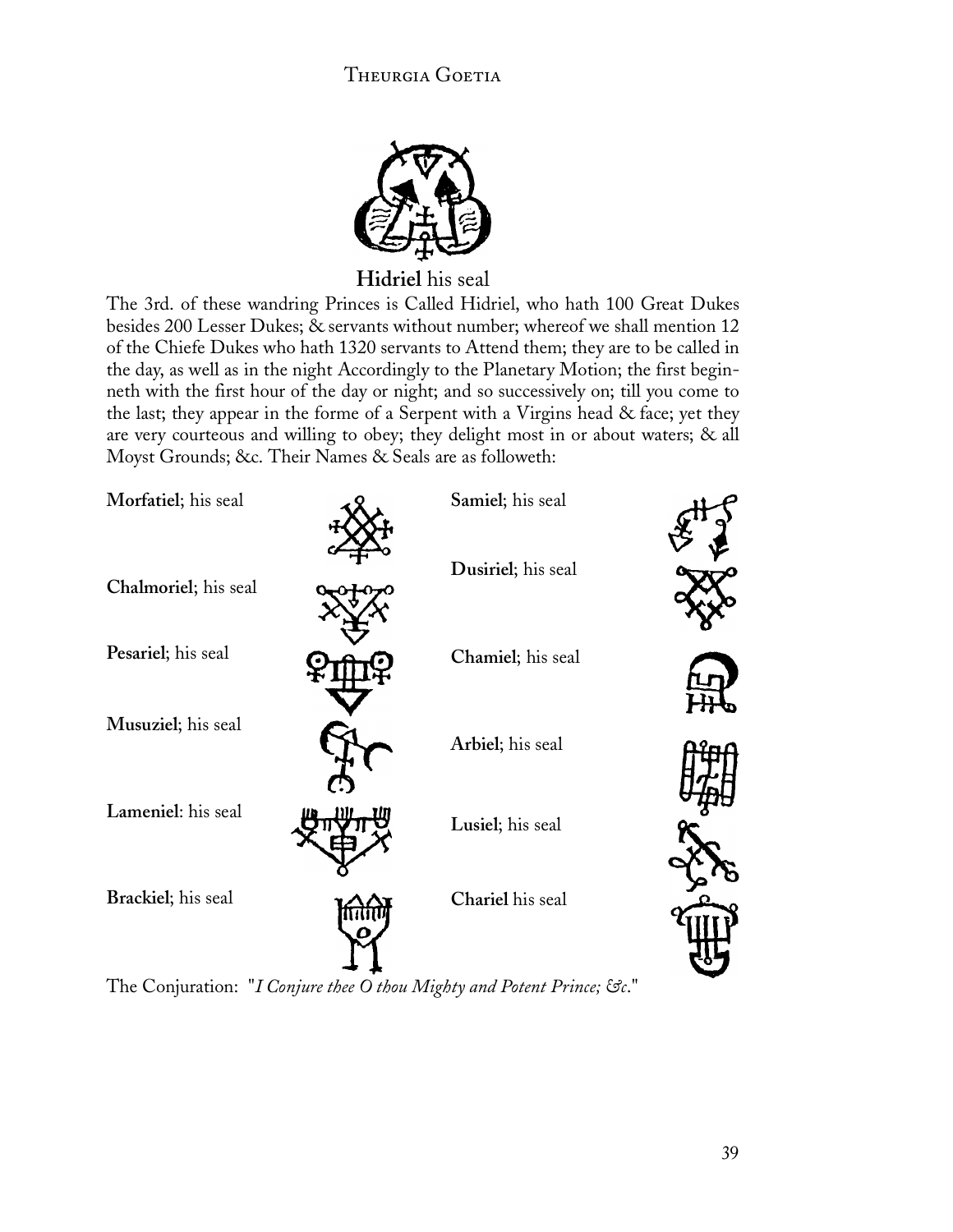![](_page_40_Picture_1.jpeg)

**Hidriel** his seal

The 3rd. of these wandring Princes is Called Hidriel, who hath 100 Great Dukes besides 200 Lesser Dukes; & servants without number; whereof we shall mention 12 of the Chiefe Dukes who hath 1320 servants to Attend them; they are to be called in the day, as well as in the night Accordingly to the Planetary Motion; the first beginneth with the first hour of the day or night; and so successively on; till you come to the last; they appear in the forme of a Serpent with a Virgins head & face; yet they are very courteous and willing to obey; they delight most in or about waters; & all Moyst Grounds; &c. Their Names & Seals are as followeth:

| Morfatiel; his seal  | Samiel; his seal   |  |
|----------------------|--------------------|--|
| Chalmoriel; his seal | Dusiriel; his seal |  |
| Pesariel; his seal   | Chamiel; his seal  |  |
| Musuziel; his seal   | Arbiel; his seal   |  |
| Lameniel: his seal   | Lusiel; his seal   |  |
| Brackiel; his seal   | Chariel his seal   |  |
|                      |                    |  |

The Conjuration: "*I Conjure thee O thou Mighty and Potent Prince; &c*."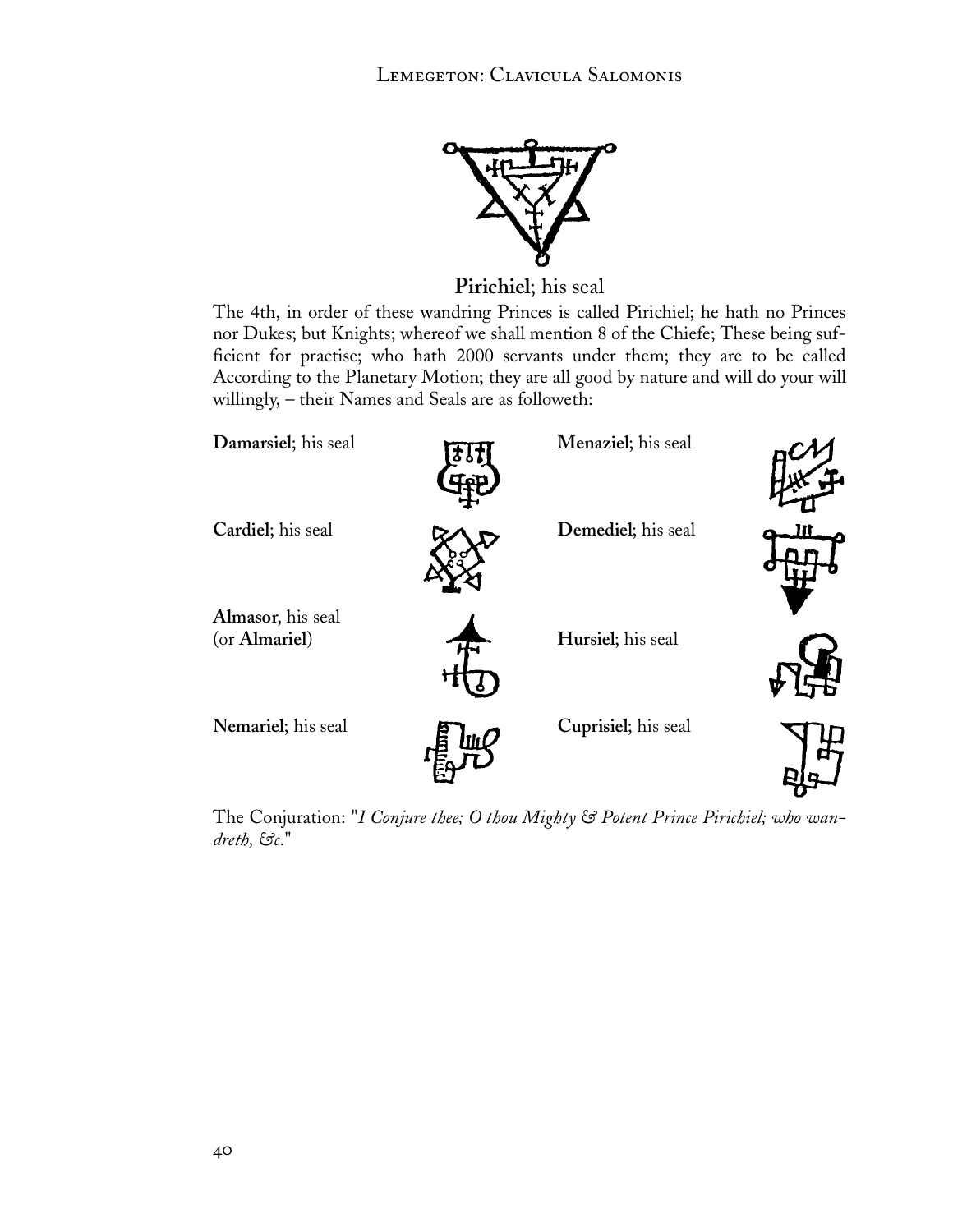![](_page_41_Picture_1.jpeg)

**Pirichiel**; his seal

The 4th, in order of these wandring Princes is called Pirichiel; he hath no Princes nor Dukes; but Knights; whereof we shall mention 8 of the Chiefe; These being sufficient for practise; who hath 2000 servants under them; they are to be called According to the Planetary Motion; they are all good by nature and will do your will willingly, – their Names and Seals are as followeth:

![](_page_41_Figure_4.jpeg)

The Conjuration: "*I Conjure thee; O thou Mighty & Potent Prince Pirichiel; who wandreth, &c*."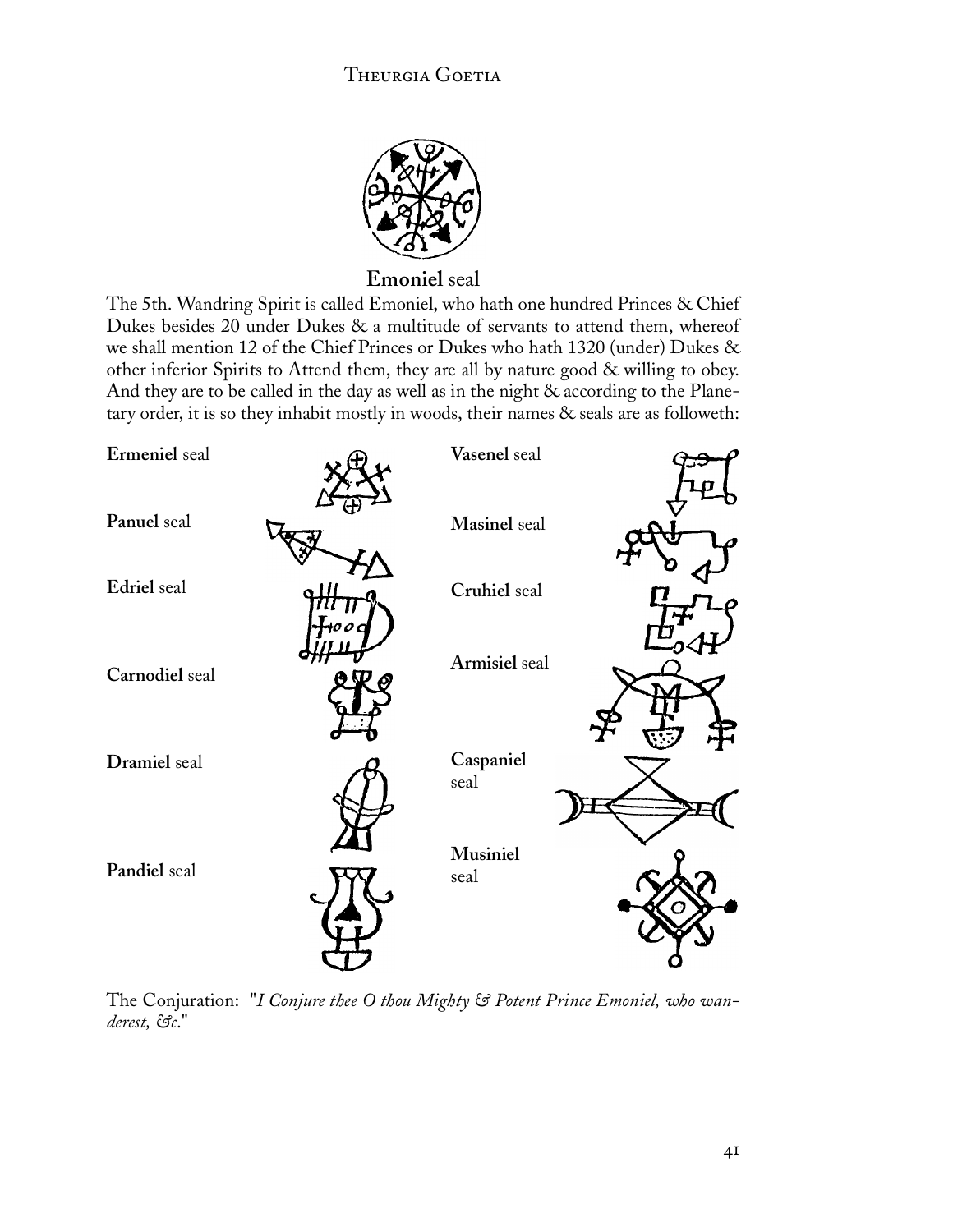![](_page_42_Picture_1.jpeg)

### **Emoniel** seal

The 5th. Wandring Spirit is called Emoniel, who hath one hundred Princes & Chief Dukes besides 20 under Dukes & a multitude of servants to attend them, whereof we shall mention 12 of the Chief Princes or Dukes who hath 1320 (under) Dukes & other inferior Spirits to Attend them, they are all by nature good & willing to obey. And they are to be called in the day as well as in the night & according to the Planetary order, it is so they inhabit mostly in woods, their names & seals are as followeth:

![](_page_42_Figure_4.jpeg)

The Conjuration: "*I Conjure thee O thou Mighty & Potent Prince Emoniel, who wanderest, &c*."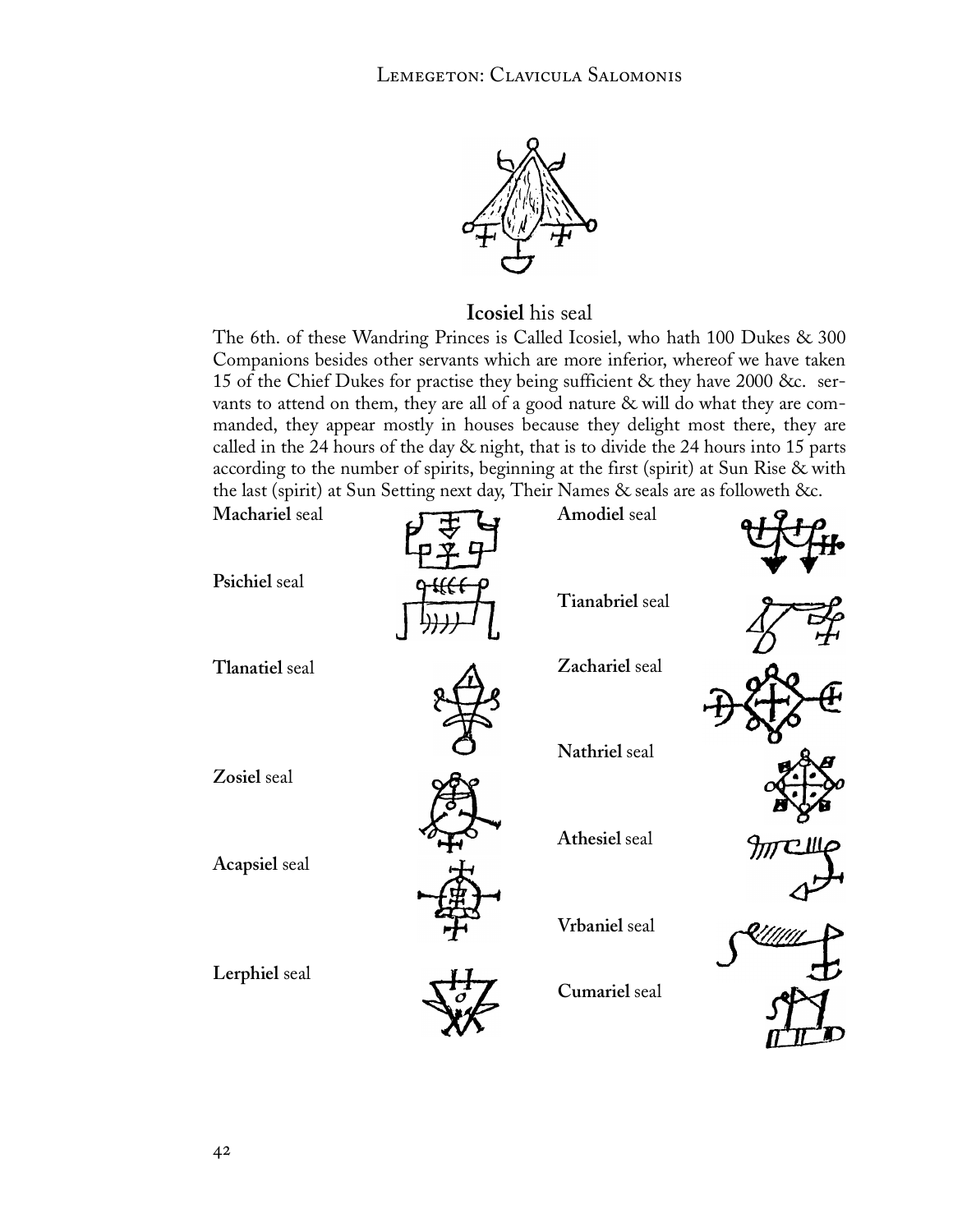![](_page_43_Picture_1.jpeg)

### **Icosiel** his seal

The 6th. of these Wandring Princes is Called Icosiel, who hath 100 Dukes & 300 Companions besides other servants which are more inferior, whereof we have taken 15 of the Chief Dukes for practise they being sufficient & they have 2000 &c. servants to attend on them, they are all of a good nature & will do what they are commanded, they appear mostly in houses because they delight most there, they are called in the 24 hours of the day & night, that is to divide the 24 hours into 15 parts according to the number of spirits, beginning at the first (spirit) at Sun Rise & with the last (spirit) at Sun Setting next day, Their Names & seals are as followeth &c.

| Machariel seal | Amodiel seal    |  |
|----------------|-----------------|--|
| Psichiel seal  | Tianabriel seal |  |
| Tlanatiel seal | Zachariel seal  |  |
| Zosiel seal    | Nathriel seal   |  |
| Acapsiel seal  | Athesiel seal   |  |
|                | Vrbaniel seal   |  |
| Lerphiel seal  | Cumariel seal   |  |
|                |                 |  |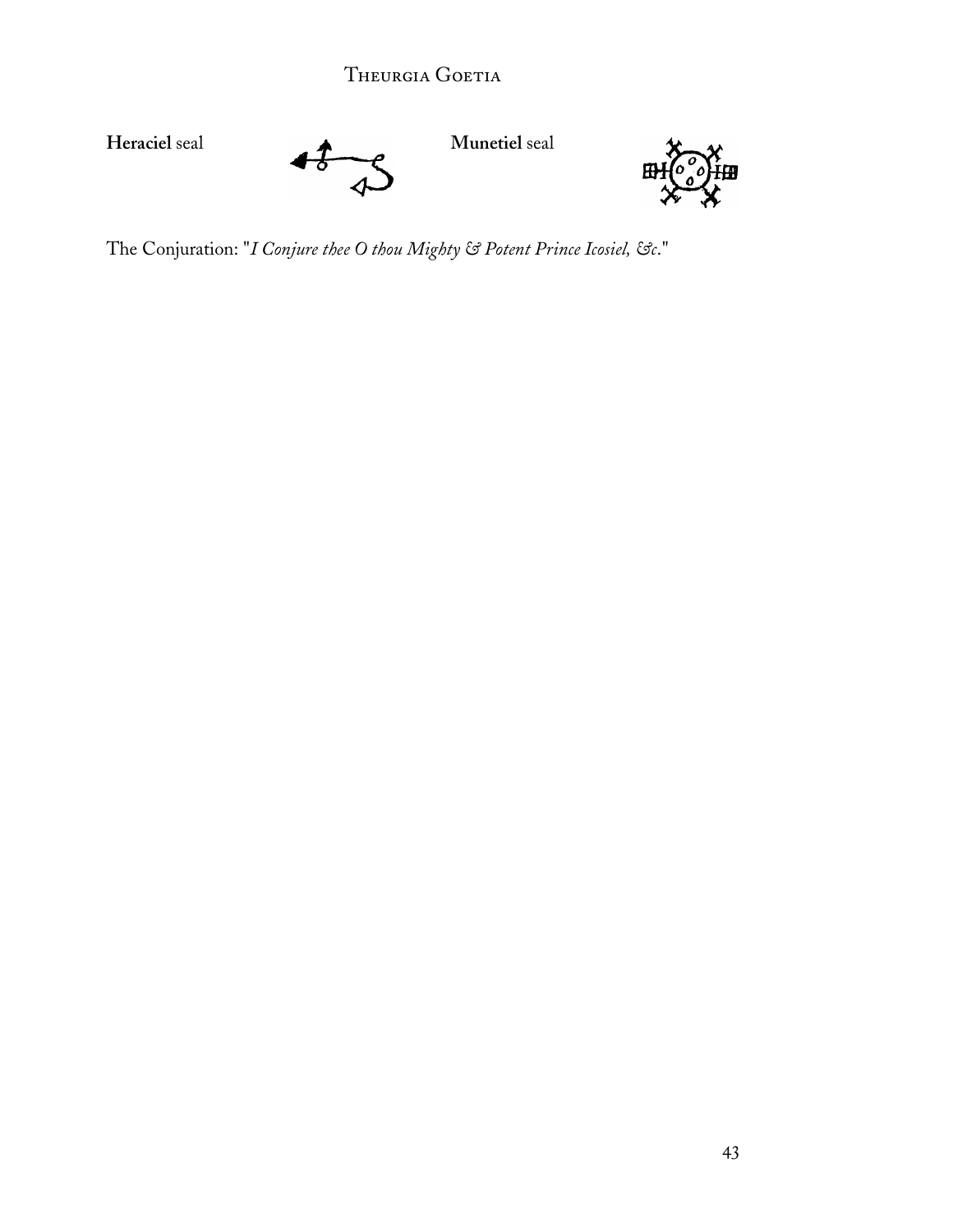![](_page_44_Figure_1.jpeg)

The Conjuration: "*I Conjure thee O thou Mighty & Potent Prince Icosiel, &c*."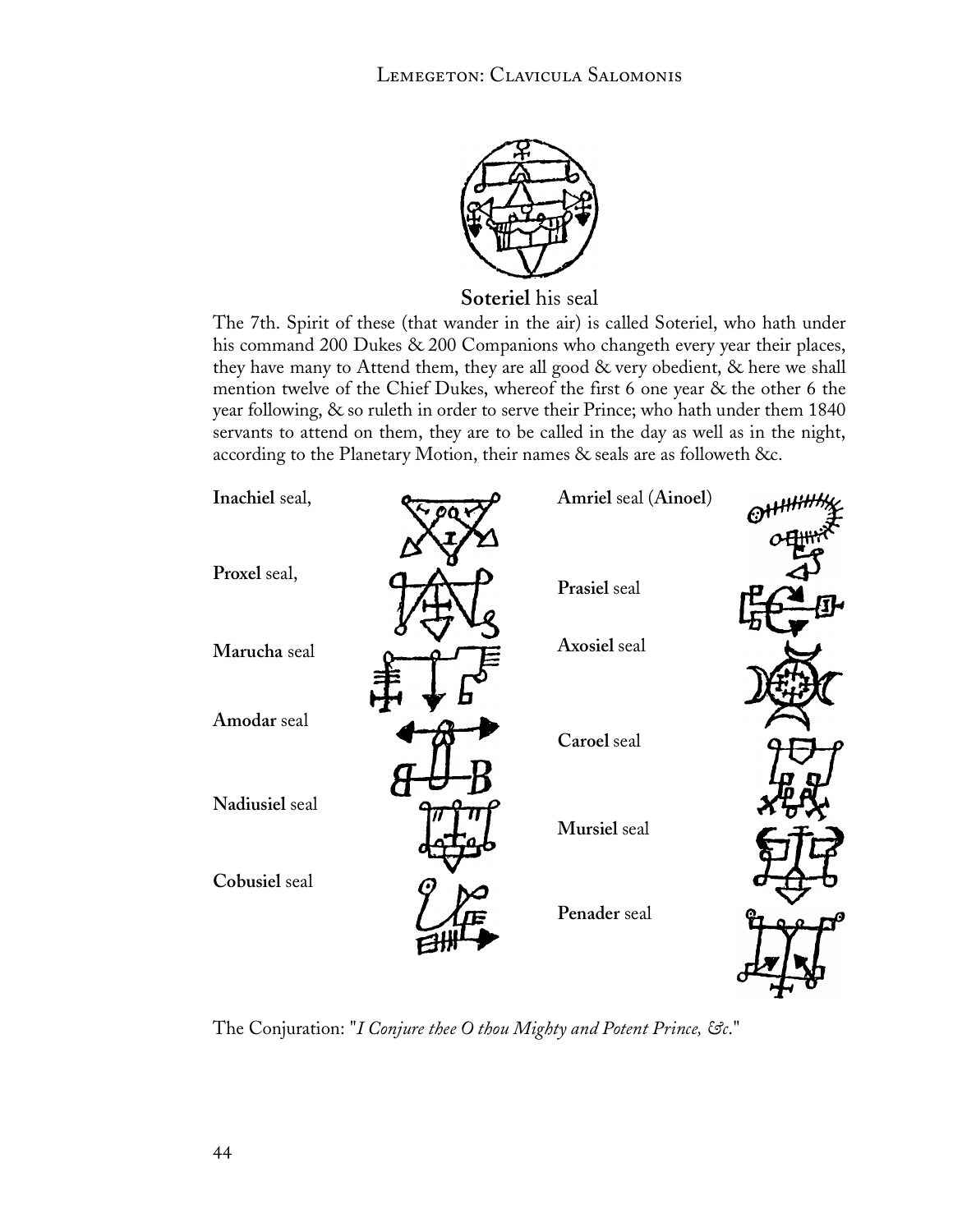![](_page_45_Picture_1.jpeg)

**Soteriel** his seal

The 7th. Spirit of these (that wander in the air) is called Soteriel, who hath under his command 200 Dukes & 200 Companions who changeth every year their places, they have many to Attend them, they are all good & very obedient, & here we shall mention twelve of the Chief Dukes, whereof the first 6 one year & the other 6 the year following, & so ruleth in order to serve their Prince; who hath under them 1840 servants to attend on them, they are to be called in the day as well as in the night, according to the Planetary Motion, their names & seals are as followeth &c.

![](_page_45_Figure_4.jpeg)

The Conjuration: "*I Conjure thee O thou Mighty and Potent Prince, &c*."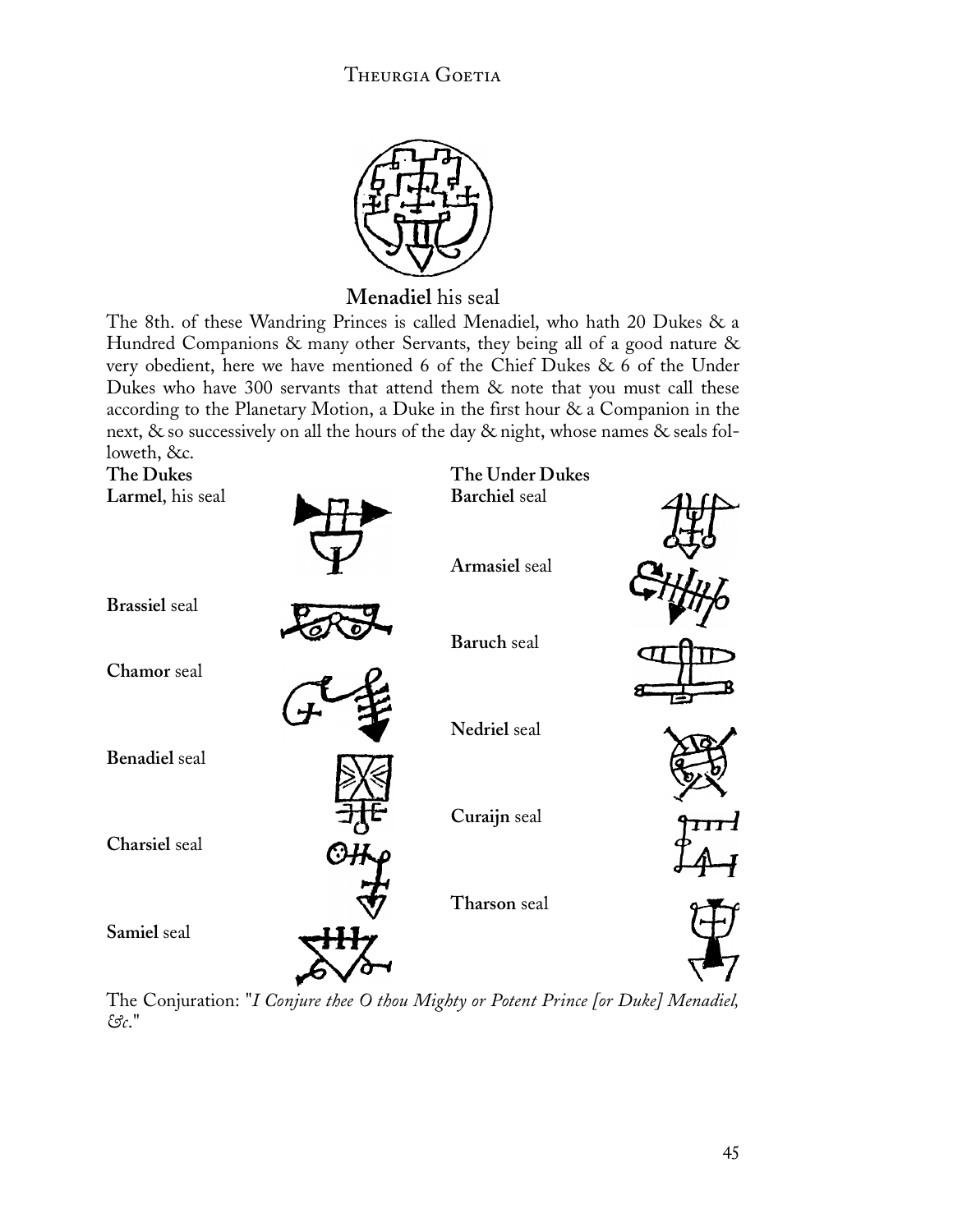![](_page_46_Picture_1.jpeg)

**Menadiel** his seal

The 8th. of these Wandring Princes is called Menadiel, who hath 20 Dukes & a Hundred Companions & many other Servants, they being all of a good nature & very obedient, here we have mentioned 6 of the Chief Dukes & 6 of the Under Dukes who have 300 servants that attend them & note that you must call these according to the Planetary Motion, a Duke in the first hour & a Companion in the next, & so successively on all the hours of the day & night, whose names & seals followeth, &c.

![](_page_46_Figure_4.jpeg)

The Conjuration: "*I Conjure thee O thou Mighty or Potent Prince [or Duke] Menadiel, &c*."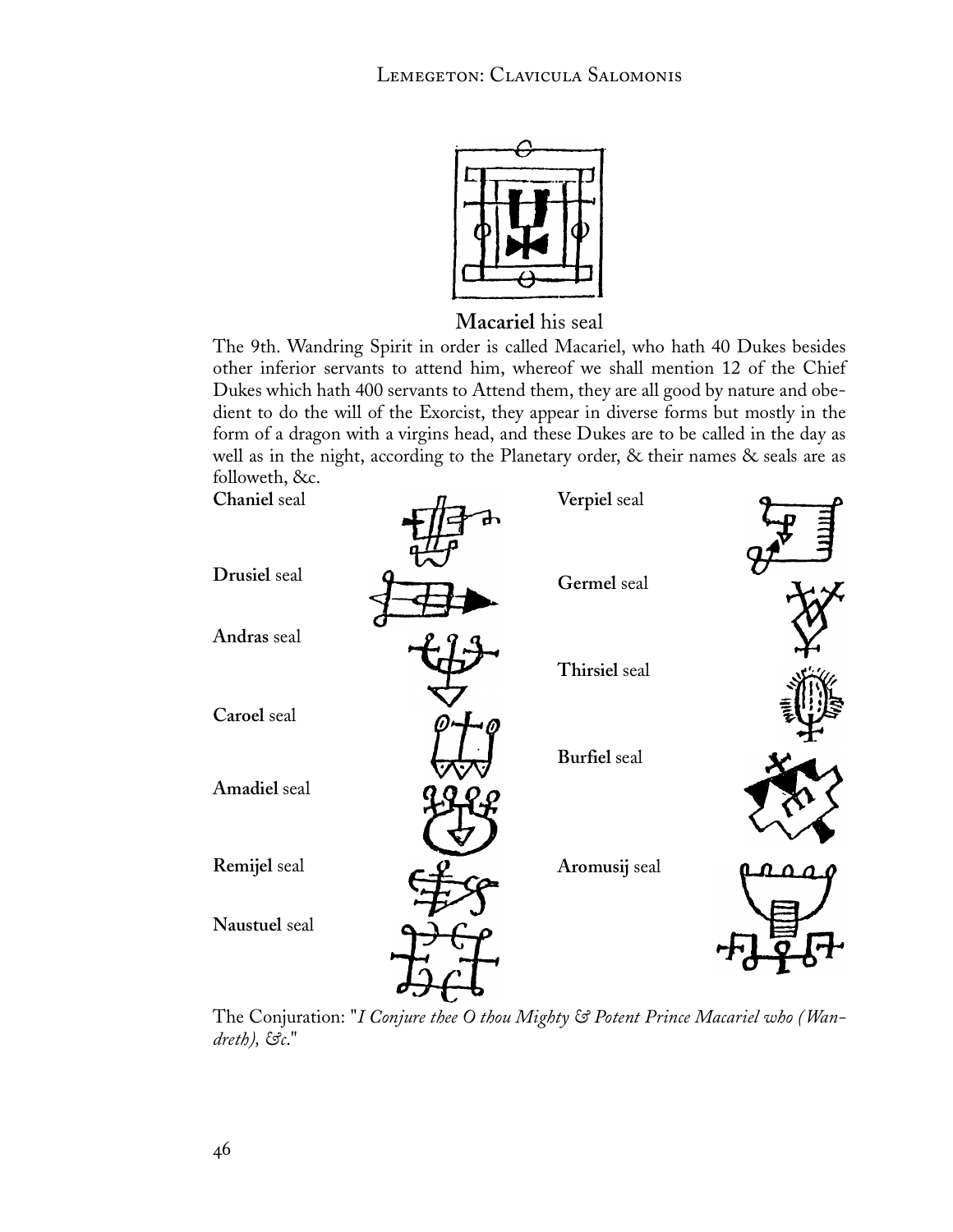![](_page_47_Picture_1.jpeg)

**Macariel** his seal

The 9th. Wandring Spirit in order is called Macariel, who hath 40 Dukes besides other inferior servants to attend him, whereof we shall mention 12 of the Chief Dukes which hath 400 servants to Attend them, they are all good by nature and obedient to do the will of the Exorcist, they appear in diverse forms but mostly in the form of a dragon with a virgins head, and these Dukes are to be called in the day as well as in the night, according to the Planetary order, & their names & seals are as followeth, &c.

**Verpiel** seal

**Chaniel** seal

![](_page_47_Figure_5.jpeg)

The Conjuration: "*I Conjure thee O thou Mighty & Potent Prince Macariel who (Wandreth), &c*."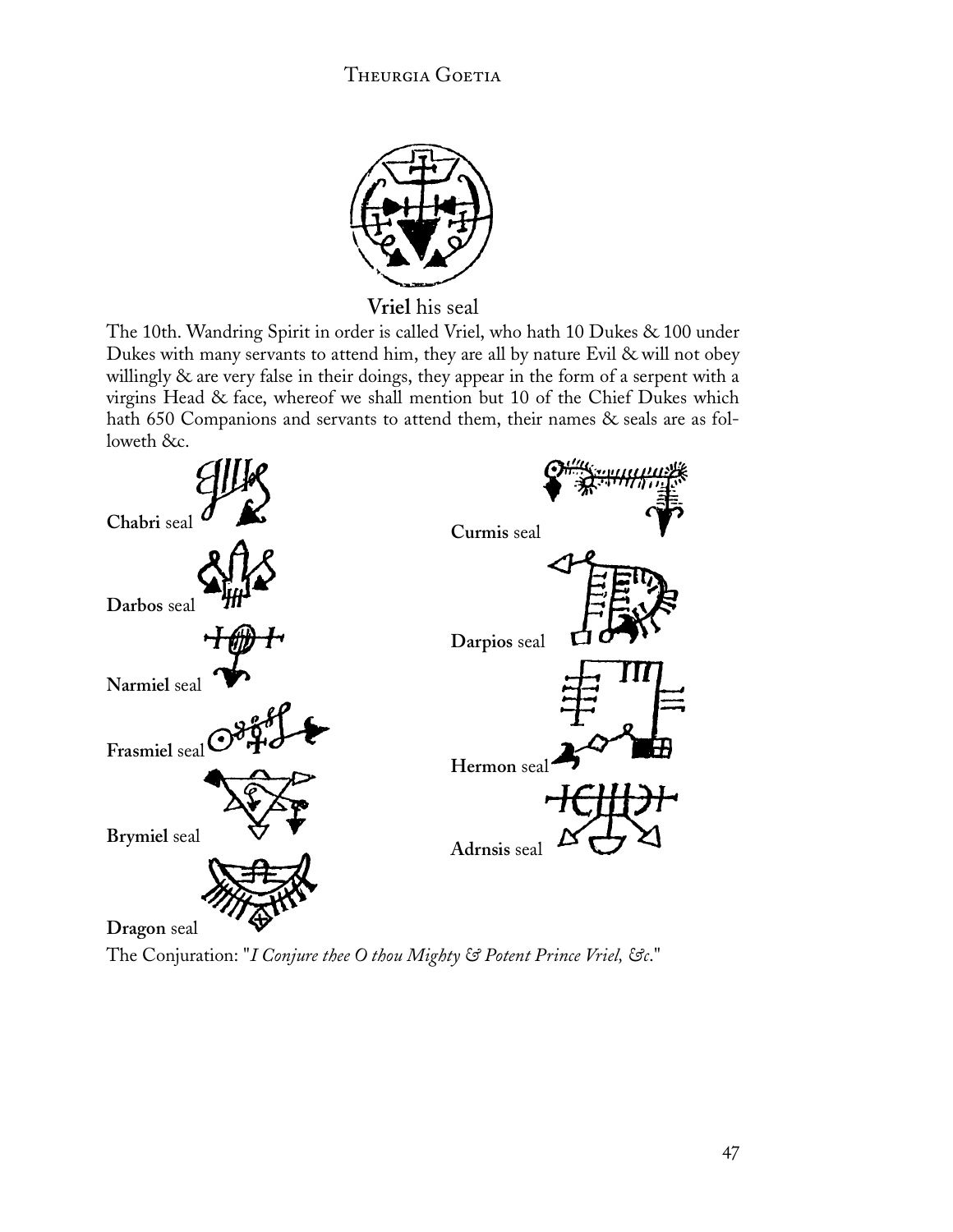![](_page_48_Picture_1.jpeg)

**Vriel** his seal

The 10th. Wandring Spirit in order is called Vriel, who hath 10 Dukes & 100 under Dukes with many servants to attend him, they are all by nature Evil & will not obey willingly & are very false in their doings, they appear in the form of a serpent with a virgins Head & face, whereof we shall mention but 10 of the Chief Dukes which hath 650 Companions and servants to attend them, their names & seals are as followeth &c.

![](_page_48_Figure_4.jpeg)

The Conjuration: "*I Conjure thee O thou Mighty & Potent Prince Vriel, &c*."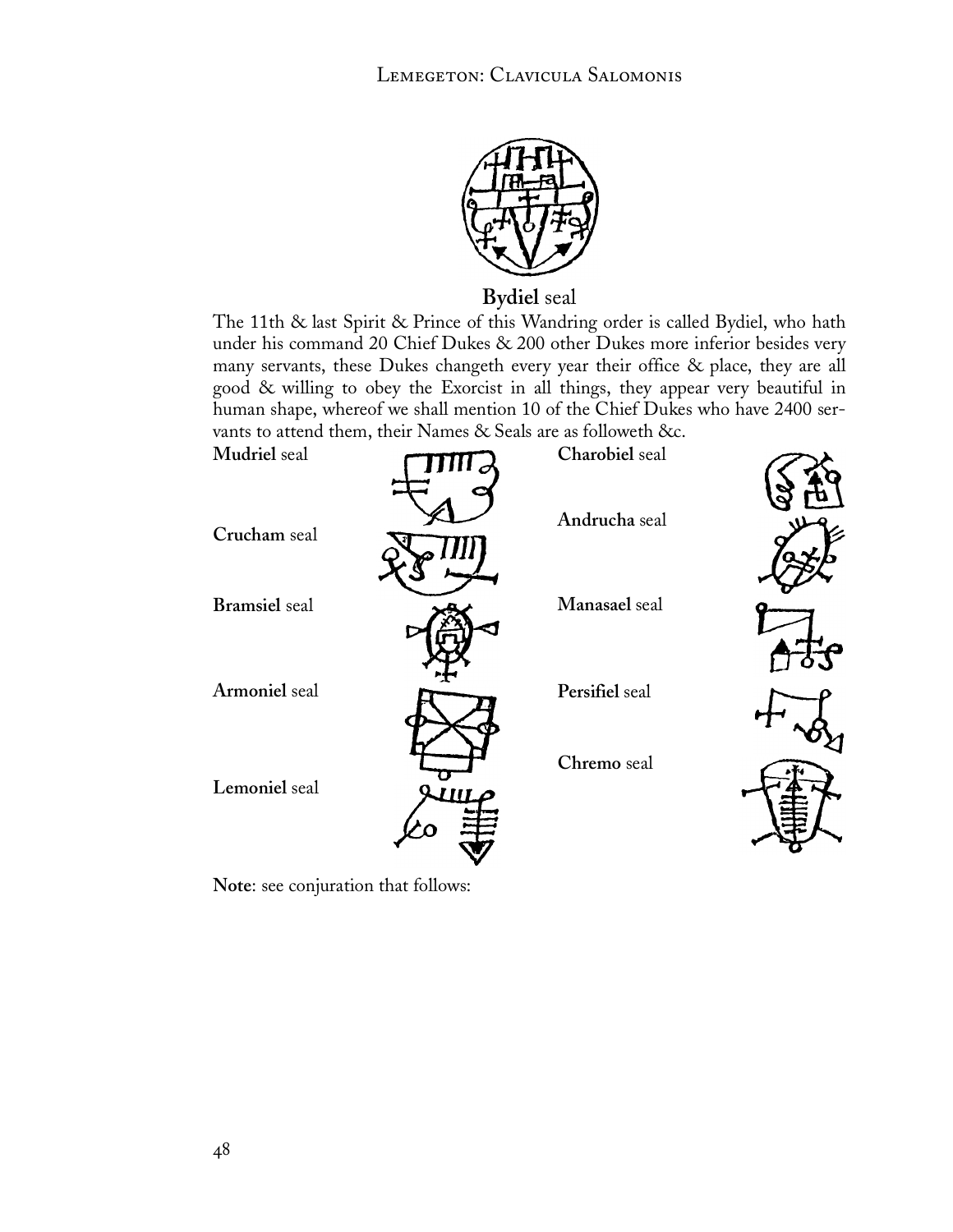![](_page_49_Picture_1.jpeg)

**Bydiel** seal

The 11th & last Spirit & Prince of this Wandring order is called Bydiel, who hath under his command 20 Chief Dukes & 200 other Dukes more inferior besides very many servants, these Dukes changeth every year their office & place, they are all good & willing to obey the Exorcist in all things, they appear very beautiful in human shape, whereof we shall mention 10 of the Chief Dukes who have 2400 servants to attend them, their Names & Seals are as followeth &c.

![](_page_49_Figure_4.jpeg)

**Note**: see conjuration that follows: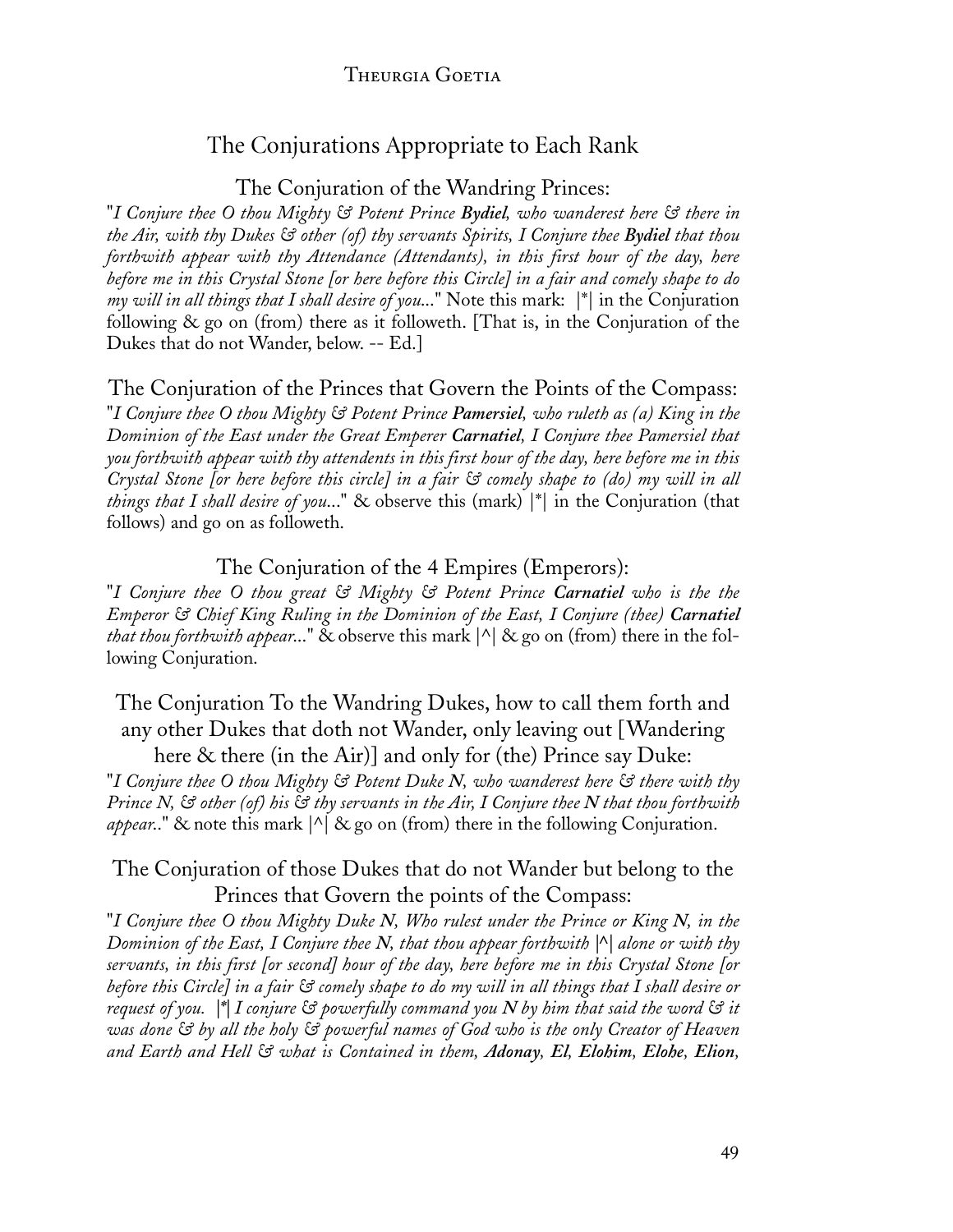### The Conjurations Appropriate to Each Rank

The Conjuration of the Wandring Princes:

"*I Conjure thee O thou Mighty & Potent Prince Bydiel, who wanderest here & there in the Air, with thy Dukes & other (of) thy servants Spirits, I Conjure thee Bydiel that thou forthwith appear with thy Attendance (Attendants), in this first hour of the day, here before me in this Crystal Stone [or here before this Circle] in a fair and comely shape to do my will in all things that I shall desire of you*..." Note this mark: |\*| in the Conjuration following & go on (from) there as it followeth. [That is, in the Conjuration of the Dukes that do not Wander, below. -- Ed.]

#### The Conjuration of the Princes that Govern the Points of the Compass:

"*I Conjure thee O thou Mighty & Potent Prince Pamersiel, who ruleth as (a) King in the Dominion of the East under the Great Emperer Carnatiel, I Conjure thee Pamersiel that you forthwith appear with thy attendents in this first hour of the day, here before me in this Crystal Stone [or here before this circle] in a fair & comely shape to (do) my will in all things that I shall desire of you*..." & observe this (mark) |\*| in the Conjuration (that follows) and go on as followeth.

The Conjuration of the 4 Empires (Emperors):

"*I Conjure thee O thou great & Mighty & Potent Prince Carnatiel who is the the Emperor & Chief King Ruling in the Dominion of the East, I Conjure (thee) Carnatiel that thou forthwith appear*..." & observe this mark |^| & go on (from) there in the following Conjuration.

The Conjuration To the Wandring Dukes, how to call them forth and any other Dukes that doth not Wander, only leaving out [Wandering here & there (in the Air)] and only for (the) Prince say Duke:

"*I Conjure thee O thou Mighty & Potent Duke N, who wanderest here & there with thy Prince N, & other (of) his & thy servants in the Air, I Conjure thee N that thou forthwith appear*.." & note this mark |^| & go on (from) there in the following Conjuration.

#### The Conjuration of those Dukes that do not Wander but belong to the Princes that Govern the points of the Compass:

"*I Conjure thee O thou Mighty Duke N, Who rulest under the Prince or King N, in the Dominion of the East, I Conjure thee N, that thou appear forthwith |^| alone or with thy servants, in this first [or second] hour of the day, here before me in this Crystal Stone [or before this Circle] in a fair & comely shape to do my will in all things that I shall desire or request of you. |\*| I conjure & powerfully command you N by him that said the word & it was done & by all the holy & powerful names of God who is the only Creator of Heaven and Earth and Hell & what is Contained in them, Adonay, El, Elohim, Elohe, Elion,*